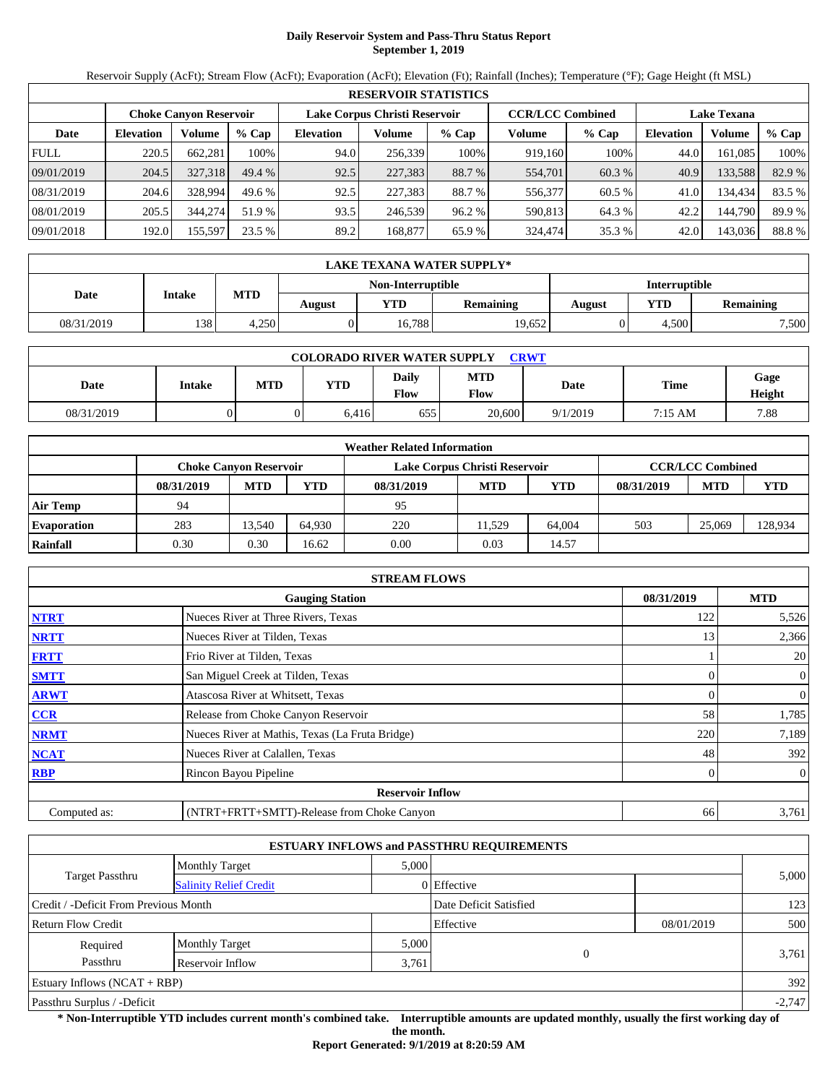# **Daily Reservoir System and Pass-Thru Status Report September 1, 2019**

Reservoir Supply (AcFt); Stream Flow (AcFt); Evaporation (AcFt); Elevation (Ft); Rainfall (Inches); Temperature (°F); Gage Height (ft MSL)

|             | <b>RESERVOIR STATISTICS</b> |                               |         |                               |         |         |                         |         |                    |         |        |  |  |
|-------------|-----------------------------|-------------------------------|---------|-------------------------------|---------|---------|-------------------------|---------|--------------------|---------|--------|--|--|
|             |                             | <b>Choke Canyon Reservoir</b> |         | Lake Corpus Christi Reservoir |         |         | <b>CCR/LCC Combined</b> |         | <b>Lake Texana</b> |         |        |  |  |
| Date        | <b>Elevation</b>            | Volume                        | $%$ Cap | <b>Elevation</b>              | Volume  | $%$ Cap | Volume                  | $%$ Cap | <b>Elevation</b>   | Volume  | % Cap  |  |  |
| <b>FULL</b> | 220.5                       | 662.281                       | 100%    | 94.0                          | 256,339 | 100%    | 919,160                 | 100%    | 44.0               | 161.085 | 100%   |  |  |
| 09/01/2019  | 204.5                       | 327,318                       | 49.4%   | 92.5                          | 227,383 | 88.7 %  | 554,701                 | 60.3 %  | 40.9               | 133,588 | 82.9 % |  |  |
| 08/31/2019  | 204.6                       | 328,994                       | 49.6 %  | 92.5                          | 227,383 | 88.7 %  | 556,377                 | 60.5 %  | 41.0               | 134,434 | 83.5 % |  |  |
| 08/01/2019  | 205.5                       | 344,274                       | 51.9 %  | 93.5                          | 246.539 | 96.2%   | 590,813                 | 64.3 %  | 42.2               | 144.790 | 89.9%  |  |  |
| 09/01/2018  | 192.0                       | 155,597                       | 23.5 %  | 89.2                          | 168,877 | 65.9 %  | 324,474                 | 35.3 %  | 42.0               | 143,036 | 88.8%  |  |  |

|            | LAKE TEXANA WATER SUPPLY* |        |            |                   |        |               |                  |       |  |  |  |
|------------|---------------------------|--------|------------|-------------------|--------|---------------|------------------|-------|--|--|--|
|            | <b>Intake</b>             |        |            | Non-Interruptible |        | Interruptible |                  |       |  |  |  |
| Date       | <b>MTD</b>                | August | <b>YTD</b> | <b>Remaining</b>  | August | YTD           | <b>Remaining</b> |       |  |  |  |
| 08/31/2019 | 138                       | 4.250  |            | 16.788            | 19,652 |               | 4.500            | 7,500 |  |  |  |

| <b>COLORADO RIVER WATER SUPPLY</b><br><b>CRWT</b> |        |            |       |               |                           |          |         |                |  |  |
|---------------------------------------------------|--------|------------|-------|---------------|---------------------------|----------|---------|----------------|--|--|
| Date                                              | Intake | <b>MTD</b> | YTD   | Daily<br>Flow | <b>MTD</b><br><b>Flow</b> | Date     | Time    | Gage<br>Height |  |  |
| 08/31/2019                                        |        |            | 6.416 | 655           | 20,600                    | 9/1/2019 | 7:15 AM | 7.88           |  |  |

| <b>Weather Related Information</b> |            |                        |        |                               |                         |        |            |            |         |  |
|------------------------------------|------------|------------------------|--------|-------------------------------|-------------------------|--------|------------|------------|---------|--|
|                                    |            | Choke Canvon Reservoir |        | Lake Corpus Christi Reservoir | <b>CCR/LCC Combined</b> |        |            |            |         |  |
|                                    | 08/31/2019 | <b>MTD</b>             | YTD    | 08/31/2019                    | <b>MTD</b>              | YTD    | 08/31/2019 | <b>MTD</b> | YTD     |  |
| Air Temp                           | 94         |                        |        | 95                            |                         |        |            |            |         |  |
| <b>Evaporation</b>                 | 283        | 13.540                 | 64.930 | 220                           | 11.529                  | 64,004 | 503        | 25,069     | 128,934 |  |
| Rainfall                           | 0.30       | 0.30                   | 16.62  | 0.00                          | 0.03                    | 14.57  |            |            |         |  |

|                                      | <b>STREAM FLOWS</b>                             |     |                  |  |  |  |  |  |  |
|--------------------------------------|-------------------------------------------------|-----|------------------|--|--|--|--|--|--|
| 08/31/2019<br><b>Gauging Station</b> |                                                 |     |                  |  |  |  |  |  |  |
| <b>NTRT</b>                          | Nueces River at Three Rivers, Texas             | 122 | 5,526            |  |  |  |  |  |  |
| <b>NRTT</b>                          | Nueces River at Tilden, Texas                   | 13  | 2,366            |  |  |  |  |  |  |
| <b>FRTT</b>                          | Frio River at Tilden, Texas                     |     | 20               |  |  |  |  |  |  |
| <b>SMTT</b>                          | San Miguel Creek at Tilden, Texas               | 0   | $\mathbf{0}$     |  |  |  |  |  |  |
| <b>ARWT</b>                          | Atascosa River at Whitsett, Texas               |     | 0                |  |  |  |  |  |  |
| CCR                                  | Release from Choke Canyon Reservoir             | 58  | 1,785            |  |  |  |  |  |  |
| <b>NRMT</b>                          | Nueces River at Mathis, Texas (La Fruta Bridge) | 220 | 7,189            |  |  |  |  |  |  |
| <b>NCAT</b>                          | Nueces River at Calallen, Texas                 | 48  | 392              |  |  |  |  |  |  |
| <b>RBP</b>                           | Rincon Bayou Pipeline                           |     | $\boldsymbol{0}$ |  |  |  |  |  |  |
|                                      | <b>Reservoir Inflow</b>                         |     |                  |  |  |  |  |  |  |
| Computed as:                         | (NTRT+FRTT+SMTT)-Release from Choke Canyon      | 66  | 3,761            |  |  |  |  |  |  |

|                                       |                               |       | <b>ESTUARY INFLOWS and PASSTHRU REQUIREMENTS</b> |            |          |
|---------------------------------------|-------------------------------|-------|--------------------------------------------------|------------|----------|
|                                       | <b>Monthly Target</b>         | 5,000 |                                                  |            |          |
| Target Passthru                       | <b>Salinity Relief Credit</b> |       | 0 Effective                                      |            | 5,000    |
| Credit / -Deficit From Previous Month |                               |       | Date Deficit Satisfied                           |            | 123      |
| <b>Return Flow Credit</b>             |                               |       | Effective                                        | 08/01/2019 | 500      |
| Required                              | <b>Monthly Target</b>         | 5,000 |                                                  |            |          |
| Passthru                              | Reservoir Inflow              | 3,761 | $\Omega$                                         |            | 3,761    |
| Estuary Inflows $(NCAT + RBP)$        |                               |       |                                                  |            | 392      |
| Passthru Surplus / -Deficit           |                               |       |                                                  |            | $-2,747$ |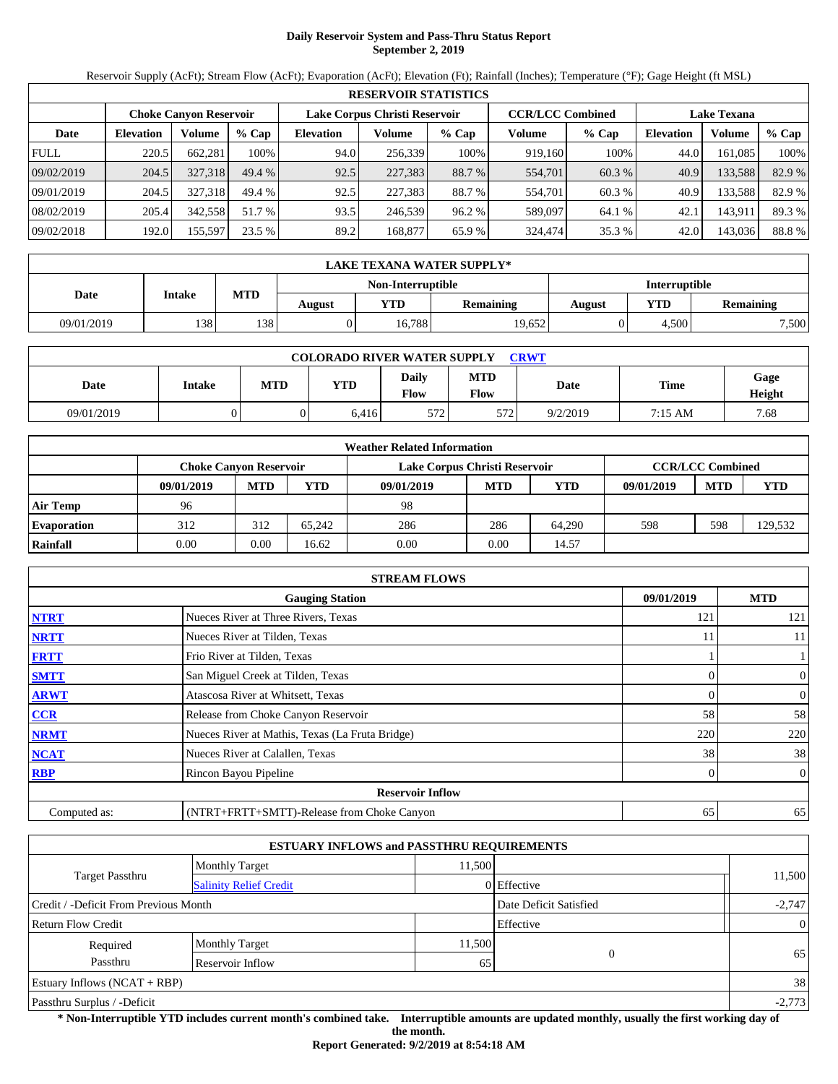# **Daily Reservoir System and Pass-Thru Status Report September 2, 2019**

Reservoir Supply (AcFt); Stream Flow (AcFt); Evaporation (AcFt); Elevation (Ft); Rainfall (Inches); Temperature (°F); Gage Height (ft MSL)

|             | <b>RESERVOIR STATISTICS</b> |                               |         |                               |         |         |                         |         |                    |         |        |  |  |
|-------------|-----------------------------|-------------------------------|---------|-------------------------------|---------|---------|-------------------------|---------|--------------------|---------|--------|--|--|
|             |                             | <b>Choke Canvon Reservoir</b> |         | Lake Corpus Christi Reservoir |         |         | <b>CCR/LCC Combined</b> |         | <b>Lake Texana</b> |         |        |  |  |
| Date        | <b>Elevation</b>            | <b>Volume</b>                 | $%$ Cap | <b>Elevation</b>              | Volume  | $%$ Cap | Volume                  | $%$ Cap | <b>Elevation</b>   | Volume  | % Cap  |  |  |
| <b>FULL</b> | 220.5                       | 662,281                       | 100%    | 94.0                          | 256,339 | 100%    | 919,160                 | 100%    | 44.0               | 161.085 | 100%   |  |  |
| 09/02/2019  | 204.5                       | 327.318                       | 49.4 %  | 92.5                          | 227,383 | 88.7 %  | 554,701                 | 60.3 %  | 40.9               | 133,588 | 82.9 % |  |  |
| 09/01/2019  | 204.5                       | 327.318                       | 49.4 %  | 92.5                          | 227,383 | 88.7 %  | 554,701                 | 60.3 %  | 40.9               | 133,588 | 82.9 % |  |  |
| 08/02/2019  | 205.4                       | 342,558                       | 51.7 %  | 93.5                          | 246.539 | 96.2 %  | 589,097                 | 64.1 %  | 42.1               | 143,911 | 89.3%  |  |  |
| 09/02/2018  | 192.0                       | 155,597                       | 23.5 %  | 89.2                          | 168,877 | 65.9%   | 324,474                 | 35.3 %  | 42.0               | 143,036 | 88.8%  |  |  |

|            | LAKE TEXANA WATER SUPPLY* |     |        |                   |                  |               |            |           |  |  |  |
|------------|---------------------------|-----|--------|-------------------|------------------|---------------|------------|-----------|--|--|--|
|            |                           |     |        | Non-Interruptible |                  | Interruptible |            |           |  |  |  |
| Date       | Intake                    | MTD | August | YTD               | <b>Remaining</b> | <b>August</b> | <b>YTD</b> | Remaining |  |  |  |
| 09/01/2019 | 138                       | 138 |        | 16,788            | 19,652           |               | 4.500      | 7,500     |  |  |  |

| <b>COLORADO RIVER WATER SUPPLY</b><br><b>CRWT</b> |               |            |       |               |                    |          |         |                |  |  |
|---------------------------------------------------|---------------|------------|-------|---------------|--------------------|----------|---------|----------------|--|--|
| Date                                              | <b>Intake</b> | <b>MTD</b> | YTD   | Daily<br>Flow | <b>MTD</b><br>Flow | Date     | Time    | Gage<br>Height |  |  |
| 09/01/2019                                        |               |            | 6,416 | 572           | 572                | 9/2/2019 | 7:15 AM | 7.68           |  |  |

|                    | <b>Weather Related Information</b> |            |        |                               |                         |            |            |            |            |  |  |  |
|--------------------|------------------------------------|------------|--------|-------------------------------|-------------------------|------------|------------|------------|------------|--|--|--|
|                    | <b>Choke Canvon Reservoir</b>      |            |        | Lake Corpus Christi Reservoir | <b>CCR/LCC Combined</b> |            |            |            |            |  |  |  |
|                    | 09/01/2019                         | <b>MTD</b> | YTD    | 09/01/2019                    | <b>MTD</b>              | <b>YTD</b> | 09/01/2019 | <b>MTD</b> | <b>YTD</b> |  |  |  |
| <b>Air Temp</b>    | 96                                 |            |        | 98                            |                         |            |            |            |            |  |  |  |
| <b>Evaporation</b> | 312                                | 312        | 65.242 | 286                           | 286                     | 64.290     | 598        | 598        | 129,532    |  |  |  |
| Rainfall           | 0.00                               | 0.00       | 16.62  | 0.00                          | 0.00                    | 14.57      |            |            |            |  |  |  |

|                                      | <b>STREAM FLOWS</b>                             |          |                |  |  |  |  |  |  |
|--------------------------------------|-------------------------------------------------|----------|----------------|--|--|--|--|--|--|
| 09/01/2019<br><b>Gauging Station</b> |                                                 |          |                |  |  |  |  |  |  |
| <b>NTRT</b>                          | Nueces River at Three Rivers, Texas             | 121      | 121            |  |  |  |  |  |  |
| <b>NRTT</b>                          | Nueces River at Tilden, Texas                   | 11       | 11             |  |  |  |  |  |  |
| <b>FRTT</b>                          | Frio River at Tilden, Texas                     |          |                |  |  |  |  |  |  |
| <b>SMTT</b>                          | San Miguel Creek at Tilden, Texas               | $\Omega$ | $\mathbf{0}$   |  |  |  |  |  |  |
| <b>ARWT</b>                          | Atascosa River at Whitsett, Texas               | $\Omega$ | $\mathbf{0}$   |  |  |  |  |  |  |
| <b>CCR</b>                           | Release from Choke Canyon Reservoir             | 58       | 58             |  |  |  |  |  |  |
| <b>NRMT</b>                          | Nueces River at Mathis, Texas (La Fruta Bridge) | 220      | 220            |  |  |  |  |  |  |
| <b>NCAT</b>                          | Nueces River at Calallen, Texas                 | 38       | 38             |  |  |  |  |  |  |
| <b>RBP</b>                           | Rincon Bayou Pipeline                           | $\Omega$ | $\overline{0}$ |  |  |  |  |  |  |
|                                      | <b>Reservoir Inflow</b>                         |          |                |  |  |  |  |  |  |
| Computed as:                         | (NTRT+FRTT+SMTT)-Release from Choke Canyon      | 65       | 65             |  |  |  |  |  |  |

|                                       |                                 | <b>ESTUARY INFLOWS and PASSTHRU REQUIREMENTS</b> |             |                |
|---------------------------------------|---------------------------------|--------------------------------------------------|-------------|----------------|
|                                       | 11.500<br><b>Monthly Target</b> |                                                  |             |                |
| Target Passthru                       | <b>Salinity Relief Credit</b>   |                                                  | 0 Effective | 11,500         |
| Credit / -Deficit From Previous Month |                                 | Date Deficit Satisfied                           | $-2,747$    |                |
| <b>Return Flow Credit</b>             |                                 |                                                  | Effective   | $\overline{0}$ |
| Required                              | <b>Monthly Target</b>           | 11,500                                           |             |                |
| Passthru                              | Reservoir Inflow                | 65                                               | $\Omega$    | 65             |
| Estuary Inflows $(NCAT + RBP)$        |                                 |                                                  |             | 38             |
| Passthru Surplus / -Deficit           |                                 |                                                  |             | $-2,773$       |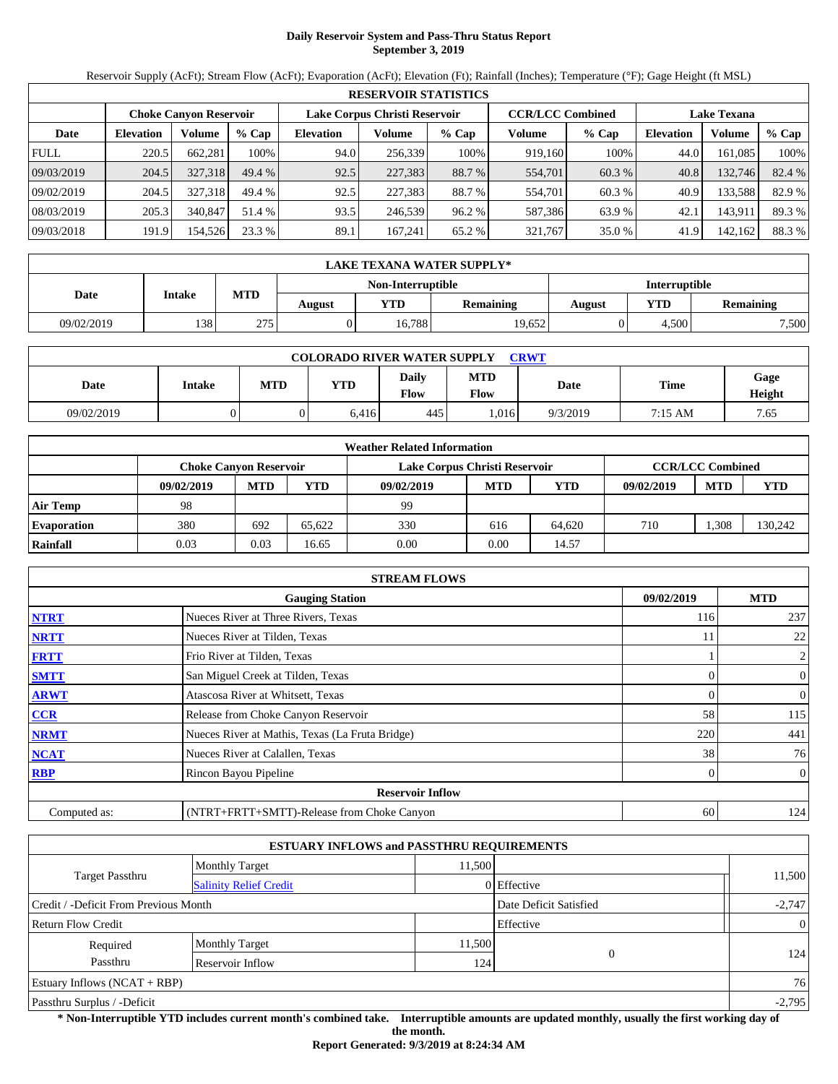# **Daily Reservoir System and Pass-Thru Status Report September 3, 2019**

Reservoir Supply (AcFt); Stream Flow (AcFt); Evaporation (AcFt); Elevation (Ft); Rainfall (Inches); Temperature (°F); Gage Height (ft MSL)

| <b>RESERVOIR STATISTICS</b> |                  |                               |         |                               |         |         |                         |         |                    |         |        |
|-----------------------------|------------------|-------------------------------|---------|-------------------------------|---------|---------|-------------------------|---------|--------------------|---------|--------|
|                             |                  | <b>Choke Canyon Reservoir</b> |         | Lake Corpus Christi Reservoir |         |         | <b>CCR/LCC Combined</b> |         | <b>Lake Texana</b> |         |        |
| Date                        | <b>Elevation</b> | Volume                        | $%$ Cap | <b>Elevation</b>              | Volume  | $%$ Cap | Volume                  | $%$ Cap | <b>Elevation</b>   | Volume  | % Cap  |
| <b>FULL</b>                 | 220.5            | 662.281                       | 100%    | 94.0                          | 256,339 | 100%    | 919,160                 | 100%    | 44.0               | 161.085 | 100%   |
| 09/03/2019                  | 204.5            | 327.318                       | 49.4%   | 92.5                          | 227,383 | 88.7 %  | 554,701                 | 60.3 %  | 40.8               | 132,746 | 82.4 % |
| 09/02/2019                  | 204.5            | 327.318                       | 49.4 %  | 92.5                          | 227,383 | 88.7 %  | 554,701                 | 60.3 %  | 40.9               | 133,588 | 82.9 % |
| 08/03/2019                  | 205.3            | 340,847                       | 51.4 %  | 93.5                          | 246.539 | 96.2%   | 587.386                 | 63.9 %  | 42.1               | 143.911 | 89.3%  |
| 09/03/2018                  | 191.9            | 154,526                       | 23.3 %  | 89.1                          | 167.241 | 65.2 %  | 321,767                 | 35.0 %  | 41.9               | 142,162 | 88.3%  |

|            | LAKE TEXANA WATER SUPPLY* |     |        |                   |           |               |       |           |  |  |  |  |
|------------|---------------------------|-----|--------|-------------------|-----------|---------------|-------|-----------|--|--|--|--|
|            |                           |     |        | Non-Interruptible |           | Interruptible |       |           |  |  |  |  |
| Date       | <b>Intake</b>             | MTD | August | VTD-              | Remaining | August        | YTD   | Remaining |  |  |  |  |
| 09/02/2019 | 138                       | 275 |        | 16.788            | 19,652    |               | 4.500 | 7,500     |  |  |  |  |

| <b>COLORADO RIVER WATER SUPPLY</b><br><b>CRWT</b> |               |     |       |                      |                    |          |         |                |  |  |  |
|---------------------------------------------------|---------------|-----|-------|----------------------|--------------------|----------|---------|----------------|--|--|--|
| Date                                              | <b>Intake</b> | MTD | YTD   | <b>Daily</b><br>Flow | MTD<br><b>Flow</b> | Date     | Time    | Gage<br>Height |  |  |  |
| 09/02/2019                                        |               |     | 6,416 | 445                  | 1,016              | 9/3/2019 | 7:15 AM | 7.65           |  |  |  |

| <b>Weather Related Information</b> |                               |            |        |                               |                         |            |            |            |            |  |  |
|------------------------------------|-------------------------------|------------|--------|-------------------------------|-------------------------|------------|------------|------------|------------|--|--|
|                                    | <b>Choke Canvon Reservoir</b> |            |        | Lake Corpus Christi Reservoir | <b>CCR/LCC Combined</b> |            |            |            |            |  |  |
|                                    | 09/02/2019                    | <b>MTD</b> | YTD    | 09/02/2019                    | <b>MTD</b>              | <b>YTD</b> | 09/02/2019 | <b>MTD</b> | <b>YTD</b> |  |  |
| <b>Air Temp</b>                    | 98                            |            |        | 99                            |                         |            |            |            |            |  |  |
| <b>Evaporation</b>                 | 380                           | 692        | 65.622 | 330                           | 616                     | 64.620     | 710        | .308       | 130,242    |  |  |
| Rainfall                           | 0.03                          | 0.03       | 16.65  | 0.00                          | 0.00                    | 14.57      |            |            |            |  |  |

| <b>STREAM FLOWS</b>                                |                                                 |     |                |  |  |  |  |  |  |
|----------------------------------------------------|-------------------------------------------------|-----|----------------|--|--|--|--|--|--|
| <b>MTD</b><br>09/02/2019<br><b>Gauging Station</b> |                                                 |     |                |  |  |  |  |  |  |
| <b>NTRT</b>                                        | Nueces River at Three Rivers, Texas             | 116 | 237            |  |  |  |  |  |  |
| <b>NRTT</b>                                        | Nueces River at Tilden, Texas                   | 11  | 22             |  |  |  |  |  |  |
| <b>FRTT</b>                                        | Frio River at Tilden, Texas                     |     | $\overline{c}$ |  |  |  |  |  |  |
| <b>SMTT</b>                                        | San Miguel Creek at Tilden, Texas               | 0   | $\overline{0}$ |  |  |  |  |  |  |
| <b>ARWT</b>                                        | Atascosa River at Whitsett, Texas               | 0   | $\overline{0}$ |  |  |  |  |  |  |
| CCR                                                | Release from Choke Canyon Reservoir             | 58  | 115            |  |  |  |  |  |  |
| <b>NRMT</b>                                        | Nueces River at Mathis, Texas (La Fruta Bridge) | 220 | 441            |  |  |  |  |  |  |
| <b>NCAT</b>                                        | Nueces River at Calallen, Texas                 | 38  | 76             |  |  |  |  |  |  |
| <b>RBP</b>                                         | Rincon Bayou Pipeline                           | 0   | $\overline{0}$ |  |  |  |  |  |  |
|                                                    | <b>Reservoir Inflow</b>                         |     |                |  |  |  |  |  |  |
| Computed as:                                       | (NTRT+FRTT+SMTT)-Release from Choke Canyon      | 60  | 124            |  |  |  |  |  |  |

|                                       |                               | <b>ESTUARY INFLOWS and PASSTHRU REQUIREMENTS</b> |             |        |  |  |
|---------------------------------------|-------------------------------|--------------------------------------------------|-------------|--------|--|--|
|                                       | <b>Monthly Target</b>         | 11.500                                           |             |        |  |  |
| Target Passthru                       | <b>Salinity Relief Credit</b> |                                                  | 0 Effective | 11,500 |  |  |
| Credit / -Deficit From Previous Month |                               | Date Deficit Satisfied                           | $-2,747$    |        |  |  |
| Effective<br>Return Flow Credit       |                               |                                                  |             |        |  |  |
| Required                              | <b>Monthly Target</b>         | 11,500                                           |             |        |  |  |
| Passthru                              | Reservoir Inflow              | 124                                              | $\Omega$    | 124    |  |  |
| Estuary Inflows $(NCAT + RBP)$        |                               |                                                  |             |        |  |  |
| Passthru Surplus / -Deficit           |                               |                                                  |             |        |  |  |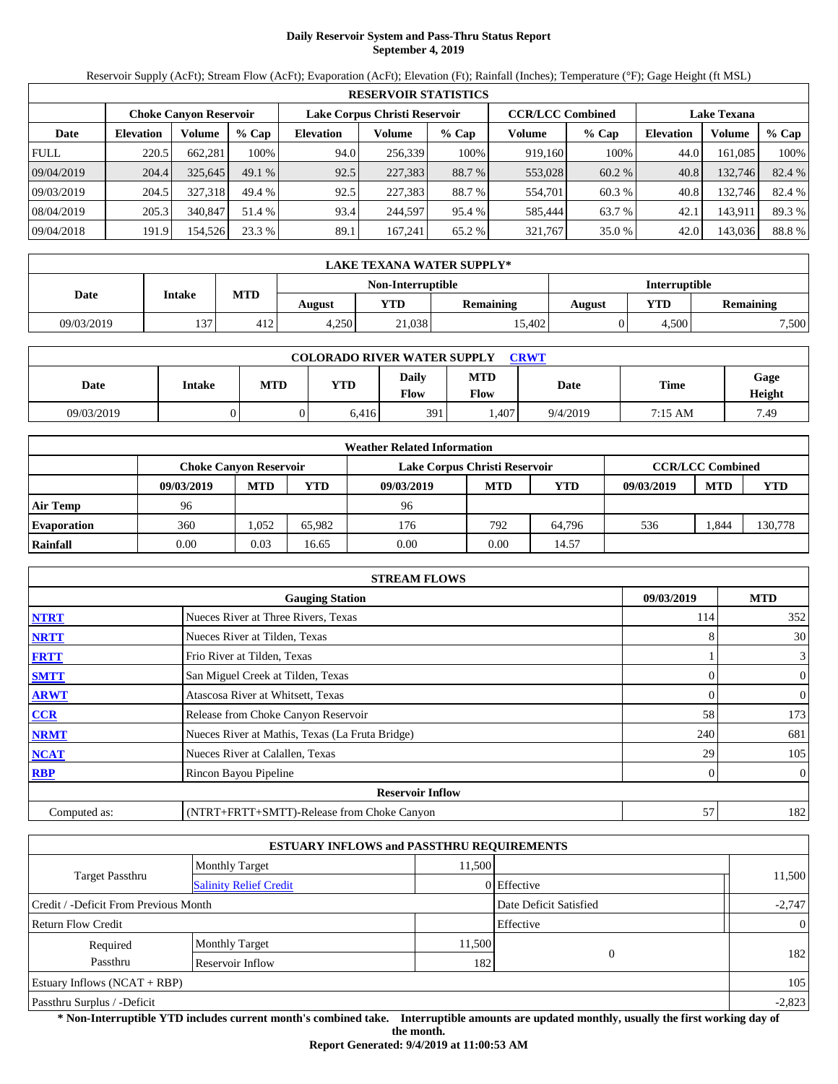# **Daily Reservoir System and Pass-Thru Status Report September 4, 2019**

Reservoir Supply (AcFt); Stream Flow (AcFt); Evaporation (AcFt); Elevation (Ft); Rainfall (Inches); Temperature (°F); Gage Height (ft MSL)

| <b>RESERVOIR STATISTICS</b> |                                                                |         |         |                  |         |         |         |         |                                               |         |        |
|-----------------------------|----------------------------------------------------------------|---------|---------|------------------|---------|---------|---------|---------|-----------------------------------------------|---------|--------|
|                             | Lake Corpus Christi Reservoir<br><b>Choke Canyon Reservoir</b> |         |         |                  |         |         |         |         | <b>CCR/LCC Combined</b><br><b>Lake Texana</b> |         |        |
| Date                        | <b>Elevation</b>                                               | Volume  | $%$ Cap | <b>Elevation</b> | Volume  | $%$ Cap | Volume  | $%$ Cap | <b>Elevation</b>                              | Volume  | % Cap  |
| <b>FULL</b>                 | 220.5                                                          | 662.281 | 100%    | 94.0             | 256,339 | 100%    | 919,160 | 100%    | 44.0                                          | 161.085 | 100%   |
| 09/04/2019                  | 204.4                                                          | 325,645 | 49.1%   | 92.5             | 227,383 | 88.7 %  | 553,028 | 60.2 %  | 40.8                                          | 132,746 | 82.4 % |
| 09/03/2019                  | 204.5                                                          | 327.318 | 49.4 %  | 92.5             | 227,383 | 88.7 %  | 554,701 | 60.3 %  | 40.8                                          | 132.746 | 82.4 % |
| 08/04/2019                  | 205.3                                                          | 340,847 | 51.4 %  | 93.4             | 244.597 | 95.4 %  | 585.444 | 63.7 %  | 42.1                                          | 143,911 | 89.3%  |
| 09/04/2018                  | 191.9                                                          | 154,526 | 23.3 %  | 89.1             | 167.241 | 65.2 %  | 321,767 | 35.0 %  | 42.0                                          | 143,036 | 88.8%  |

|            | LAKE TEXANA WATER SUPPLY*                      |     |       |                   |           |               |       |           |  |  |  |
|------------|------------------------------------------------|-----|-------|-------------------|-----------|---------------|-------|-----------|--|--|--|
|            |                                                |     |       | Non-Interruptible |           | Interruptible |       |           |  |  |  |
|            | MTD<br><b>Intake</b><br>Date<br>VTD-<br>August |     |       |                   | Remaining | August        | YTD   | Remaining |  |  |  |
| 09/03/2019 | 137                                            | 412 | 4,250 | 21,038            | 15.402    |               | 4.500 | 7,500     |  |  |  |

| <b>COLORADO RIVER WATER SUPPLY</b><br><b>CRWT</b> |               |     |            |                      |                    |          |         |                |  |  |  |
|---------------------------------------------------|---------------|-----|------------|----------------------|--------------------|----------|---------|----------------|--|--|--|
| Date                                              | <b>Intake</b> | MTD | <b>YTD</b> | <b>Daily</b><br>Flow | MTD<br><b>Flow</b> | Date     | Time    | Gage<br>Height |  |  |  |
| 09/03/2019                                        |               |     | 6,416      | 391                  | .407               | 9/4/2019 | 7:15 AM | 7.49           |  |  |  |

| <b>Weather Related Information</b> |                               |            |        |                               |                         |            |            |            |            |  |  |
|------------------------------------|-------------------------------|------------|--------|-------------------------------|-------------------------|------------|------------|------------|------------|--|--|
|                                    | <b>Choke Canvon Reservoir</b> |            |        | Lake Corpus Christi Reservoir | <b>CCR/LCC Combined</b> |            |            |            |            |  |  |
|                                    | 09/03/2019                    | <b>MTD</b> | YTD    | 09/03/2019                    | <b>MTD</b>              | <b>YTD</b> | 09/03/2019 | <b>MTD</b> | <b>YTD</b> |  |  |
| <b>Air Temp</b>                    | 96                            |            |        | 96                            |                         |            |            |            |            |  |  |
| <b>Evaporation</b>                 | 360                           | .052       | 65.982 | 176                           | 792                     | 64.796     | 536        | .844       | 130,778    |  |  |
| Rainfall                           | 0.00                          | 0.03       | 16.65  | 0.00                          | 0.00                    | 14.57      |            |            |            |  |  |

| <b>STREAM FLOWS</b>                                |                                                 |     |                |  |  |  |  |  |
|----------------------------------------------------|-------------------------------------------------|-----|----------------|--|--|--|--|--|
| <b>MTD</b><br>09/03/2019<br><b>Gauging Station</b> |                                                 |     |                |  |  |  |  |  |
| <b>NTRT</b>                                        | Nueces River at Three Rivers, Texas             | 114 | 352            |  |  |  |  |  |
| <b>NRTT</b>                                        | Nueces River at Tilden, Texas                   | 8   | 30             |  |  |  |  |  |
| <b>FRTT</b>                                        | Frio River at Tilden, Texas                     |     | $\mathbf{3}$   |  |  |  |  |  |
| <b>SMTT</b>                                        | San Miguel Creek at Tilden, Texas               | 0   | $\overline{0}$ |  |  |  |  |  |
| <b>ARWT</b>                                        | Atascosa River at Whitsett, Texas               | 0   | $\overline{0}$ |  |  |  |  |  |
| CCR                                                | Release from Choke Canyon Reservoir             | 58  | 173            |  |  |  |  |  |
| <b>NRMT</b>                                        | Nueces River at Mathis, Texas (La Fruta Bridge) | 240 | 681            |  |  |  |  |  |
| <b>NCAT</b>                                        | Nueces River at Calallen, Texas                 | 29  | 105            |  |  |  |  |  |
| <b>RBP</b>                                         | Rincon Bayou Pipeline                           | 0   | $\overline{0}$ |  |  |  |  |  |
|                                                    | <b>Reservoir Inflow</b>                         |     |                |  |  |  |  |  |
| Computed as:                                       | (NTRT+FRTT+SMTT)-Release from Choke Canyon      | 57  | 182            |  |  |  |  |  |

|                                       |                               | <b>ESTUARY INFLOWS and PASSTHRU REQUIREMENTS</b> |               |                |  |  |
|---------------------------------------|-------------------------------|--------------------------------------------------|---------------|----------------|--|--|
|                                       | <b>Monthly Target</b>         | 11.500                                           |               |                |  |  |
| Target Passthru                       | <b>Salinity Relief Credit</b> |                                                  | $0$ Effective | 11,500         |  |  |
| Credit / -Deficit From Previous Month |                               | Date Deficit Satisfied                           | $-2,747$      |                |  |  |
| <b>Return Flow Credit</b>             |                               |                                                  | Effective     | $\overline{0}$ |  |  |
| Required                              | <b>Monthly Target</b>         | 11,500                                           |               |                |  |  |
| Passthru                              | Reservoir Inflow              | 182                                              | $\Omega$      | 182            |  |  |
| Estuary Inflows $(NCAT + RBP)$        |                               |                                                  |               |                |  |  |
| Passthru Surplus / -Deficit           |                               |                                                  |               |                |  |  |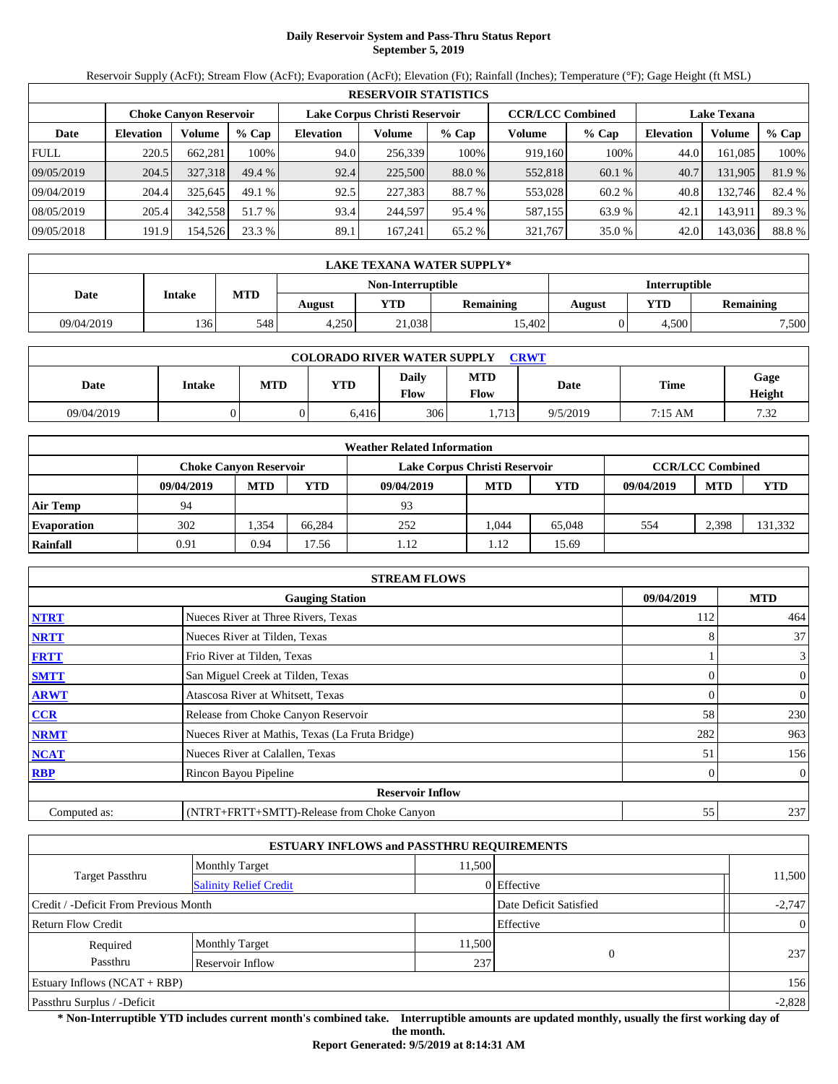# **Daily Reservoir System and Pass-Thru Status Report September 5, 2019**

Reservoir Supply (AcFt); Stream Flow (AcFt); Evaporation (AcFt); Elevation (Ft); Rainfall (Inches); Temperature (°F); Gage Height (ft MSL)

| <b>RESERVOIR STATISTICS</b> |                                                                                                                 |         |         |                  |         |         |         |         |                  |         |        |
|-----------------------------|-----------------------------------------------------------------------------------------------------------------|---------|---------|------------------|---------|---------|---------|---------|------------------|---------|--------|
|                             | <b>CCR/LCC Combined</b><br>Lake Corpus Christi Reservoir<br><b>Choke Canyon Reservoir</b><br><b>Lake Texana</b> |         |         |                  |         |         |         |         |                  |         |        |
| Date                        | <b>Elevation</b>                                                                                                | Volume  | $%$ Cap | <b>Elevation</b> | Volume  | $%$ Cap | Volume  | $%$ Cap | <b>Elevation</b> | Volume  | % Cap  |
| <b>FULL</b>                 | 220.5                                                                                                           | 662.281 | 100%    | 94.0             | 256,339 | 100%    | 919,160 | 100%    | 44.0             | 161.085 | 100%   |
| 09/05/2019                  | 204.5                                                                                                           | 327,318 | 49.4%   | 92.4             | 225,500 | 88.0 %  | 552,818 | 60.1 %  | 40.7             | 131,905 | 81.9%  |
| 09/04/2019                  | 204.4                                                                                                           | 325.645 | 49.1%   | 92.5             | 227,383 | 88.7 %  | 553,028 | 60.2 %  | 40.8             | 132.746 | 82.4 % |
| 08/05/2019                  | 205.4                                                                                                           | 342,558 | 51.7 %  | 93.4             | 244.597 | 95.4 %  | 587,155 | 63.9 %  | 42.1             | 143,911 | 89.3%  |
| 09/05/2018                  | 191.9                                                                                                           | 154,526 | 23.3 %  | 89.1             | 167.241 | 65.2 %  | 321,767 | 35.0 %  | 42.0             | 143,036 | 88.8%  |

|            | LAKE TEXANA WATER SUPPLY* |                                                     |       |                   |        |               |       |           |  |  |  |
|------------|---------------------------|-----------------------------------------------------|-------|-------------------|--------|---------------|-------|-----------|--|--|--|
|            |                           |                                                     |       | Non-Interruptible |        | Interruptible |       |           |  |  |  |
| Date       |                           | MTD<br><b>Intake</b><br>VTD-<br>Remaining<br>August |       |                   |        | August        | YTD   | Remaining |  |  |  |
| 09/04/2019 | 136'                      | 548                                                 | 4.250 | 21,038            | 15.402 |               | 4.500 | 7,500     |  |  |  |

| <b>COLORADO RIVER WATER SUPPLY</b><br><b>CRWT</b> |               |     |            |                      |                    |          |         |                |  |  |  |
|---------------------------------------------------|---------------|-----|------------|----------------------|--------------------|----------|---------|----------------|--|--|--|
| Date                                              | <b>Intake</b> | MTD | <b>YTD</b> | <b>Daily</b><br>Flow | MTD<br><b>Flow</b> | Date     | Time    | Gage<br>Height |  |  |  |
| 09/04/2019                                        |               |     | 6,416      | 306                  | .713               | 9/5/2019 | 7:15 AM | 7.32           |  |  |  |

| <b>Weather Related Information</b> |                               |            |        |                               |                         |            |            |            |            |  |  |
|------------------------------------|-------------------------------|------------|--------|-------------------------------|-------------------------|------------|------------|------------|------------|--|--|
|                                    | <b>Choke Canvon Reservoir</b> |            |        | Lake Corpus Christi Reservoir | <b>CCR/LCC Combined</b> |            |            |            |            |  |  |
|                                    | 09/04/2019                    | <b>MTD</b> | YTD    | 09/04/2019                    | <b>MTD</b>              | <b>YTD</b> | 09/04/2019 | <b>MTD</b> | <b>YTD</b> |  |  |
| <b>Air Temp</b>                    | 94                            |            |        | 93                            |                         |            |            |            |            |  |  |
| <b>Evaporation</b>                 | 302                           | .354       | 66.284 | 252                           | 1.044                   | 65,048     | 554        | 2.398      | 131,332    |  |  |
| Rainfall                           | 0.91                          | 0.94       | 7.56   | 1.12                          | 1.12                    | 15.69      |            |            |            |  |  |

| <b>STREAM FLOWS</b>                                |                                                 |          |                |  |  |  |  |  |
|----------------------------------------------------|-------------------------------------------------|----------|----------------|--|--|--|--|--|
| <b>MTD</b><br>09/04/2019<br><b>Gauging Station</b> |                                                 |          |                |  |  |  |  |  |
| <b>NTRT</b>                                        | Nueces River at Three Rivers, Texas             | 112      | 464            |  |  |  |  |  |
| <b>NRTT</b>                                        | Nueces River at Tilden, Texas                   | 8        | 37             |  |  |  |  |  |
| <b>FRTT</b>                                        | Frio River at Tilden, Texas                     |          | 3              |  |  |  |  |  |
| <b>SMTT</b>                                        | San Miguel Creek at Tilden, Texas               | $\Omega$ | $\mathbf{0}$   |  |  |  |  |  |
| <b>ARWT</b>                                        | Atascosa River at Whitsett, Texas               | $\Omega$ | $\mathbf{0}$   |  |  |  |  |  |
| CCR                                                | Release from Choke Canyon Reservoir             | 58       | 230            |  |  |  |  |  |
| <b>NRMT</b>                                        | Nueces River at Mathis, Texas (La Fruta Bridge) | 282      | 963            |  |  |  |  |  |
| <b>NCAT</b>                                        | Nueces River at Calallen, Texas                 | 51       | 156            |  |  |  |  |  |
| <b>RBP</b>                                         | Rincon Bayou Pipeline                           | $\Omega$ | $\overline{0}$ |  |  |  |  |  |
|                                                    | <b>Reservoir Inflow</b>                         |          |                |  |  |  |  |  |
| Computed as:                                       | (NTRT+FRTT+SMTT)-Release from Choke Canyon      | 55       | 237            |  |  |  |  |  |

|                                        |                               | <b>ESTUARY INFLOWS and PASSTHRU REQUIREMENTS</b> |               |        |  |  |
|----------------------------------------|-------------------------------|--------------------------------------------------|---------------|--------|--|--|
|                                        | <b>Monthly Target</b>         | 11.500                                           |               |        |  |  |
| Target Passthru                        | <b>Salinity Relief Credit</b> |                                                  | $0$ Effective | 11,500 |  |  |
| Credit / -Deficit From Previous Month  |                               | Date Deficit Satisfied                           | $-2,747$      |        |  |  |
| Effective<br><b>Return Flow Credit</b> |                               |                                                  |               |        |  |  |
| Required                               | <b>Monthly Target</b>         | 11,500                                           |               | 237    |  |  |
| Passthru                               | Reservoir Inflow              | 237                                              | $\Omega$      |        |  |  |
| Estuary Inflows $(NCAT + RBP)$         |                               |                                                  |               |        |  |  |
| Passthru Surplus / -Deficit            |                               |                                                  |               |        |  |  |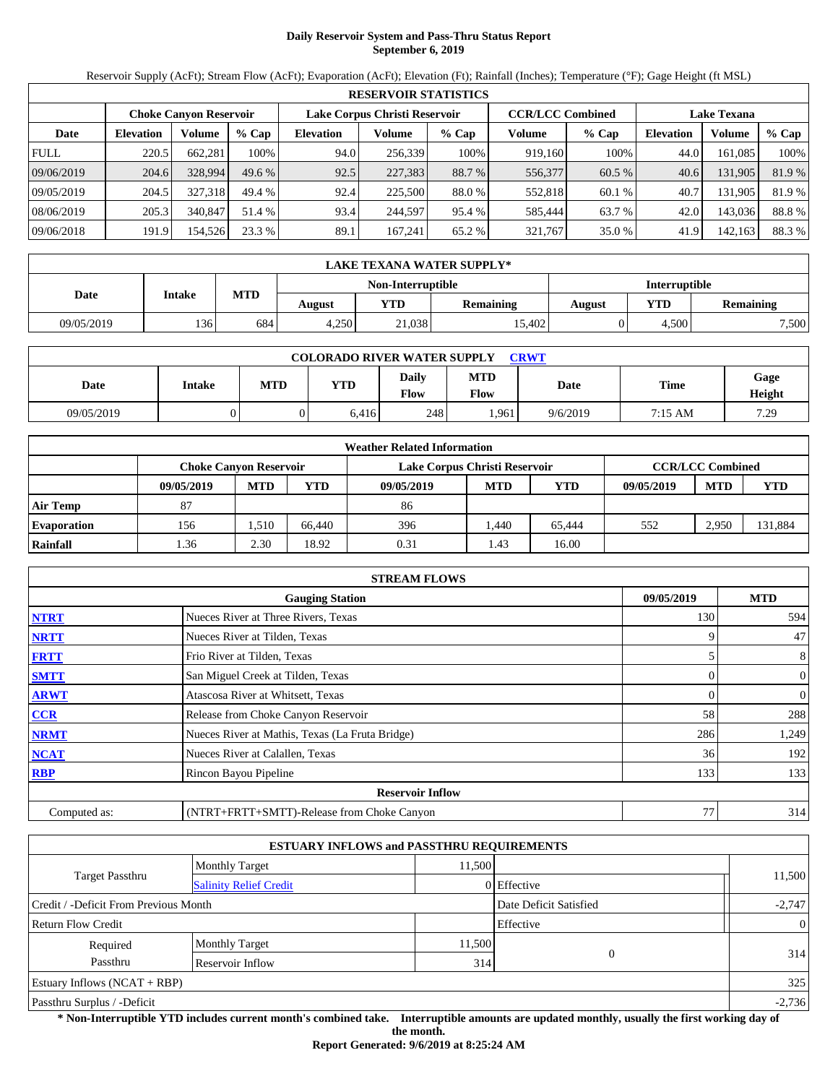# **Daily Reservoir System and Pass-Thru Status Report September 6, 2019**

Reservoir Supply (AcFt); Stream Flow (AcFt); Evaporation (AcFt); Elevation (Ft); Rainfall (Inches); Temperature (°F); Gage Height (ft MSL)

| <b>RESERVOIR STATISTICS</b> |                                                                                           |         |          |                  |         |         |         |         |                  |                    |        |  |
|-----------------------------|-------------------------------------------------------------------------------------------|---------|----------|------------------|---------|---------|---------|---------|------------------|--------------------|--------|--|
|                             | <b>CCR/LCC Combined</b><br>Lake Corpus Christi Reservoir<br><b>Choke Canyon Reservoir</b> |         |          |                  |         |         |         |         |                  | <b>Lake Texana</b> |        |  |
| Date                        | <b>Elevation</b>                                                                          | Volume  | $%$ Cap  | <b>Elevation</b> | Volume  | $%$ Cap | Volume  | $%$ Cap | <b>Elevation</b> | Volume             | % Cap  |  |
| <b>FULL</b>                 | 220.5                                                                                     | 662.281 | 100%     | 94.0             | 256,339 | 100%    | 919,160 | 100%    | 44.0             | 161.085            | 100%   |  |
| 09/06/2019                  | 204.6                                                                                     | 328,994 | $49.6\%$ | 92.5             | 227,383 | 88.7 %  | 556,377 | 60.5 %  | 40.6             | 131,905            | 81.9%  |  |
| 09/05/2019                  | 204.5                                                                                     | 327.318 | 49.4 %   | 92.4             | 225,500 | 88.0 %  | 552,818 | 60.1 %  | 40.7             | 131.905            | 81.9%  |  |
| 08/06/2019                  | 205.3                                                                                     | 340,847 | 51.4 %   | 93.4             | 244.597 | 95.4 %  | 585.444 | 63.7 %  | 42.0             | 143,036            | 88.8%  |  |
| 09/06/2018                  | 191.9                                                                                     | 154,526 | 23.3 %   | 89.1             | 167.241 | 65.2 %  | 321,767 | 35.0 %  | 41.9             | 142,163            | 88.3 % |  |

|            | LAKE TEXANA WATER SUPPLY* |     |                                    |                   |        |               |       |           |  |  |  |
|------------|---------------------------|-----|------------------------------------|-------------------|--------|---------------|-------|-----------|--|--|--|
|            |                           |     |                                    | Non-Interruptible |        | Interruptible |       |           |  |  |  |
| Date       | <b>Intake</b>             |     | MTD<br>VTD-<br>Remaining<br>August |                   |        |               | YTD   | Remaining |  |  |  |
| 09/05/2019 | 136                       | 684 | 4.250                              | 21,038            | 15.402 |               | 4.500 | 7,500     |  |  |  |

| <b>COLORADO RIVER WATER SUPPLY</b><br><b>CRWT</b> |               |     |            |                      |                    |          |         |                |  |  |  |
|---------------------------------------------------|---------------|-----|------------|----------------------|--------------------|----------|---------|----------------|--|--|--|
| Date                                              | <b>Intake</b> | MTD | <b>YTD</b> | <b>Daily</b><br>Flow | MTD<br><b>Flow</b> | Date     | Time    | Gage<br>Height |  |  |  |
| 09/05/2019                                        |               |     | 6,416      | 248                  | .961               | 9/6/2019 | 7:15 AM | 7.29           |  |  |  |

| <b>Weather Related Information</b> |            |                               |        |                               |                         |            |            |            |            |  |  |
|------------------------------------|------------|-------------------------------|--------|-------------------------------|-------------------------|------------|------------|------------|------------|--|--|
|                                    |            | <b>Choke Canvon Reservoir</b> |        | Lake Corpus Christi Reservoir | <b>CCR/LCC Combined</b> |            |            |            |            |  |  |
|                                    | 09/05/2019 | <b>MTD</b>                    | YTD    | 09/05/2019                    | <b>MTD</b>              | <b>YTD</b> | 09/05/2019 | <b>MTD</b> | <b>YTD</b> |  |  |
| <b>Air Temp</b>                    | 87         |                               |        | 86                            |                         |            |            |            |            |  |  |
| <b>Evaporation</b>                 | 156        | .510                          | 66.440 | 396                           | .440                    | 65.444     | 552        | 2.950      | 131,884    |  |  |
| Rainfall                           | .36        | 2.30                          | 18.92  | 0.31                          | 1.43                    | 16.00      |            |            |            |  |  |

|                                      | <b>STREAM FLOWS</b>                             |          |                |  |  |  |  |  |  |
|--------------------------------------|-------------------------------------------------|----------|----------------|--|--|--|--|--|--|
| 09/05/2019<br><b>Gauging Station</b> |                                                 |          |                |  |  |  |  |  |  |
| <b>NTRT</b>                          | Nueces River at Three Rivers, Texas             | 130      | 594            |  |  |  |  |  |  |
| <b>NRTT</b>                          | Nueces River at Tilden, Texas                   | 9        | 47             |  |  |  |  |  |  |
| <b>FRTT</b>                          | Frio River at Tilden, Texas                     |          | 8              |  |  |  |  |  |  |
| <b>SMTT</b>                          | San Miguel Creek at Tilden, Texas               | $\Omega$ | $\overline{0}$ |  |  |  |  |  |  |
| <b>ARWT</b>                          | Atascosa River at Whitsett, Texas               | $\Omega$ | $\overline{0}$ |  |  |  |  |  |  |
| <b>CCR</b>                           | Release from Choke Canyon Reservoir             | 58       | 288            |  |  |  |  |  |  |
| <b>NRMT</b>                          | Nueces River at Mathis, Texas (La Fruta Bridge) | 286      | 1,249          |  |  |  |  |  |  |
| <b>NCAT</b>                          | Nueces River at Calallen, Texas                 | 36       | 192            |  |  |  |  |  |  |
| <b>RBP</b>                           | Rincon Bayou Pipeline                           | 133      | 133            |  |  |  |  |  |  |
|                                      | <b>Reservoir Inflow</b>                         |          |                |  |  |  |  |  |  |
| Computed as:                         | (NTRT+FRTT+SMTT)-Release from Choke Canyon      | 77       | 314            |  |  |  |  |  |  |

|                                       |                               | <b>ESTUARY INFLOWS and PASSTHRU REQUIREMENTS</b> |               |                |
|---------------------------------------|-------------------------------|--------------------------------------------------|---------------|----------------|
|                                       | <b>Monthly Target</b>         | 11.500                                           |               |                |
| Target Passthru                       | <b>Salinity Relief Credit</b> |                                                  | $0$ Effective | 11,500         |
| Credit / -Deficit From Previous Month |                               | Date Deficit Satisfied                           | $-2,747$      |                |
| <b>Return Flow Credit</b>             |                               |                                                  | Effective     | $\overline{0}$ |
| Required                              | <b>Monthly Target</b>         | 11,500                                           |               | 314            |
| Passthru                              | Reservoir Inflow              | 314                                              | $\Omega$      |                |
| Estuary Inflows $(NCAT + RBP)$        |                               |                                                  |               | 325            |
| Passthru Surplus / -Deficit           |                               |                                                  |               | $-2,736$       |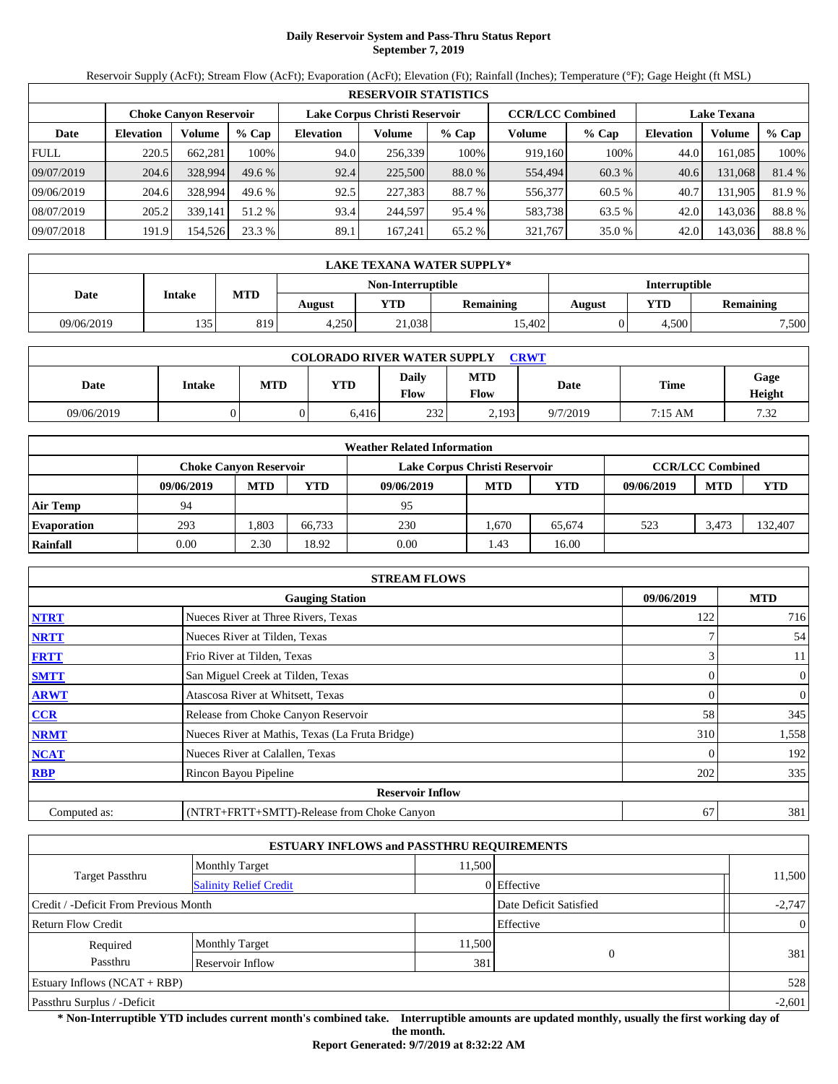# **Daily Reservoir System and Pass-Thru Status Report September 7, 2019**

Reservoir Supply (AcFt); Stream Flow (AcFt); Evaporation (AcFt); Elevation (Ft); Rainfall (Inches); Temperature (°F); Gage Height (ft MSL)

| <b>RESERVOIR STATISTICS</b> |                  |                               |          |                               |         |         |                         |         |                    |         |        |  |
|-----------------------------|------------------|-------------------------------|----------|-------------------------------|---------|---------|-------------------------|---------|--------------------|---------|--------|--|
|                             |                  | <b>Choke Canyon Reservoir</b> |          | Lake Corpus Christi Reservoir |         |         | <b>CCR/LCC Combined</b> |         | <b>Lake Texana</b> |         |        |  |
| Date                        | <b>Elevation</b> | Volume                        | $%$ Cap  | <b>Elevation</b>              | Volume  | $%$ Cap | Volume                  | $%$ Cap | <b>Elevation</b>   | Volume  | % Cap  |  |
| <b>FULL</b>                 | 220.5            | 662.281                       | 100%     | 94.0                          | 256,339 | 100%    | 919,160                 | 100%    | 44.0               | 161.085 | 100%   |  |
| 09/07/2019                  | 204.6            | 328,994                       | $49.6\%$ | 92.4                          | 225,500 | 88.0 %  | 554,494                 | 60.3 %  | 40.6               | 131,068 | 81.4 % |  |
| 09/06/2019                  | 204.6            | 328,994                       | 49.6 %   | 92.5                          | 227,383 | 88.7 %  | 556,377                 | 60.5 %  | 40.7               | 131.905 | 81.9%  |  |
| 08/07/2019                  | 205.2            | 339.141                       | 51.2 %   | 93.4                          | 244.597 | 95.4 %  | 583.738                 | 63.5 %  | 42.0               | 143.036 | 88.8%  |  |
| 09/07/2018                  | 191.9            | 154,526                       | 23.3 %   | 89.1                          | 167.241 | 65.2 %  | 321,767                 | 35.0%   | 42.0               | 143,036 | 88.8%  |  |

|            | LAKE TEXANA WATER SUPPLY* |     |        |                   |           |               |       |                  |  |  |  |
|------------|---------------------------|-----|--------|-------------------|-----------|---------------|-------|------------------|--|--|--|
|            |                           |     |        | Non-Interruptible |           | Interruptible |       |                  |  |  |  |
| Date       | <b>Intake</b>             | MTD | August | VTD-              | Remaining | August        | YTD   | <b>Remaining</b> |  |  |  |
| 09/06/2019 | 135                       | 819 | 4,250  | 21,038            | 15.402    |               | 4.500 | 7,500            |  |  |  |

| <b>COLORADO RIVER WATER SUPPLY</b><br><b>CRWT</b> |        |     |       |                      |                    |          |         |                |  |  |  |
|---------------------------------------------------|--------|-----|-------|----------------------|--------------------|----------|---------|----------------|--|--|--|
| Date                                              | Intake | MTD | YTD   | <b>Daily</b><br>Flow | MTD<br><b>Flow</b> | Date     | Time    | Gage<br>Height |  |  |  |
| 09/06/2019                                        |        |     | 6,416 | 232                  | 2,193              | 9/7/2019 | 7:15 AM | 7.32           |  |  |  |

| <b>Weather Related Information</b> |                               |            |        |                               |                         |        |            |            |         |  |  |
|------------------------------------|-------------------------------|------------|--------|-------------------------------|-------------------------|--------|------------|------------|---------|--|--|
|                                    | <b>Choke Canvon Reservoir</b> |            |        | Lake Corpus Christi Reservoir | <b>CCR/LCC Combined</b> |        |            |            |         |  |  |
|                                    | 09/06/2019                    | <b>MTD</b> | YTD    | 09/06/2019                    | <b>MTD</b>              | YTD    | 09/06/2019 | <b>MTD</b> | YTD     |  |  |
| <b>Air Temp</b>                    | 94                            |            |        | 95                            |                         |        |            |            |         |  |  |
| <b>Evaporation</b>                 | 293                           | .803       | 66.733 | 230                           | .670                    | 65.674 | 523        | 3.473      | 132.407 |  |  |
| Rainfall                           | 0.00                          | 2.30       | 18.92  | 0.00                          | 1.43                    | 16.00  |            |            |         |  |  |

| <b>STREAM FLOWS</b>                  |                                                 |     |                |  |  |  |  |  |  |
|--------------------------------------|-------------------------------------------------|-----|----------------|--|--|--|--|--|--|
| 09/06/2019<br><b>Gauging Station</b> |                                                 |     |                |  |  |  |  |  |  |
| <b>NTRT</b>                          | Nueces River at Three Rivers, Texas             | 122 | 716            |  |  |  |  |  |  |
| <b>NRTT</b>                          | Nueces River at Tilden, Texas                   |     | 54             |  |  |  |  |  |  |
| <b>FRTT</b>                          | Frio River at Tilden, Texas                     |     | 11             |  |  |  |  |  |  |
| <b>SMTT</b>                          | San Miguel Creek at Tilden, Texas               | 0   | $\overline{0}$ |  |  |  |  |  |  |
| <b>ARWT</b>                          | Atascosa River at Whitsett, Texas               |     | 0              |  |  |  |  |  |  |
| CCR                                  | Release from Choke Canyon Reservoir             | 58  | 345            |  |  |  |  |  |  |
| <b>NRMT</b>                          | Nueces River at Mathis, Texas (La Fruta Bridge) | 310 | 1,558          |  |  |  |  |  |  |
| <b>NCAT</b>                          | Nueces River at Calallen, Texas                 |     | 192            |  |  |  |  |  |  |
| <b>RBP</b>                           | Rincon Bayou Pipeline                           | 202 | 335            |  |  |  |  |  |  |
|                                      | <b>Reservoir Inflow</b>                         |     |                |  |  |  |  |  |  |
| Computed as:                         | (NTRT+FRTT+SMTT)-Release from Choke Canyon      | 67  | 381            |  |  |  |  |  |  |

| <b>ESTUARY INFLOWS and PASSTHRU REQUIREMENTS</b> |                               |                        |             |                |  |  |  |  |  |
|--------------------------------------------------|-------------------------------|------------------------|-------------|----------------|--|--|--|--|--|
|                                                  | <b>Monthly Target</b>         | 11.500                 |             |                |  |  |  |  |  |
| Target Passthru                                  | <b>Salinity Relief Credit</b> |                        | 0 Effective | 11,500         |  |  |  |  |  |
| Credit / -Deficit From Previous Month            |                               | Date Deficit Satisfied | $-2,747$    |                |  |  |  |  |  |
| <b>Return Flow Credit</b>                        |                               |                        | Effective   | $\overline{0}$ |  |  |  |  |  |
| Required                                         | <b>Monthly Target</b>         | 11,500                 |             |                |  |  |  |  |  |
| Passthru                                         | Reservoir Inflow              | 381                    |             | 381            |  |  |  |  |  |
| Estuary Inflows $(NCAT + RBP)$                   |                               |                        |             | 528            |  |  |  |  |  |
| Passthru Surplus / -Deficit                      |                               |                        |             | $-2,601$       |  |  |  |  |  |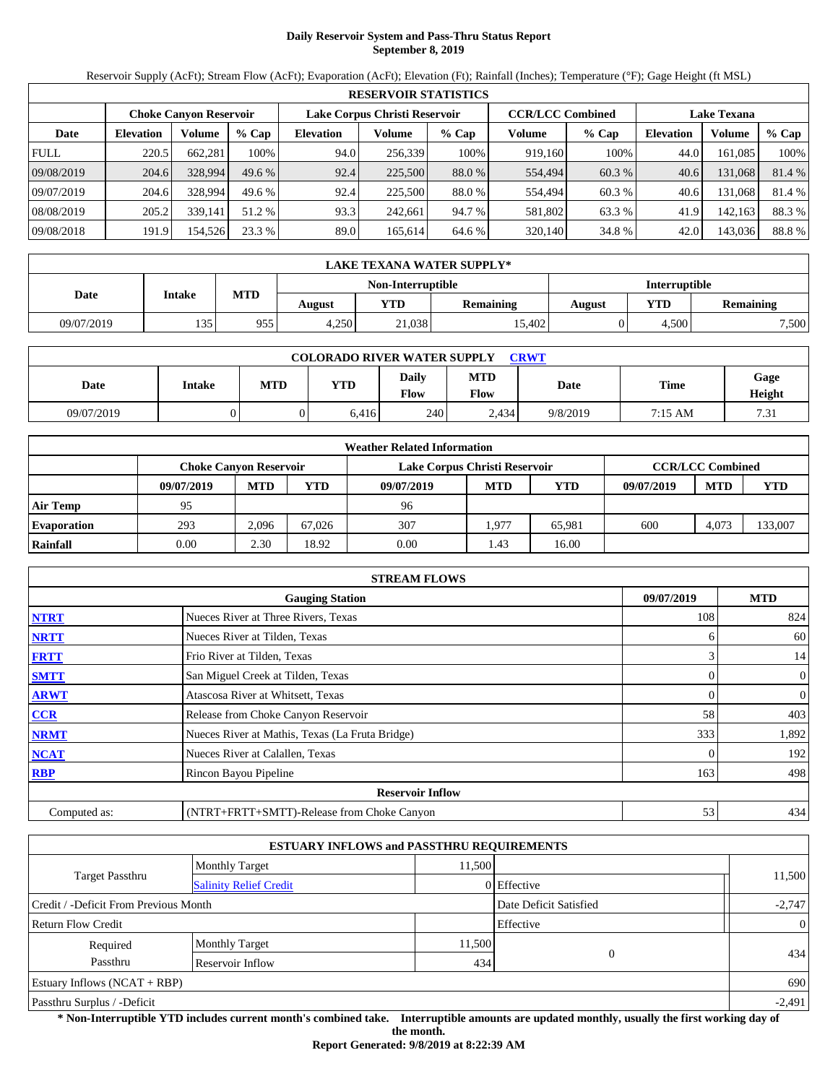# **Daily Reservoir System and Pass-Thru Status Report September 8, 2019**

Reservoir Supply (AcFt); Stream Flow (AcFt); Evaporation (AcFt); Elevation (Ft); Rainfall (Inches); Temperature (°F); Gage Height (ft MSL)

| <b>RESERVOIR STATISTICS</b> |                  |                               |         |                               |         |         |                         |         |                    |         |        |  |
|-----------------------------|------------------|-------------------------------|---------|-------------------------------|---------|---------|-------------------------|---------|--------------------|---------|--------|--|
|                             |                  | <b>Choke Canyon Reservoir</b> |         | Lake Corpus Christi Reservoir |         |         | <b>CCR/LCC Combined</b> |         | <b>Lake Texana</b> |         |        |  |
| Date                        | <b>Elevation</b> | Volume                        | $%$ Cap | <b>Elevation</b>              | Volume  | $%$ Cap | Volume                  | $%$ Cap | <b>Elevation</b>   | Volume  | % Cap  |  |
| <b>FULL</b>                 | 220.5            | 662,281                       | 100%    | 94.0                          | 256,339 | 100%    | 919,160                 | 100%    | 44.0               | 161.085 | 100%   |  |
| 09/08/2019                  | 204.6            | 328,994                       | 49.6 %  | 92.4                          | 225,500 | 88.0 %  | 554,494                 | 60.3 %  | 40.6               | 131,068 | 81.4 % |  |
| 09/07/2019                  | 204.6            | 328,994                       | 49.6 %  | 92.4                          | 225,500 | 88.0 %  | 554.494                 | 60.3 %  | 40.6               | 131.068 | 81.4 % |  |
| 08/08/2019                  | 205.2            | 339,141                       | 51.2 %  | 93.3                          | 242.661 | 94.7 %  | 581,802                 | 63.3 %  | 41.9               | 142,163 | 88.3%  |  |
| 09/08/2018                  | 191.9            | 154,526                       | 23.3 %  | 89.0                          | 165,614 | 64.6 %  | 320,140                 | 34.8 %  | 42.0               | 143,036 | 88.8%  |  |

| LAKE TEXANA WATER SUPPLY* |        |     |        |                   |                  |               |            |           |  |  |
|---------------------------|--------|-----|--------|-------------------|------------------|---------------|------------|-----------|--|--|
|                           |        |     |        | Non-Interruptible |                  | Interruptible |            |           |  |  |
| Date                      | Intake | MTD | August | YTD               | <b>Remaining</b> | <b>August</b> | <b>YTD</b> | Remaining |  |  |
| 09/07/2019                | 135    | 955 | 4,250  | 21,038            | 15,402           |               | 4.500      | 7,500     |  |  |

| <b>COLORADO RIVER WATER SUPPLY</b><br><b>CRWT</b> |        |     |       |                      |                    |          |         |                |  |  |  |
|---------------------------------------------------|--------|-----|-------|----------------------|--------------------|----------|---------|----------------|--|--|--|
| Date                                              | Intake | MTD | YTD   | <b>Daily</b><br>Flow | MTD<br><b>Flow</b> | Date     | Time    | Gage<br>Height |  |  |  |
| 09/07/2019                                        |        |     | 6,416 | 240                  | 2,434              | 9/8/2019 | 7:15 AM | 7.31           |  |  |  |

| <b>Weather Related Information</b> |            |                               |        |                               |                         |            |            |            |            |  |  |
|------------------------------------|------------|-------------------------------|--------|-------------------------------|-------------------------|------------|------------|------------|------------|--|--|
|                                    |            | <b>Choke Canvon Reservoir</b> |        | Lake Corpus Christi Reservoir | <b>CCR/LCC Combined</b> |            |            |            |            |  |  |
|                                    | 09/07/2019 | <b>MTD</b>                    | YTD    | 09/07/2019                    | <b>MTD</b>              | <b>YTD</b> | 09/07/2019 | <b>MTD</b> | <b>YTD</b> |  |  |
| <b>Air Temp</b>                    | 95         |                               |        | 96                            |                         |            |            |            |            |  |  |
| <b>Evaporation</b>                 | 293        | 2.096                         | 67.026 | 307                           | .977                    | 65.981     | 600        | 4.073      | 133,007    |  |  |
| Rainfall                           | 0.00       | 2.30                          | 18.92  | 0.00                          | 1.43                    | 16.00      |            |            |            |  |  |

| <b>STREAM FLOWS</b> |                                                 |            |                |  |  |  |  |  |
|---------------------|-------------------------------------------------|------------|----------------|--|--|--|--|--|
|                     | 09/07/2019                                      | <b>MTD</b> |                |  |  |  |  |  |
| <b>NTRT</b>         | Nueces River at Three Rivers, Texas             | 108        | 824            |  |  |  |  |  |
| <b>NRTT</b>         | Nueces River at Tilden, Texas                   | 6          | 60             |  |  |  |  |  |
| <b>FRTT</b>         | Frio River at Tilden, Texas                     | 3          | 14             |  |  |  |  |  |
| <b>SMTT</b>         | San Miguel Creek at Tilden, Texas               | $\Omega$   | $\overline{0}$ |  |  |  |  |  |
| <b>ARWT</b>         | Atascosa River at Whitsett, Texas               | $\Omega$   | $\overline{0}$ |  |  |  |  |  |
| <b>CCR</b>          | Release from Choke Canyon Reservoir             | 58         | 403            |  |  |  |  |  |
| <b>NRMT</b>         | Nueces River at Mathis, Texas (La Fruta Bridge) | 333        | 1,892          |  |  |  |  |  |
| <b>NCAT</b>         | Nueces River at Calallen, Texas                 |            | 192            |  |  |  |  |  |
| <b>RBP</b>          | Rincon Bayou Pipeline                           | 163        | 498            |  |  |  |  |  |
|                     | <b>Reservoir Inflow</b>                         |            |                |  |  |  |  |  |
| Computed as:        | (NTRT+FRTT+SMTT)-Release from Choke Canyon      | 53         | 434            |  |  |  |  |  |

| <b>ESTUARY INFLOWS and PASSTHRU REQUIREMENTS</b> |                               |                        |               |                |  |  |  |  |  |
|--------------------------------------------------|-------------------------------|------------------------|---------------|----------------|--|--|--|--|--|
|                                                  | <b>Monthly Target</b>         | 11,500                 |               |                |  |  |  |  |  |
| Target Passthru                                  | <b>Salinity Relief Credit</b> |                        | $0$ Effective | 11,500         |  |  |  |  |  |
| Credit / -Deficit From Previous Month            |                               | Date Deficit Satisfied | $-2,747$      |                |  |  |  |  |  |
| <b>Return Flow Credit</b>                        |                               |                        | Effective     | $\overline{0}$ |  |  |  |  |  |
| Required                                         | <b>Monthly Target</b>         | 11,500                 |               | 434            |  |  |  |  |  |
| Passthru<br>Reservoir Inflow                     |                               | 434                    | $\Omega$      |                |  |  |  |  |  |
| Estuary Inflows $(NCAT + RBP)$                   |                               |                        |               | 690            |  |  |  |  |  |
| Passthru Surplus / -Deficit                      |                               |                        |               |                |  |  |  |  |  |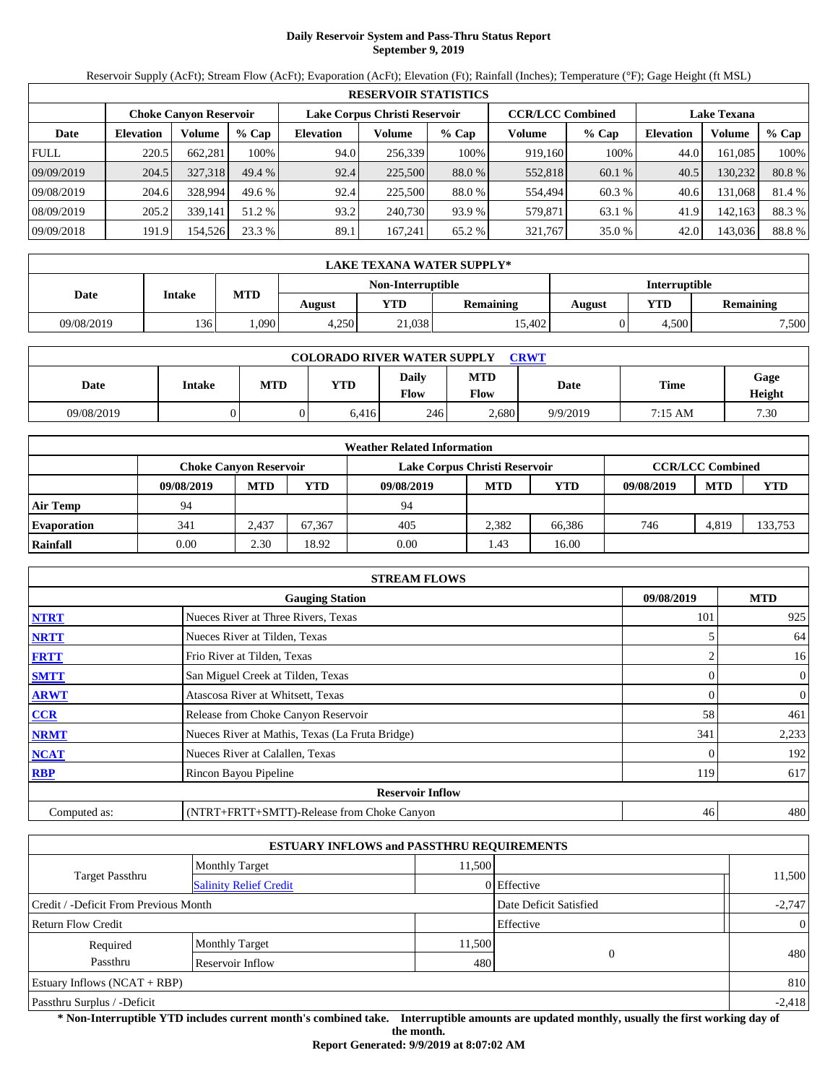# **Daily Reservoir System and Pass-Thru Status Report September 9, 2019**

Reservoir Supply (AcFt); Stream Flow (AcFt); Evaporation (AcFt); Elevation (Ft); Rainfall (Inches); Temperature (°F); Gage Height (ft MSL)

| <b>RESERVOIR STATISTICS</b> |                  |                               |         |                               |         |         |                         |         |                    |         |        |
|-----------------------------|------------------|-------------------------------|---------|-------------------------------|---------|---------|-------------------------|---------|--------------------|---------|--------|
|                             |                  | <b>Choke Canyon Reservoir</b> |         | Lake Corpus Christi Reservoir |         |         | <b>CCR/LCC Combined</b> |         | <b>Lake Texana</b> |         |        |
| Date                        | <b>Elevation</b> | Volume                        | $%$ Cap | <b>Elevation</b>              | Volume  | $%$ Cap | Volume                  | $%$ Cap | <b>Elevation</b>   | Volume  | % Cap  |
| <b>FULL</b>                 | 220.5            | 662.281                       | 100%    | 94.0                          | 256,339 | 100%    | 919,160                 | 100%    | 44.0               | 161.085 | 100%   |
| 09/09/2019                  | 204.5            | 327,318                       | 49.4%   | 92.4                          | 225,500 | 88.0 %  | 552,818                 | 60.1 %  | 40.5               | 130,232 | 80.8%  |
| 09/08/2019                  | 204.6            | 328,994                       | 49.6 %  | 92.4                          | 225,500 | 88.0 %  | 554,494                 | 60.3 %  | 40.6               | 131.068 | 81.4 % |
| 08/09/2019                  | 205.2            | 339.141                       | 51.2 %  | 93.2                          | 240,730 | 93.9 %  | 579,871                 | 63.1 %  | 41.9               | 142,163 | 88.3%  |
| 09/09/2018                  | 191.9            | 154,526                       | 23.3 %  | 89.1                          | 167.241 | 65.2 %  | 321,767                 | 35.0 %  | 42.0               | 143,036 | 88.8%  |

|            | LAKE TEXANA WATER SUPPLY* |            |        |                   |                  |               |       |                  |  |  |  |
|------------|---------------------------|------------|--------|-------------------|------------------|---------------|-------|------------------|--|--|--|
|            |                           |            |        | Non-Interruptible |                  | Interruptible |       |                  |  |  |  |
| Date       | <b>Intake</b>             | <b>MTD</b> | August | YTD               | <b>Remaining</b> | August        | YTD   | <b>Remaining</b> |  |  |  |
| 09/08/2019 | 136'                      | .090       | 4,250  | 21,038            | 15.402           |               | 4.500 | 7,500            |  |  |  |

| <b>COLORADO RIVER WATER SUPPLY</b><br><b>CRWT</b> |               |            |       |               |             |          |         |                |  |  |
|---------------------------------------------------|---------------|------------|-------|---------------|-------------|----------|---------|----------------|--|--|
| Date                                              | <b>Intake</b> | <b>MTD</b> | YTD   | Dailv<br>Flow | MTD<br>Flow | Date     | Time    | Gage<br>Height |  |  |
| 09/08/2019                                        |               |            | 6,416 | 246           | 2,680       | 9/9/2019 | 7:15 AM | 7.30           |  |  |

| <b>Weather Related Information</b> |                        |            |        |                               |                         |        |            |            |         |  |
|------------------------------------|------------------------|------------|--------|-------------------------------|-------------------------|--------|------------|------------|---------|--|
|                                    | Choke Canvon Reservoir |            |        | Lake Corpus Christi Reservoir | <b>CCR/LCC Combined</b> |        |            |            |         |  |
|                                    | 09/08/2019             | <b>MTD</b> | YTD    | 09/08/2019                    | <b>MTD</b>              | YTD    | 09/08/2019 | <b>MTD</b> | YTD     |  |
| Air Temp                           | 94                     |            |        | 94                            |                         |        |            |            |         |  |
| <b>Evaporation</b>                 | 341                    | 2.437      | 67.367 | 405                           | 2.382                   | 66,386 | 746        | 4.819      | 133,753 |  |
| Rainfall                           | 0.00                   | 2.30       | 18.92  | 0.00                          | 1.43                    | 16.00  |            |            |         |  |

|              | <b>STREAM FLOWS</b>                             |            |                |  |  |  |  |  |  |
|--------------|-------------------------------------------------|------------|----------------|--|--|--|--|--|--|
|              | 09/08/2019                                      | <b>MTD</b> |                |  |  |  |  |  |  |
| <b>NTRT</b>  | Nueces River at Three Rivers, Texas             | 101        | 925            |  |  |  |  |  |  |
| <b>NRTT</b>  | Nueces River at Tilden, Texas                   |            | 64             |  |  |  |  |  |  |
| <b>FRTT</b>  | Frio River at Tilden, Texas                     |            | 16             |  |  |  |  |  |  |
| <b>SMTT</b>  | San Miguel Creek at Tilden, Texas               | 0          | $\overline{0}$ |  |  |  |  |  |  |
| <b>ARWT</b>  | Atascosa River at Whitsett, Texas               |            | 0              |  |  |  |  |  |  |
| CCR          | Release from Choke Canyon Reservoir             | 58         | 461            |  |  |  |  |  |  |
| <b>NRMT</b>  | Nueces River at Mathis, Texas (La Fruta Bridge) | 341        | 2,233          |  |  |  |  |  |  |
| <b>NCAT</b>  | Nueces River at Calallen, Texas                 |            | 192            |  |  |  |  |  |  |
| <b>RBP</b>   | Rincon Bayou Pipeline                           | 119        | 617            |  |  |  |  |  |  |
|              | <b>Reservoir Inflow</b>                         |            |                |  |  |  |  |  |  |
| Computed as: | (NTRT+FRTT+SMTT)-Release from Choke Canyon      | 46         | 480            |  |  |  |  |  |  |

|                                       |                               | <b>ESTUARY INFLOWS and PASSTHRU REQUIREMENTS</b> |                        |                |
|---------------------------------------|-------------------------------|--------------------------------------------------|------------------------|----------------|
|                                       | <b>Monthly Target</b>         | 11.500                                           |                        |                |
| <b>Target Passthru</b>                | <b>Salinity Relief Credit</b> |                                                  | 0 Effective            | 11,500         |
| Credit / -Deficit From Previous Month |                               |                                                  | Date Deficit Satisfied | $-2,747$       |
| <b>Return Flow Credit</b>             |                               |                                                  | Effective              | $\overline{0}$ |
| Required                              | <b>Monthly Target</b>         | 11,500                                           |                        |                |
| Passthru                              | Reservoir Inflow              | 480                                              | $\Omega$               | 480            |
| Estuary Inflows $(NCAT + RBP)$        |                               |                                                  |                        | 810            |
| Passthru Surplus / -Deficit           |                               |                                                  |                        | $-2,418$       |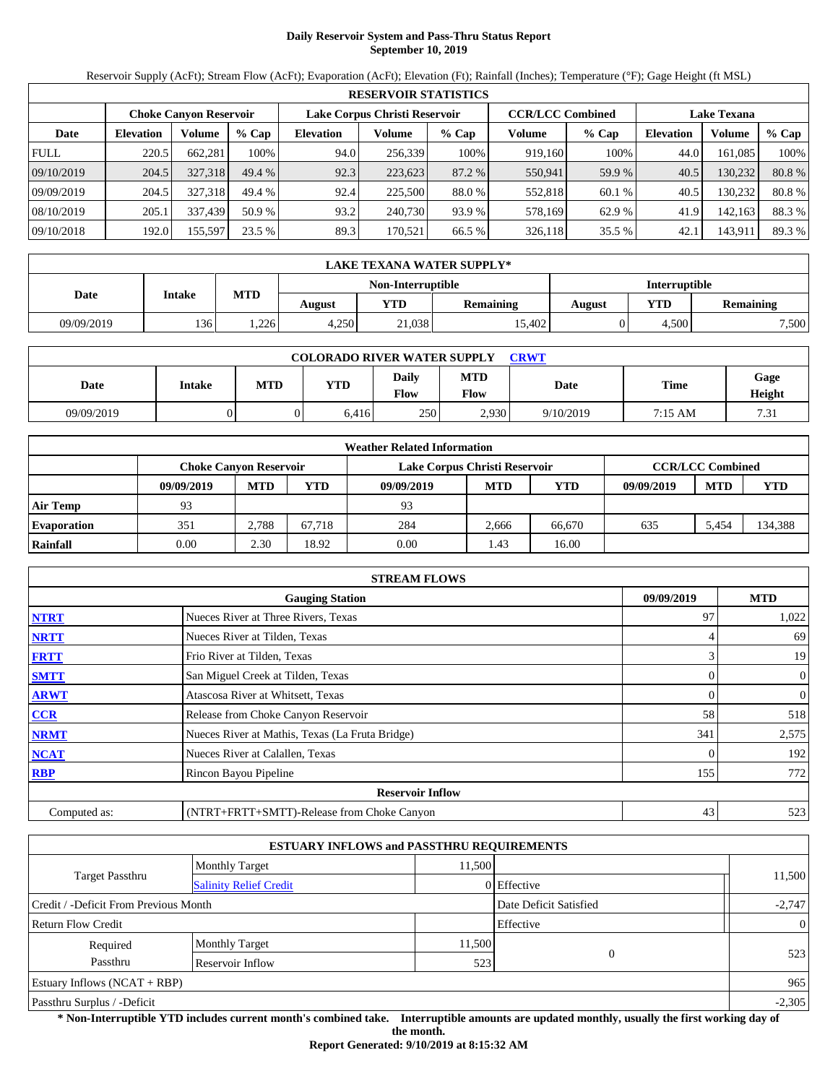# **Daily Reservoir System and Pass-Thru Status Report September 10, 2019**

Reservoir Supply (AcFt); Stream Flow (AcFt); Evaporation (AcFt); Elevation (Ft); Rainfall (Inches); Temperature (°F); Gage Height (ft MSL)

| <b>RESERVOIR STATISTICS</b> |                               |         |         |                               |         |         |                         |         |                    |         |        |
|-----------------------------|-------------------------------|---------|---------|-------------------------------|---------|---------|-------------------------|---------|--------------------|---------|--------|
|                             | <b>Choke Canyon Reservoir</b> |         |         | Lake Corpus Christi Reservoir |         |         | <b>CCR/LCC Combined</b> |         | <b>Lake Texana</b> |         |        |
| Date                        | <b>Elevation</b>              | Volume  | $%$ Cap | <b>Elevation</b>              | Volume  | $%$ Cap | Volume                  | $%$ Cap | <b>Elevation</b>   | Volume  | % Cap  |
| <b>FULL</b>                 | 220.5                         | 662,281 | 100%    | 94.0                          | 256,339 | 100%    | 919,160                 | 100%    | 44.0               | 161.085 | 100%   |
| 09/10/2019                  | 204.5                         | 327.318 | 49.4 %  | 92.3                          | 223,623 | 87.2 %  | 550,941                 | 59.9 %  | 40.5               | 130.232 | 80.8%  |
| 09/09/2019                  | 204.5                         | 327,318 | 49.4 %  | 92.4                          | 225,500 | 88.0 %  | 552,818                 | 60.1 %  | 40.5               | 130.232 | 80.8%  |
| 08/10/2019                  | 205.1                         | 337,439 | 50.9 %  | 93.2                          | 240,730 | 93.9 %  | 578,169                 | 62.9 %  | 41.9               | 142,163 | 88.3%  |
| 09/10/2018                  | 192.0                         | 155,597 | 23.5 %  | 89.3                          | 170,521 | 66.5 %  | 326,118                 | 35.5 %  | 42.1               | 143,911 | 89.3 % |

|            | LAKE TEXANA WATER SUPPLY* |            |        |                   |                  |               |       |                  |  |  |  |
|------------|---------------------------|------------|--------|-------------------|------------------|---------------|-------|------------------|--|--|--|
|            |                           |            |        | Non-Interruptible |                  | Interruptible |       |                  |  |  |  |
| Date       | <b>Intake</b>             | <b>MTD</b> | August | YTD               | <b>Remaining</b> | August        | YTD   | <b>Remaining</b> |  |  |  |
| 09/09/2019 | 136'                      | 226        | 4,250  | 21,038            | 15.402           |               | 4.500 | 7,500            |  |  |  |

| <b>COLORADO RIVER WATER SUPPLY</b><br>CRWT |        |            |       |                      |                    |           |             |                |  |  |
|--------------------------------------------|--------|------------|-------|----------------------|--------------------|-----------|-------------|----------------|--|--|
| Date                                       | Intake | <b>MTD</b> | YTD   | <b>Daily</b><br>Flow | <b>MTD</b><br>Flow | Date      | <b>Time</b> | Gage<br>Height |  |  |
| 09/09/2019                                 |        |            | 6.416 | 250                  | 2.930              | 9/10/2019 | 7:15 AM     | 7.31           |  |  |

| <b>Weather Related Information</b> |                               |            |        |                               |                         |            |            |            |            |  |
|------------------------------------|-------------------------------|------------|--------|-------------------------------|-------------------------|------------|------------|------------|------------|--|
|                                    | <b>Choke Canvon Reservoir</b> |            |        | Lake Corpus Christi Reservoir | <b>CCR/LCC Combined</b> |            |            |            |            |  |
|                                    | 09/09/2019                    | <b>MTD</b> | YTD    | 09/09/2019                    | <b>MTD</b>              | <b>YTD</b> | 09/09/2019 | <b>MTD</b> | <b>YTD</b> |  |
| <b>Air Temp</b>                    | 93                            |            |        | 93                            |                         |            |            |            |            |  |
| <b>Evaporation</b>                 | 351                           | 2.788      | 67.718 | 284                           | 2.666                   | 66.670     | 635        | 5.454      | 134,388    |  |
| Rainfall                           | 0.00                          | 2.30       | 18.92  | 0.00                          | 1.43                    | 16.00      |            |            |            |  |

|                                      | <b>STREAM FLOWS</b>                             |     |                |  |  |  |  |  |  |
|--------------------------------------|-------------------------------------------------|-----|----------------|--|--|--|--|--|--|
| 09/09/2019<br><b>Gauging Station</b> |                                                 |     |                |  |  |  |  |  |  |
| <b>NTRT</b>                          | Nueces River at Three Rivers, Texas             | 97  | 1,022          |  |  |  |  |  |  |
| <b>NRTT</b>                          | Nueces River at Tilden, Texas                   |     | 69             |  |  |  |  |  |  |
| <b>FRTT</b>                          | Frio River at Tilden, Texas                     |     | 19             |  |  |  |  |  |  |
| <b>SMTT</b>                          | San Miguel Creek at Tilden, Texas               | 0   | $\overline{0}$ |  |  |  |  |  |  |
| <b>ARWT</b>                          | Atascosa River at Whitsett, Texas               |     | 0              |  |  |  |  |  |  |
| CCR                                  | Release from Choke Canyon Reservoir             | 58  | 518            |  |  |  |  |  |  |
| <b>NRMT</b>                          | Nueces River at Mathis, Texas (La Fruta Bridge) | 341 | 2,575          |  |  |  |  |  |  |
| <b>NCAT</b>                          | Nueces River at Calallen, Texas                 |     | 192            |  |  |  |  |  |  |
| <b>RBP</b>                           | Rincon Bayou Pipeline                           | 155 | 772            |  |  |  |  |  |  |
|                                      | <b>Reservoir Inflow</b>                         |     |                |  |  |  |  |  |  |
| Computed as:                         | (NTRT+FRTT+SMTT)-Release from Choke Canyon      | 43  | 523            |  |  |  |  |  |  |

|                                       |                               | <b>ESTUARY INFLOWS and PASSTHRU REQUIREMENTS</b> |             |                |
|---------------------------------------|-------------------------------|--------------------------------------------------|-------------|----------------|
|                                       | <b>Monthly Target</b>         | 11.500                                           |             |                |
| <b>Target Passthru</b>                | <b>Salinity Relief Credit</b> |                                                  | 0 Effective | 11,500         |
| Credit / -Deficit From Previous Month |                               | Date Deficit Satisfied                           | $-2,747$    |                |
| <b>Return Flow Credit</b>             |                               |                                                  | Effective   | $\overline{0}$ |
| Required                              | <b>Monthly Target</b>         | 11,500                                           |             |                |
| Passthru                              | Reservoir Inflow              | 523                                              | $\Omega$    | 523            |
| Estuary Inflows $(NCAT + RBP)$        |                               |                                                  |             | 965            |
| Passthru Surplus / -Deficit           |                               |                                                  |             | $-2,305$       |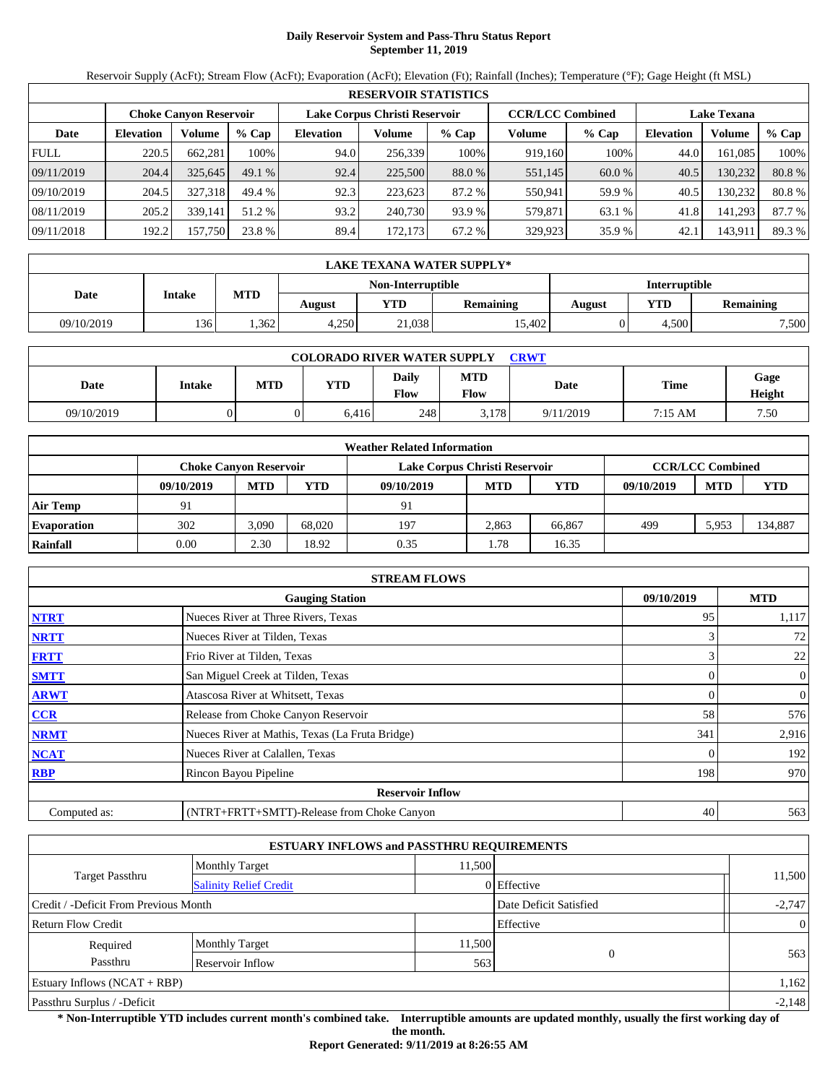# **Daily Reservoir System and Pass-Thru Status Report September 11, 2019**

Reservoir Supply (AcFt); Stream Flow (AcFt); Evaporation (AcFt); Elevation (Ft); Rainfall (Inches); Temperature (°F); Gage Height (ft MSL)

|             | <b>RESERVOIR STATISTICS</b> |                               |         |                               |         |         |                         |         |                    |         |        |  |  |
|-------------|-----------------------------|-------------------------------|---------|-------------------------------|---------|---------|-------------------------|---------|--------------------|---------|--------|--|--|
|             |                             | <b>Choke Canyon Reservoir</b> |         | Lake Corpus Christi Reservoir |         |         | <b>CCR/LCC Combined</b> |         | <b>Lake Texana</b> |         |        |  |  |
| Date        | <b>Elevation</b>            | Volume                        | $%$ Cap | <b>Elevation</b>              | Volume  | $%$ Cap | Volume                  | $%$ Cap | <b>Elevation</b>   | Volume  | % Cap  |  |  |
| <b>FULL</b> | 220.5                       | 662.281                       | 100%    | 94.0                          | 256,339 | 100%    | 919,160                 | 100%    | 44.0               | 161.085 | 100%   |  |  |
| 09/11/2019  | 204.4                       | 325,645                       | 49.1%   | 92.4                          | 225,500 | 88.0 %  | 551,145                 | 60.0 %  | 40.5               | 130.232 | 80.8%  |  |  |
| 09/10/2019  | 204.5                       | 327.318                       | 49.4 %  | 92.3                          | 223.623 | 87.2 %  | 550,941                 | 59.9 %  | 40.5               | 130.232 | 80.8%  |  |  |
| 08/11/2019  | 205.2                       | 339.141                       | 51.2 %  | 93.2                          | 240,730 | 93.9 %  | 579.871                 | 63.1 %  | 41.8               | 141.293 | 87.7 % |  |  |
| 09/11/2018  | 192.2                       | 157,750                       | 23.8 %  | 89.4                          | 172,173 | 67.2 %  | 329,923                 | 35.9 %  | 42.1               | 143,911 | 89.3 % |  |  |

| <b>LAKE TEXANA WATER SUPPLY*</b> |        |            |        |                   |                  |                      |       |                  |  |  |
|----------------------------------|--------|------------|--------|-------------------|------------------|----------------------|-------|------------------|--|--|
|                                  |        |            |        | Non-Interruptible |                  | <b>Interruptible</b> |       |                  |  |  |
| Date                             | Intake | <b>MTD</b> | August | YTD               | <b>Remaining</b> | August               | YTD   | <b>Remaining</b> |  |  |
| 09/10/2019                       | 136    | 1.362      | 4.250  | 21.038            | 15.402           |                      | 4.500 | 7,500            |  |  |

| <b>COLORADO RIVER WATER SUPPLY</b><br>CRWT |        |            |       |                      |             |           |             |                |  |  |
|--------------------------------------------|--------|------------|-------|----------------------|-------------|-----------|-------------|----------------|--|--|
| Date                                       | Intake | <b>MTD</b> | YTD   | Daily<br><b>Flow</b> | MTD<br>Flow | Date      | <b>Time</b> | Gage<br>Height |  |  |
| 09/10/2019                                 |        |            | 6.416 | 248                  | 3.178       | 9/11/2019 | 7:15 AM     | 7.50           |  |  |

| <b>Weather Related Information</b> |            |                        |        |                               |                         |        |            |            |         |  |  |
|------------------------------------|------------|------------------------|--------|-------------------------------|-------------------------|--------|------------|------------|---------|--|--|
|                                    |            | Choke Canvon Reservoir |        | Lake Corpus Christi Reservoir | <b>CCR/LCC Combined</b> |        |            |            |         |  |  |
|                                    | 09/10/2019 | <b>MTD</b>             | YTD    | 09/10/2019                    | <b>MTD</b>              | YTD    | 09/10/2019 | <b>MTD</b> | YTD     |  |  |
| <b>Air Temp</b>                    | 91         |                        |        | 91                            |                         |        |            |            |         |  |  |
| <b>Evaporation</b>                 | 302        | 3,090                  | 68.020 | 197                           | 2.863                   | 66.867 | 499        | 5.953      | 134,887 |  |  |
| Rainfall                           | 0.00       | 2.30                   | 18.92  | 0.35                          | 1.78                    | 16.35  |            |            |         |  |  |

| <b>STREAM FLOWS</b>                  |                                                 |     |                |  |  |  |  |  |  |
|--------------------------------------|-------------------------------------------------|-----|----------------|--|--|--|--|--|--|
| <b>Gauging Station</b><br>09/10/2019 |                                                 |     |                |  |  |  |  |  |  |
| <b>NTRT</b>                          | Nueces River at Three Rivers, Texas             | 95  | 1,117          |  |  |  |  |  |  |
| <b>NRTT</b>                          | Nueces River at Tilden, Texas                   |     | 72             |  |  |  |  |  |  |
| <b>FRTT</b>                          | Frio River at Tilden, Texas                     |     | 22             |  |  |  |  |  |  |
| <b>SMTT</b>                          | San Miguel Creek at Tilden, Texas               | 0   | $\overline{0}$ |  |  |  |  |  |  |
| <b>ARWT</b>                          | Atascosa River at Whitsett, Texas               |     | 0              |  |  |  |  |  |  |
| CCR                                  | Release from Choke Canyon Reservoir             | 58  | 576            |  |  |  |  |  |  |
| <b>NRMT</b>                          | Nueces River at Mathis, Texas (La Fruta Bridge) | 341 | 2,916          |  |  |  |  |  |  |
| <b>NCAT</b>                          | Nueces River at Calallen, Texas                 |     | 192            |  |  |  |  |  |  |
| <b>RBP</b>                           | Rincon Bayou Pipeline                           | 198 | 970            |  |  |  |  |  |  |
|                                      | <b>Reservoir Inflow</b>                         |     |                |  |  |  |  |  |  |
| Computed as:                         | (NTRT+FRTT+SMTT)-Release from Choke Canyon      | 40  | 563            |  |  |  |  |  |  |

| <b>ESTUARY INFLOWS and PASSTHRU REQUIREMENTS</b> |                               |                        |             |                |  |  |  |  |  |
|--------------------------------------------------|-------------------------------|------------------------|-------------|----------------|--|--|--|--|--|
|                                                  | <b>Monthly Target</b>         | 11.500                 |             |                |  |  |  |  |  |
| Target Passthru                                  | <b>Salinity Relief Credit</b> |                        | 0 Effective | 11,500         |  |  |  |  |  |
| Credit / -Deficit From Previous Month            |                               | Date Deficit Satisfied | $-2,747$    |                |  |  |  |  |  |
| <b>Return Flow Credit</b>                        |                               |                        | Effective   | $\overline{0}$ |  |  |  |  |  |
| Required                                         | <b>Monthly Target</b>         | 11,500                 |             |                |  |  |  |  |  |
| Passthru                                         | Reservoir Inflow              | 563                    |             | 563            |  |  |  |  |  |
| Estuary Inflows $(NCAT + RBP)$                   |                               |                        |             | 1,162          |  |  |  |  |  |
| Passthru Surplus / -Deficit                      |                               |                        |             |                |  |  |  |  |  |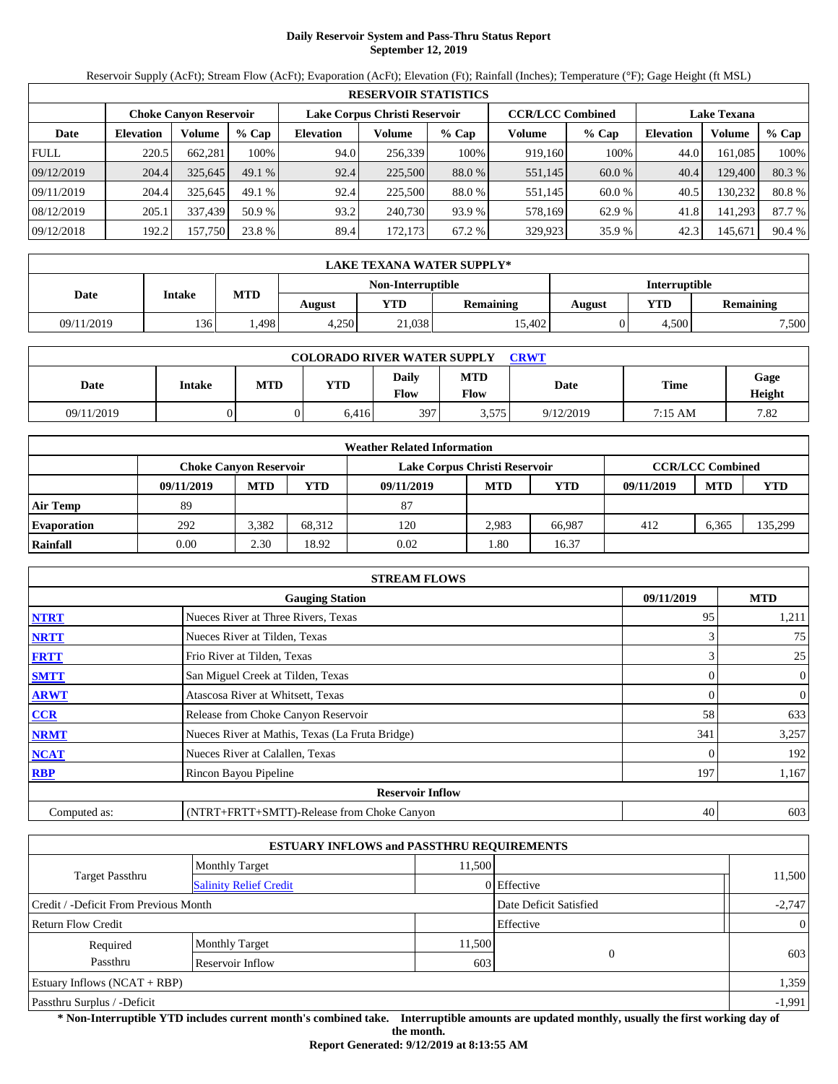# **Daily Reservoir System and Pass-Thru Status Report September 12, 2019**

Reservoir Supply (AcFt); Stream Flow (AcFt); Evaporation (AcFt); Elevation (Ft); Rainfall (Inches); Temperature (°F); Gage Height (ft MSL)

|             | <b>RESERVOIR STATISTICS</b> |                               |         |                               |         |         |                         |         |                    |         |        |  |  |
|-------------|-----------------------------|-------------------------------|---------|-------------------------------|---------|---------|-------------------------|---------|--------------------|---------|--------|--|--|
|             |                             | <b>Choke Canyon Reservoir</b> |         | Lake Corpus Christi Reservoir |         |         | <b>CCR/LCC Combined</b> |         | <b>Lake Texana</b> |         |        |  |  |
| Date        | <b>Elevation</b>            | Volume                        | $%$ Cap | <b>Elevation</b>              | Volume  | $%$ Cap | Volume                  | $%$ Cap | <b>Elevation</b>   | Volume  | % Cap  |  |  |
| <b>FULL</b> | 220.5                       | 662,281                       | 100%    | 94.0                          | 256,339 | 100%    | 919,160                 | 100%    | 44.0               | 161.085 | 100%   |  |  |
| 09/12/2019  | 204.4                       | 325,645                       | 49.1%   | 92.4                          | 225,500 | 88.0 %  | 551,145                 | 60.0 %  | 40.4               | 129,400 | 80.3%  |  |  |
| 09/11/2019  | 204.4                       | 325.645                       | 49.1%   | 92.4                          | 225,500 | 88.0 %  | 551,145                 | 60.0 %  | 40.5               | 130.232 | 80.8%  |  |  |
| 08/12/2019  | 205.1                       | 337,439                       | 50.9 %  | 93.2                          | 240,730 | 93.9 %  | 578,169                 | 62.9 %  | 41.8               | 141,293 | 87.7 % |  |  |
| 09/12/2018  | 192.2                       | 157,750                       | 23.8 %  | 89.4                          | 172,173 | 67.2 %  | 329,923                 | 35.9 %  | 42.3               | 145,671 | 90.4 % |  |  |

| LAKE TEXANA WATER SUPPLY* |            |        |            |                   |        |                      |                  |       |  |  |
|---------------------------|------------|--------|------------|-------------------|--------|----------------------|------------------|-------|--|--|
|                           | Intake     |        |            | Non-Interruptible |        | <b>Interruptible</b> |                  |       |  |  |
| Date                      | <b>MTD</b> | August | <b>YTD</b> | <b>Remaining</b>  | August | YTD                  | <b>Remaining</b> |       |  |  |
| 09/11/2019                | 136        | .498   | 4.250      | 21,038            | 15.402 |                      | 4.500            | 7,500 |  |  |

| <b>COLORADO RIVER WATER SUPPLY</b><br><b>CRWT</b> |        |            |       |               |                    |           |             |                |  |  |
|---------------------------------------------------|--------|------------|-------|---------------|--------------------|-----------|-------------|----------------|--|--|
| Date                                              | Intake | <b>MTD</b> | YTD   | Daily<br>Flow | <b>MTD</b><br>Flow | Date      | <b>Time</b> | Gage<br>Height |  |  |
| 09/11/2019                                        |        |            | 6.416 | 397           | 3,575              | 9/12/2019 | 7:15 AM     | 7.82           |  |  |

| <b>Weather Related Information</b> |                               |            |        |                               |                         |            |            |            |            |  |  |
|------------------------------------|-------------------------------|------------|--------|-------------------------------|-------------------------|------------|------------|------------|------------|--|--|
|                                    | <b>Choke Canvon Reservoir</b> |            |        | Lake Corpus Christi Reservoir | <b>CCR/LCC Combined</b> |            |            |            |            |  |  |
|                                    | 09/11/2019                    | <b>MTD</b> | YTD    | 09/11/2019                    | <b>MTD</b>              | <b>YTD</b> | 09/11/2019 | <b>MTD</b> | <b>YTD</b> |  |  |
| <b>Air Temp</b>                    | 89                            |            |        | 87                            |                         |            |            |            |            |  |  |
| <b>Evaporation</b>                 | 292                           | 3,382      | 68.312 | 120                           | 2.983                   | 66.987     | 412        | 6.365      | 135,299    |  |  |
| Rainfall                           | 0.00                          | 2.30       | 18.92  | 0.02                          | 1.80                    | 16.37      |            |            |            |  |  |

| <b>STREAM FLOWS</b>                                |                                                 |                |                |  |  |  |  |  |
|----------------------------------------------------|-------------------------------------------------|----------------|----------------|--|--|--|--|--|
| <b>MTD</b><br>09/11/2019<br><b>Gauging Station</b> |                                                 |                |                |  |  |  |  |  |
| <b>NTRT</b>                                        | Nueces River at Three Rivers, Texas             | 95             | 1,211          |  |  |  |  |  |
| <b>NRTT</b>                                        | Nueces River at Tilden, Texas                   |                | 75             |  |  |  |  |  |
| <b>FRTT</b>                                        | Frio River at Tilden, Texas                     | 3              | 25             |  |  |  |  |  |
| <b>SMTT</b>                                        | San Miguel Creek at Tilden, Texas               | 0              | $\overline{0}$ |  |  |  |  |  |
| <b>ARWT</b>                                        | Atascosa River at Whitsett, Texas               | $\overline{0}$ | $\overline{0}$ |  |  |  |  |  |
| CCR                                                | Release from Choke Canyon Reservoir             | 58             | 633            |  |  |  |  |  |
| <b>NRMT</b>                                        | Nueces River at Mathis, Texas (La Fruta Bridge) | 341            | 3,257          |  |  |  |  |  |
| <b>NCAT</b>                                        | Nueces River at Calallen, Texas                 |                | 192            |  |  |  |  |  |
| <b>RBP</b>                                         | Rincon Bayou Pipeline                           | 197            | 1,167          |  |  |  |  |  |
|                                                    | <b>Reservoir Inflow</b>                         |                |                |  |  |  |  |  |
| Computed as:                                       | (NTRT+FRTT+SMTT)-Release from Choke Canyon      | 40             | 603            |  |  |  |  |  |

|                                       |                               | <b>ESTUARY INFLOWS and PASSTHRU REQUIREMENTS</b> |             |                |  |  |
|---------------------------------------|-------------------------------|--------------------------------------------------|-------------|----------------|--|--|
|                                       | <b>Monthly Target</b>         | 11.500                                           |             |                |  |  |
| Target Passthru                       | <b>Salinity Relief Credit</b> |                                                  | 0 Effective | 11,500         |  |  |
| Credit / -Deficit From Previous Month |                               | Date Deficit Satisfied                           | $-2,747$    |                |  |  |
| <b>Return Flow Credit</b>             |                               |                                                  | Effective   | $\overline{0}$ |  |  |
| Required                              | <b>Monthly Target</b>         | 11,500                                           |             |                |  |  |
| Passthru                              | Reservoir Inflow              | 603                                              | $\Omega$    | 603            |  |  |
| Estuary Inflows $(NCAT + RBP)$        |                               |                                                  |             | 1,359          |  |  |
| Passthru Surplus / -Deficit           |                               |                                                  |             |                |  |  |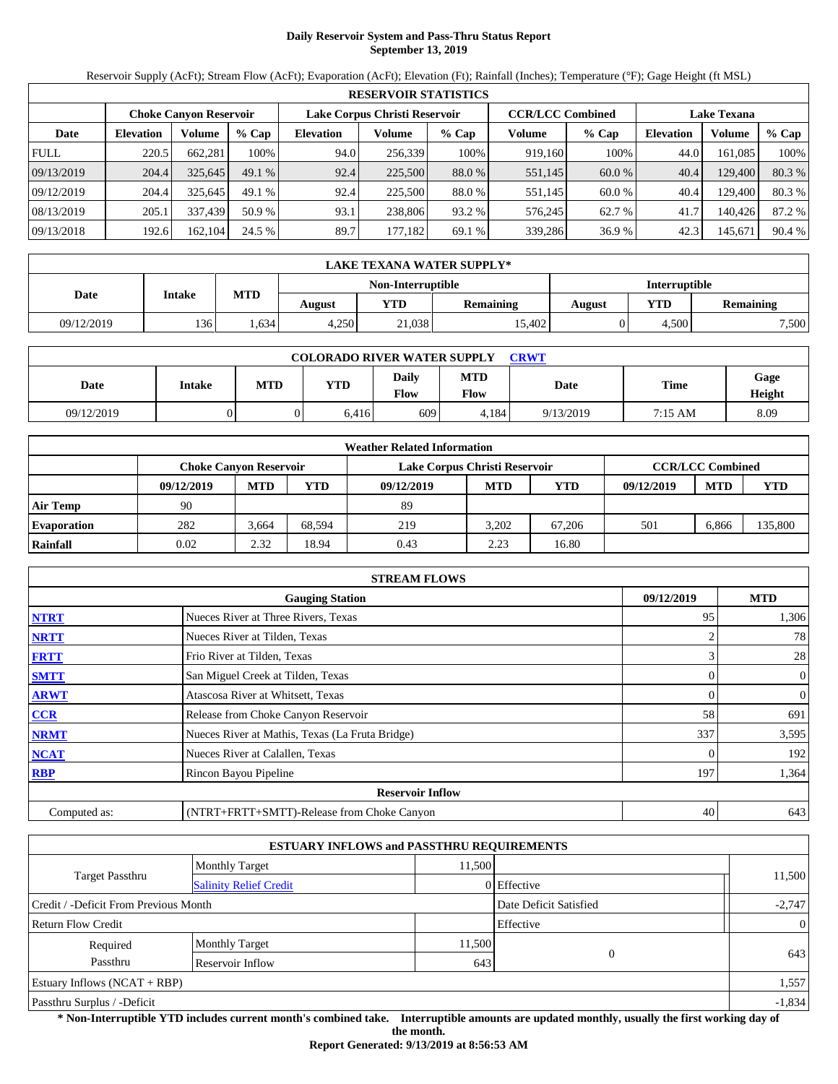# **Daily Reservoir System and Pass-Thru Status Report September 13, 2019**

Reservoir Supply (AcFt); Stream Flow (AcFt); Evaporation (AcFt); Elevation (Ft); Rainfall (Inches); Temperature (°F); Gage Height (ft MSL)

| <b>RESERVOIR STATISTICS</b> |                  |                               |         |                               |         |         |                         |         |                    |         |        |  |
|-----------------------------|------------------|-------------------------------|---------|-------------------------------|---------|---------|-------------------------|---------|--------------------|---------|--------|--|
|                             |                  | <b>Choke Canyon Reservoir</b> |         | Lake Corpus Christi Reservoir |         |         | <b>CCR/LCC Combined</b> |         | <b>Lake Texana</b> |         |        |  |
| Date                        | <b>Elevation</b> | Volume                        | $%$ Cap | <b>Elevation</b>              | Volume  | $%$ Cap | Volume                  | $%$ Cap | <b>Elevation</b>   | Volume  | % Cap  |  |
| <b>FULL</b>                 | 220.5            | 662.281                       | 100%    | 94.0                          | 256,339 | 100%    | 919,160                 | 100%    | 44.0               | 161.085 | 100%   |  |
| 09/13/2019                  | 204.4            | 325,645                       | 49.1%   | 92.4                          | 225,500 | 88.0 %  | 551,145                 | 60.0 %  | 40.4               | 129,400 | 80.3%  |  |
| 09/12/2019                  | 204.4            | 325.645                       | 49.1%   | 92.4                          | 225,500 | 88.0 %  | 551,145                 | 60.0 %  | 40.4               | 129.400 | 80.3%  |  |
| 08/13/2019                  | 205.1            | 337.439                       | 50.9 %  | 93.1                          | 238,806 | 93.2 %  | 576.245                 | 62.7 %  | 41.7               | 140.426 | 87.2 % |  |
| 09/13/2018                  | 192.6            | 162.104                       | 24.5 %  | 89.7                          | 177,182 | 69.1 %  | 339,286                 | 36.9%   | 42.3               | 145,671 | 90.4 % |  |

|            | LAKE TEXANA WATER SUPPLY* |            |        |                   |                  |               |       |                  |  |  |  |
|------------|---------------------------|------------|--------|-------------------|------------------|---------------|-------|------------------|--|--|--|
|            |                           |            |        | Non-Interruptible |                  | Interruptible |       |                  |  |  |  |
| Date       | <b>Intake</b>             | <b>MTD</b> | August | YTD               | <b>Remaining</b> | August        | YTD   | <b>Remaining</b> |  |  |  |
| 09/12/2019 | 136'                      | .634       | 4.250  | 21,038            | 15.402           |               | 4.500 | 7,500            |  |  |  |

| <b>COLORADO RIVER WATER SUPPLY</b><br><b>CRWT</b> |        |            |       |               |                    |           |             |                |  |  |
|---------------------------------------------------|--------|------------|-------|---------------|--------------------|-----------|-------------|----------------|--|--|
| Date                                              | Intake | <b>MTD</b> | YTD   | Daily<br>Flow | <b>MTD</b><br>Flow | Date      | <b>Time</b> | Gage<br>Height |  |  |
| 09/12/2019                                        |        |            | 6.416 | 609           | 4.184              | 9/13/2019 | 7:15 AM     | 8.09           |  |  |

| <b>Weather Related Information</b> |            |                               |        |                               |                         |            |            |            |            |  |  |
|------------------------------------|------------|-------------------------------|--------|-------------------------------|-------------------------|------------|------------|------------|------------|--|--|
|                                    |            | <b>Choke Canvon Reservoir</b> |        | Lake Corpus Christi Reservoir | <b>CCR/LCC Combined</b> |            |            |            |            |  |  |
|                                    | 09/12/2019 | <b>MTD</b>                    | YTD    | 09/12/2019                    | <b>MTD</b>              | <b>YTD</b> | 09/12/2019 | <b>MTD</b> | <b>YTD</b> |  |  |
| <b>Air Temp</b>                    | 90         |                               |        | 89                            |                         |            |            |            |            |  |  |
| <b>Evaporation</b>                 | 282        | 3.664                         | 68.594 | 219                           | 3.202                   | 67.206     | 501        | 6.866      | 135,800    |  |  |
| Rainfall                           | 0.02       | 2.32                          | 18.94  | 0.43                          | 2.23                    | 16.80      |            |            |            |  |  |

| <b>STREAM FLOWS</b>                                |                                                 |     |                |  |  |  |  |  |
|----------------------------------------------------|-------------------------------------------------|-----|----------------|--|--|--|--|--|
| 09/12/2019<br><b>MTD</b><br><b>Gauging Station</b> |                                                 |     |                |  |  |  |  |  |
| <b>NTRT</b>                                        | Nueces River at Three Rivers, Texas             | 95  | 1,306          |  |  |  |  |  |
| <b>NRTT</b>                                        | Nueces River at Tilden, Texas                   |     | 78             |  |  |  |  |  |
| <b>FRTT</b>                                        | Frio River at Tilden, Texas                     |     | 28             |  |  |  |  |  |
| <b>SMTT</b>                                        | San Miguel Creek at Tilden, Texas               | 0   | $\overline{0}$ |  |  |  |  |  |
| <b>ARWT</b>                                        | Atascosa River at Whitsett, Texas               |     | 0              |  |  |  |  |  |
| CCR                                                | Release from Choke Canyon Reservoir             | 58  | 691            |  |  |  |  |  |
| <b>NRMT</b>                                        | Nueces River at Mathis, Texas (La Fruta Bridge) | 337 | 3,595          |  |  |  |  |  |
| <b>NCAT</b>                                        | Nueces River at Calallen, Texas                 |     | 192            |  |  |  |  |  |
| <b>RBP</b>                                         | Rincon Bayou Pipeline                           | 197 | 1,364          |  |  |  |  |  |
|                                                    | <b>Reservoir Inflow</b>                         |     |                |  |  |  |  |  |
| Computed as:                                       | (NTRT+FRTT+SMTT)-Release from Choke Canyon      | 40  | 643            |  |  |  |  |  |

|                                       |                               | <b>ESTUARY INFLOWS and PASSTHRU REQUIREMENTS</b> |             |                |
|---------------------------------------|-------------------------------|--------------------------------------------------|-------------|----------------|
|                                       | <b>Monthly Target</b>         | 11.500                                           |             |                |
| <b>Target Passthru</b>                | <b>Salinity Relief Credit</b> |                                                  | 0 Effective | 11,500         |
| Credit / -Deficit From Previous Month |                               | Date Deficit Satisfied                           | $-2,747$    |                |
| <b>Return Flow Credit</b>             |                               |                                                  | Effective   | $\overline{0}$ |
| Required                              | <b>Monthly Target</b>         | 11,500                                           | $\Omega$    | 643            |
| Passthru                              | Reservoir Inflow              | 643                                              |             |                |
| Estuary Inflows $(NCAT + RBP)$        |                               |                                                  |             | 1,557          |
| Passthru Surplus / -Deficit           |                               |                                                  |             | $-1,834$       |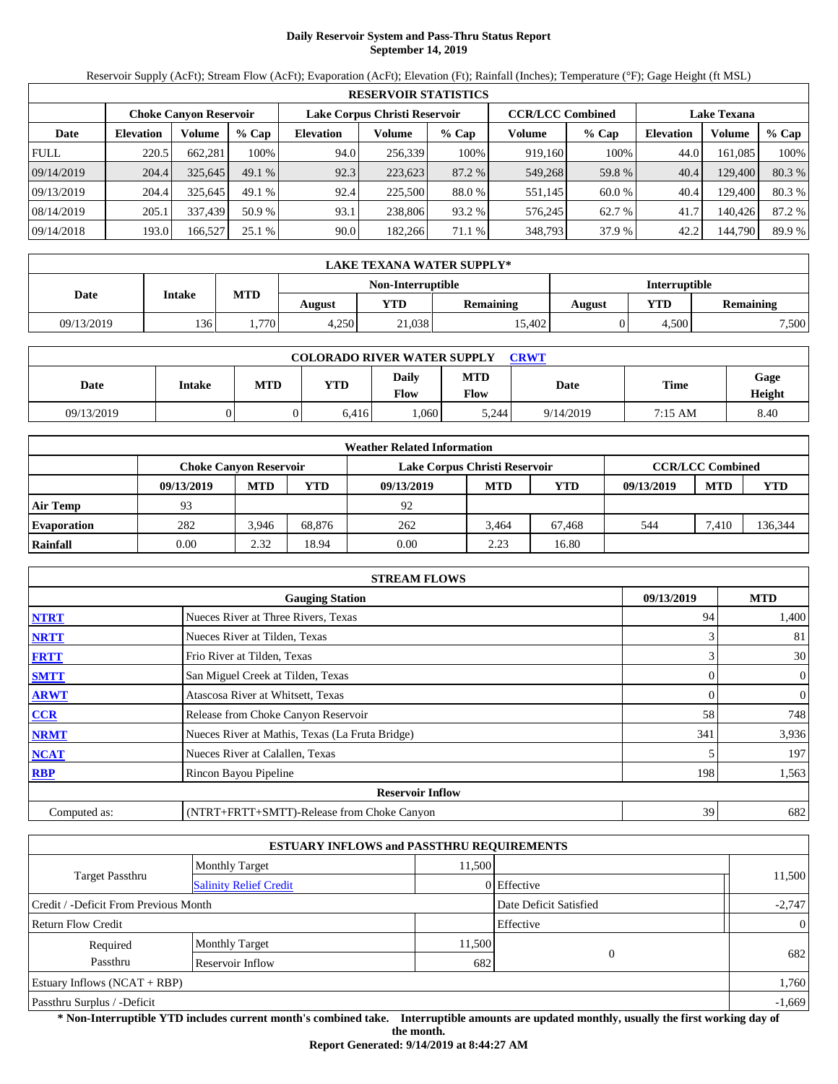# **Daily Reservoir System and Pass-Thru Status Report September 14, 2019**

Reservoir Supply (AcFt); Stream Flow (AcFt); Evaporation (AcFt); Elevation (Ft); Rainfall (Inches); Temperature (°F); Gage Height (ft MSL)

| <b>RESERVOIR STATISTICS</b> |                  |                               |         |                               |         |         |                         |         |                    |         |        |  |
|-----------------------------|------------------|-------------------------------|---------|-------------------------------|---------|---------|-------------------------|---------|--------------------|---------|--------|--|
|                             |                  | <b>Choke Canyon Reservoir</b> |         | Lake Corpus Christi Reservoir |         |         | <b>CCR/LCC Combined</b> |         | <b>Lake Texana</b> |         |        |  |
| Date                        | <b>Elevation</b> | Volume                        | $%$ Cap | <b>Elevation</b>              | Volume  | $%$ Cap | Volume                  | $%$ Cap | <b>Elevation</b>   | Volume  | % Cap  |  |
| <b>FULL</b>                 | 220.5            | 662.281                       | 100%    | 94.0                          | 256,339 | 100%    | 919.160                 | 100%    | 44.0               | 161.085 | 100%   |  |
| 09/14/2019                  | 204.4            | 325,645                       | 49.1%   | 92.3                          | 223,623 | 87.2 %  | 549,268                 | 59.8%   | 40.4               | 129,400 | 80.3%  |  |
| 09/13/2019                  | 204.4            | 325.645                       | 49.1%   | 92.4                          | 225,500 | 88.0 %  | 551,145                 | 60.0 %  | 40.4               | 129.400 | 80.3%  |  |
| 08/14/2019                  | 205.1            | 337.439                       | 50.9 %  | 93.1                          | 238,806 | 93.2 %  | 576.245                 | 62.7 %  | 41.7               | 140.426 | 87.2 % |  |
| 09/14/2018                  | 193.0            | 166,527                       | 25.1 %  | 90.0                          | 182,266 | 71.1 %  | 348,793                 | 37.9 %  | 42.2               | 144,790 | 89.9 % |  |

|            | LAKE TEXANA WATER SUPPLY*                    |      |       |                   |                  |               |       |                  |  |  |  |
|------------|----------------------------------------------|------|-------|-------------------|------------------|---------------|-------|------------------|--|--|--|
|            |                                              |      |       | Non-Interruptible |                  | Interruptible |       |                  |  |  |  |
| Date       | <b>MTD</b><br><b>Intake</b><br>YTD<br>August |      |       |                   | <b>Remaining</b> | August        | YTD   | <b>Remaining</b> |  |  |  |
| 09/13/2019 | 136'                                         | .770 | 4.250 | 21,038            | 15.402           |               | 4.500 | 7,500            |  |  |  |

| <b>COLORADO RIVER WATER SUPPLY</b><br><b>CRWT</b> |        |            |            |                             |                    |           |                   |                |  |  |
|---------------------------------------------------|--------|------------|------------|-----------------------------|--------------------|-----------|-------------------|----------------|--|--|
| Date                                              | Intake | <b>MTD</b> | <b>YTD</b> | <b>Daily</b><br><b>Flow</b> | <b>MTD</b><br>Flow | Date      | <b>Time</b>       | Gage<br>Height |  |  |
| 09/13/2019                                        |        |            | 6.416      | .060                        | 5,244              | 9/14/2019 | $7:15 \text{ AM}$ | 8.40           |  |  |

| <b>Weather Related Information</b> |            |                               |        |                               |                         |            |            |            |            |  |  |
|------------------------------------|------------|-------------------------------|--------|-------------------------------|-------------------------|------------|------------|------------|------------|--|--|
|                                    |            | <b>Choke Canvon Reservoir</b> |        | Lake Corpus Christi Reservoir | <b>CCR/LCC Combined</b> |            |            |            |            |  |  |
|                                    | 09/13/2019 | <b>MTD</b>                    | YTD    | 09/13/2019                    | <b>MTD</b>              | <b>YTD</b> | 09/13/2019 | <b>MTD</b> | <b>YTD</b> |  |  |
| <b>Air Temp</b>                    | 93         |                               |        | 92                            |                         |            |            |            |            |  |  |
| <b>Evaporation</b>                 | 282        | 3.946                         | 68.876 | 262                           | 3.464                   | 67.468     | 544        | 7.410      | 136,344    |  |  |
| Rainfall                           | 0.00       | 2.32                          | 18.94  | 0.00                          | 2.23                    | 16.80      |            |            |            |  |  |

| <b>STREAM FLOWS</b> |                                                    |     |                  |  |  |  |  |  |  |
|---------------------|----------------------------------------------------|-----|------------------|--|--|--|--|--|--|
|                     | 09/13/2019<br><b>MTD</b><br><b>Gauging Station</b> |     |                  |  |  |  |  |  |  |
| <b>NTRT</b>         | Nueces River at Three Rivers, Texas                | 94  | 1,400            |  |  |  |  |  |  |
| <b>NRTT</b>         | Nueces River at Tilden, Texas                      |     | 81               |  |  |  |  |  |  |
| <b>FRTT</b>         | Frio River at Tilden, Texas                        |     | 30               |  |  |  |  |  |  |
| <b>SMTT</b>         | San Miguel Creek at Tilden, Texas                  |     | $\mathbf{0}$     |  |  |  |  |  |  |
| <b>ARWT</b>         | Atascosa River at Whitsett, Texas                  | 0   | $\boldsymbol{0}$ |  |  |  |  |  |  |
| <b>CCR</b>          | Release from Choke Canyon Reservoir                | 58  | 748              |  |  |  |  |  |  |
| <b>NRMT</b>         | Nueces River at Mathis, Texas (La Fruta Bridge)    | 341 | 3,936            |  |  |  |  |  |  |
| <b>NCAT</b>         | Nueces River at Calallen, Texas                    |     | 197              |  |  |  |  |  |  |
| <b>RBP</b>          | Rincon Bayou Pipeline                              | 198 | 1,563            |  |  |  |  |  |  |
|                     | <b>Reservoir Inflow</b>                            |     |                  |  |  |  |  |  |  |
| Computed as:        | (NTRT+FRTT+SMTT)-Release from Choke Canyon         | 39  | 682              |  |  |  |  |  |  |

|                                       |                               | <b>ESTUARY INFLOWS and PASSTHRU REQUIREMENTS</b> |               |                |  |  |
|---------------------------------------|-------------------------------|--------------------------------------------------|---------------|----------------|--|--|
|                                       | <b>Monthly Target</b>         | 11.500                                           |               |                |  |  |
| Target Passthru                       | <b>Salinity Relief Credit</b> |                                                  | $0$ Effective | 11,500         |  |  |
| Credit / -Deficit From Previous Month |                               | Date Deficit Satisfied                           | $-2,747$      |                |  |  |
| <b>Return Flow Credit</b>             |                               |                                                  | Effective     | $\overline{0}$ |  |  |
| Required                              | <b>Monthly Target</b>         | 11,500                                           |               | 682            |  |  |
| Passthru                              | Reservoir Inflow              | 682                                              | $\Omega$      |                |  |  |
| Estuary Inflows $(NCAT + RBP)$        |                               |                                                  |               | 1,760          |  |  |
| Passthru Surplus / -Deficit           |                               |                                                  |               |                |  |  |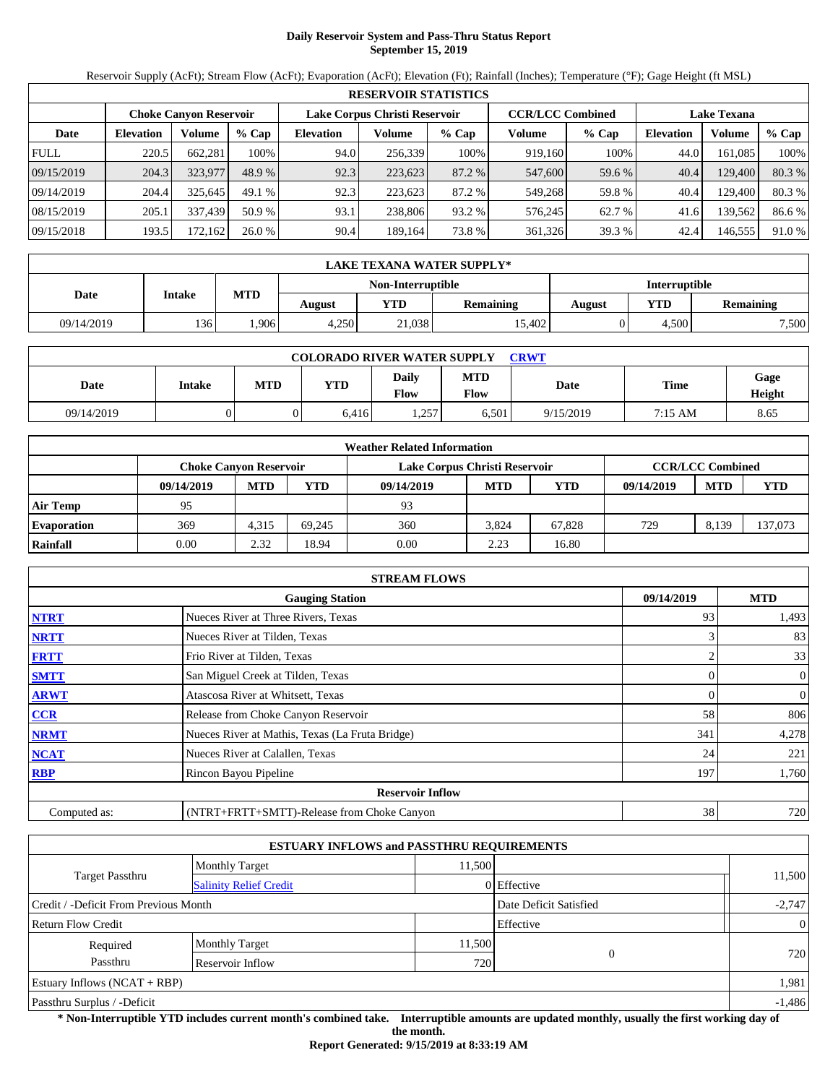# **Daily Reservoir System and Pass-Thru Status Report September 15, 2019**

Reservoir Supply (AcFt); Stream Flow (AcFt); Evaporation (AcFt); Elevation (Ft); Rainfall (Inches); Temperature (°F); Gage Height (ft MSL)

|             | <b>RESERVOIR STATISTICS</b> |                               |         |                               |         |         |                         |         |                    |         |        |  |  |
|-------------|-----------------------------|-------------------------------|---------|-------------------------------|---------|---------|-------------------------|---------|--------------------|---------|--------|--|--|
|             |                             | <b>Choke Canyon Reservoir</b> |         | Lake Corpus Christi Reservoir |         |         | <b>CCR/LCC Combined</b> |         | <b>Lake Texana</b> |         |        |  |  |
| Date        | <b>Elevation</b>            | Volume                        | $%$ Cap | <b>Elevation</b>              | Volume  | $%$ Cap | Volume                  | $%$ Cap | <b>Elevation</b>   | Volume  | % Cap  |  |  |
| <b>FULL</b> | 220.5                       | 662.281                       | 100%    | 94.0                          | 256,339 | 100%    | 919,160                 | 100%    | 44.0               | 161.085 | 100%   |  |  |
| 09/15/2019  | 204.3                       | 323,977                       | 48.9 %  | 92.3                          | 223,623 | 87.2 %  | 547,600                 | 59.6 %  | 40.4               | 129,400 | 80.3 % |  |  |
| 09/14/2019  | 204.4                       | 325.645                       | 49.1%   | 92.3                          | 223.623 | 87.2 %  | 549,268                 | 59.8%   | 40.4               | 129.400 | 80.3%  |  |  |
| 08/15/2019  | 205.1                       | 337.439                       | 50.9 %  | 93.1                          | 238,806 | 93.2 %  | 576.245                 | 62.7 %  | 41.6               | 139,562 | 86.6%  |  |  |
| 09/15/2018  | 193.5                       | 172,162                       | 26.0 %  | 90.4                          | 189,164 | 73.8 %  | 361,326                 | 39.3 %  | 42.4               | 146,555 | 91.0 % |  |  |

|            | LAKE TEXANA WATER SUPPLY* |            |        |                   |                  |               |       |                  |  |  |  |  |
|------------|---------------------------|------------|--------|-------------------|------------------|---------------|-------|------------------|--|--|--|--|
|            |                           |            |        | Non-Interruptible |                  | Interruptible |       |                  |  |  |  |  |
| Date       | <b>Intake</b>             | <b>MTD</b> | August | YTD               | <b>Remaining</b> | August        | YTD   | <b>Remaining</b> |  |  |  |  |
| 09/14/2019 | 136'                      | .906       | 4.250  | 21,038            | 15.402           |               | 4.500 | 7,500            |  |  |  |  |

| <b>COLORADO RIVER WATER SUPPLY</b><br><b>CRWT</b> |        |     |            |                      |                    |           |             |                |  |  |
|---------------------------------------------------|--------|-----|------------|----------------------|--------------------|-----------|-------------|----------------|--|--|
| Date                                              | Intake | MTD | <b>YTD</b> | <b>Daily</b><br>Flow | <b>MTD</b><br>Flow | Date      | <b>Time</b> | Gage<br>Height |  |  |
| 09/14/2019                                        |        |     | 6.416      | 1,257                | 6,501              | 9/15/2019 | 7:15 AM     | 8.65           |  |  |

|                    | <b>Weather Related Information</b> |            |        |                               |                         |        |            |            |         |  |  |  |
|--------------------|------------------------------------|------------|--------|-------------------------------|-------------------------|--------|------------|------------|---------|--|--|--|
|                    | <b>Choke Canvon Reservoir</b>      |            |        | Lake Corpus Christi Reservoir | <b>CCR/LCC Combined</b> |        |            |            |         |  |  |  |
|                    | 09/14/2019                         | <b>MTD</b> | YTD    | 09/14/2019                    | <b>MTD</b>              | YTD    | 09/14/2019 | <b>MTD</b> | YTD     |  |  |  |
| <b>Air Temp</b>    | 95                                 |            |        | 93                            |                         |        |            |            |         |  |  |  |
| <b>Evaporation</b> | 369                                | 4,315      | 69.245 | 360                           | 3.824                   | 67.828 | 729        | 8,139      | 137,073 |  |  |  |
| Rainfall           | 0.00                               | 2.32       | 18.94  | 0.00                          | 2.23                    | 16.80  |            |            |         |  |  |  |

| <b>STREAM FLOWS</b>                                |                                                 |     |                  |  |  |  |  |  |  |
|----------------------------------------------------|-------------------------------------------------|-----|------------------|--|--|--|--|--|--|
| 09/14/2019<br><b>MTD</b><br><b>Gauging Station</b> |                                                 |     |                  |  |  |  |  |  |  |
| <b>NTRT</b>                                        | Nueces River at Three Rivers, Texas             | 93  | 1,493            |  |  |  |  |  |  |
| <b>NRTT</b>                                        | Nueces River at Tilden, Texas                   |     | 83               |  |  |  |  |  |  |
| <b>FRTT</b>                                        | Frio River at Tilden, Texas                     |     | 33               |  |  |  |  |  |  |
| <b>SMTT</b>                                        | San Miguel Creek at Tilden, Texas               |     | $\mathbf{0}$     |  |  |  |  |  |  |
| <b>ARWT</b>                                        | Atascosa River at Whitsett, Texas               | 0   | $\boldsymbol{0}$ |  |  |  |  |  |  |
| <b>CCR</b>                                         | Release from Choke Canyon Reservoir             | 58  | 806              |  |  |  |  |  |  |
| <b>NRMT</b>                                        | Nueces River at Mathis, Texas (La Fruta Bridge) | 341 | 4,278            |  |  |  |  |  |  |
| <b>NCAT</b>                                        | Nueces River at Calallen, Texas                 | 24  | 221              |  |  |  |  |  |  |
| <b>RBP</b>                                         | Rincon Bayou Pipeline                           | 197 | 1,760            |  |  |  |  |  |  |
|                                                    | <b>Reservoir Inflow</b>                         |     |                  |  |  |  |  |  |  |
| Computed as:                                       | (NTRT+FRTT+SMTT)-Release from Choke Canyon      | 38  | 720              |  |  |  |  |  |  |

|                                       | <b>ESTUARY INFLOWS and PASSTHRU REQUIREMENTS</b> |        |                        |                |  |  |
|---------------------------------------|--------------------------------------------------|--------|------------------------|----------------|--|--|
|                                       | <b>Monthly Target</b>                            | 11.500 |                        |                |  |  |
| Target Passthru                       | <b>Salinity Relief Credit</b>                    |        | 0 Effective            | 11,500         |  |  |
| Credit / -Deficit From Previous Month |                                                  |        | Date Deficit Satisfied | $-2,747$       |  |  |
| Return Flow Credit                    |                                                  |        | Effective              | $\overline{0}$ |  |  |
| Required                              | <b>Monthly Target</b>                            | 11,500 |                        |                |  |  |
| Passthru                              | Reservoir Inflow                                 | 720    | $\Omega$               | 720            |  |  |
| <b>Estuary Inflows (NCAT + RBP)</b>   |                                                  |        |                        |                |  |  |
| Passthru Surplus / -Deficit           |                                                  |        |                        |                |  |  |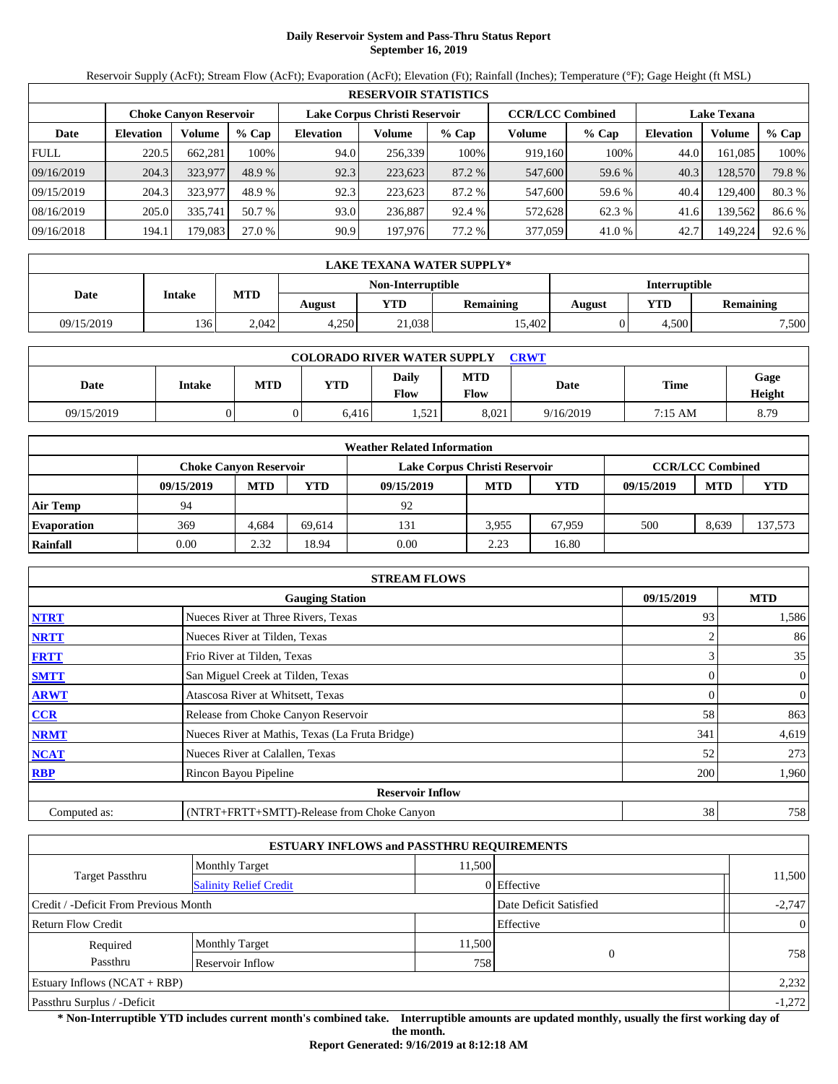# **Daily Reservoir System and Pass-Thru Status Report September 16, 2019**

Reservoir Supply (AcFt); Stream Flow (AcFt); Evaporation (AcFt); Elevation (Ft); Rainfall (Inches); Temperature (°F); Gage Height (ft MSL)

|             | <b>RESERVOIR STATISTICS</b> |                               |         |                               |         |         |                         |         |                    |         |        |  |  |
|-------------|-----------------------------|-------------------------------|---------|-------------------------------|---------|---------|-------------------------|---------|--------------------|---------|--------|--|--|
|             |                             | <b>Choke Canyon Reservoir</b> |         | Lake Corpus Christi Reservoir |         |         | <b>CCR/LCC Combined</b> |         | <b>Lake Texana</b> |         |        |  |  |
| Date        | <b>Elevation</b>            | Volume                        | $%$ Cap | <b>Elevation</b>              | Volume  | $%$ Cap | Volume                  | $%$ Cap | <b>Elevation</b>   | Volume  | % Cap  |  |  |
| <b>FULL</b> | 220.5                       | 662.281                       | 100%    | 94.0                          | 256,339 | 100%    | 919.160                 | 100%    | 44.0               | 161.085 | 100%   |  |  |
| 09/16/2019  | 204.3                       | 323,977                       | 48.9 %  | 92.3                          | 223,623 | 87.2 %  | 547,600                 | 59.6 %  | 40.3               | 128,570 | 79.8%  |  |  |
| 09/15/2019  | 204.3                       | 323,977                       | 48.9 %  | 92.3                          | 223.623 | 87.2 %  | 547,600                 | 59.6 %  | 40.4               | 129.400 | 80.3%  |  |  |
| 08/16/2019  | 205.0                       | 335.741                       | 50.7 %  | 93.0                          | 236.887 | 92.4 %  | 572.628                 | 62.3 %  | 41.6               | 139,562 | 86.6 % |  |  |
| 09/16/2018  | 194.1                       | 179.083                       | 27.0 %  | 90.9                          | 197,976 | 77.2 %  | 377,059                 | 41.0 %  | 42.7               | 149,224 | 92.6 % |  |  |

|            | <b>LAKE TEXANA WATER SUPPLY*</b> |            |        |                   |                  |                      |       |                  |  |  |  |
|------------|----------------------------------|------------|--------|-------------------|------------------|----------------------|-------|------------------|--|--|--|
|            |                                  |            |        | Non-Interruptible |                  | <b>Interruptible</b> |       |                  |  |  |  |
| Date       | Intake                           | <b>MTD</b> | August | <b>YTD</b>        | <b>Remaining</b> | August               | YTD   | <b>Remaining</b> |  |  |  |
| 09/15/2019 | 136                              | 2.042      | 4.250  | 21,038            | 15.402           |                      | 4.500 | 7,500            |  |  |  |

| <b>COLORADO RIVER WATER SUPPLY</b><br>CRWT |        |            |       |                      |                    |           |             |                |  |  |
|--------------------------------------------|--------|------------|-------|----------------------|--------------------|-----------|-------------|----------------|--|--|
| Date                                       | Intake | <b>MTD</b> | YTD   | Daily<br><b>Flow</b> | <b>MTD</b><br>Flow | Date      | <b>Time</b> | Gage<br>Height |  |  |
| 09/15/2019                                 |        |            | 6.416 | 1,521                | 8.021              | 9/16/2019 | 7:15 AM     | 8.79           |  |  |

|                    | <b>Weather Related Information</b> |                        |        |                               |                         |        |            |            |         |  |  |  |
|--------------------|------------------------------------|------------------------|--------|-------------------------------|-------------------------|--------|------------|------------|---------|--|--|--|
|                    |                                    | Choke Canvon Reservoir |        | Lake Corpus Christi Reservoir | <b>CCR/LCC Combined</b> |        |            |            |         |  |  |  |
|                    | 09/15/2019                         | <b>MTD</b>             | YTD    | 09/15/2019                    | <b>MTD</b>              | YTD    | 09/15/2019 | <b>MTD</b> | YTD     |  |  |  |
| <b>Air Temp</b>    | 94                                 |                        |        | 92                            |                         |        |            |            |         |  |  |  |
| <b>Evaporation</b> | 369                                | 4.684                  | 69.614 | 131                           | 3.955                   | 67.959 | 500        | 8,639      | 137,573 |  |  |  |
| Rainfall           | 0.00                               | 2.32                   | 18.94  | 0.00                          | 2.23                    | 16.80  |            |            |         |  |  |  |

| <b>STREAM FLOWS</b>                                |                                                 |     |                  |  |  |  |  |  |
|----------------------------------------------------|-------------------------------------------------|-----|------------------|--|--|--|--|--|
| 09/15/2019<br><b>MTD</b><br><b>Gauging Station</b> |                                                 |     |                  |  |  |  |  |  |
| <b>NTRT</b>                                        | Nueces River at Three Rivers, Texas             | 93  | 1,586            |  |  |  |  |  |
| <b>NRTT</b>                                        | Nueces River at Tilden, Texas                   |     | 86               |  |  |  |  |  |
| <b>FRTT</b>                                        | Frio River at Tilden, Texas                     |     | 35               |  |  |  |  |  |
| <b>SMTT</b>                                        | San Miguel Creek at Tilden, Texas               |     | $\mathbf{0}$     |  |  |  |  |  |
| <b>ARWT</b>                                        | Atascosa River at Whitsett, Texas               | 0   | $\boldsymbol{0}$ |  |  |  |  |  |
| <b>CCR</b>                                         | Release from Choke Canyon Reservoir             | 58  | 863              |  |  |  |  |  |
| <b>NRMT</b>                                        | Nueces River at Mathis, Texas (La Fruta Bridge) | 341 | 4,619            |  |  |  |  |  |
| <b>NCAT</b>                                        | Nueces River at Calallen, Texas                 | 52  | 273              |  |  |  |  |  |
| <b>RBP</b>                                         | Rincon Bayou Pipeline                           | 200 | 1,960            |  |  |  |  |  |
|                                                    | <b>Reservoir Inflow</b>                         |     |                  |  |  |  |  |  |
| Computed as:                                       | (NTRT+FRTT+SMTT)-Release from Choke Canyon      | 38  | 758              |  |  |  |  |  |

|                                       | <b>ESTUARY INFLOWS and PASSTHRU REQUIREMENTS</b> |        |                        |                |  |  |
|---------------------------------------|--------------------------------------------------|--------|------------------------|----------------|--|--|
|                                       | <b>Monthly Target</b>                            | 11.500 |                        |                |  |  |
| Target Passthru                       | <b>Salinity Relief Credit</b>                    |        | 0 Effective            | 11,500         |  |  |
| Credit / -Deficit From Previous Month |                                                  |        | Date Deficit Satisfied | $-2,747$       |  |  |
| Return Flow Credit                    |                                                  |        | Effective              | $\overline{0}$ |  |  |
| Required                              | <b>Monthly Target</b>                            | 11,500 |                        |                |  |  |
| Passthru                              | Reservoir Inflow                                 | 758    | $\Omega$               | 758            |  |  |
| Estuary Inflows $(NCAT + RBP)$        |                                                  |        |                        |                |  |  |
| Passthru Surplus / -Deficit           |                                                  |        |                        |                |  |  |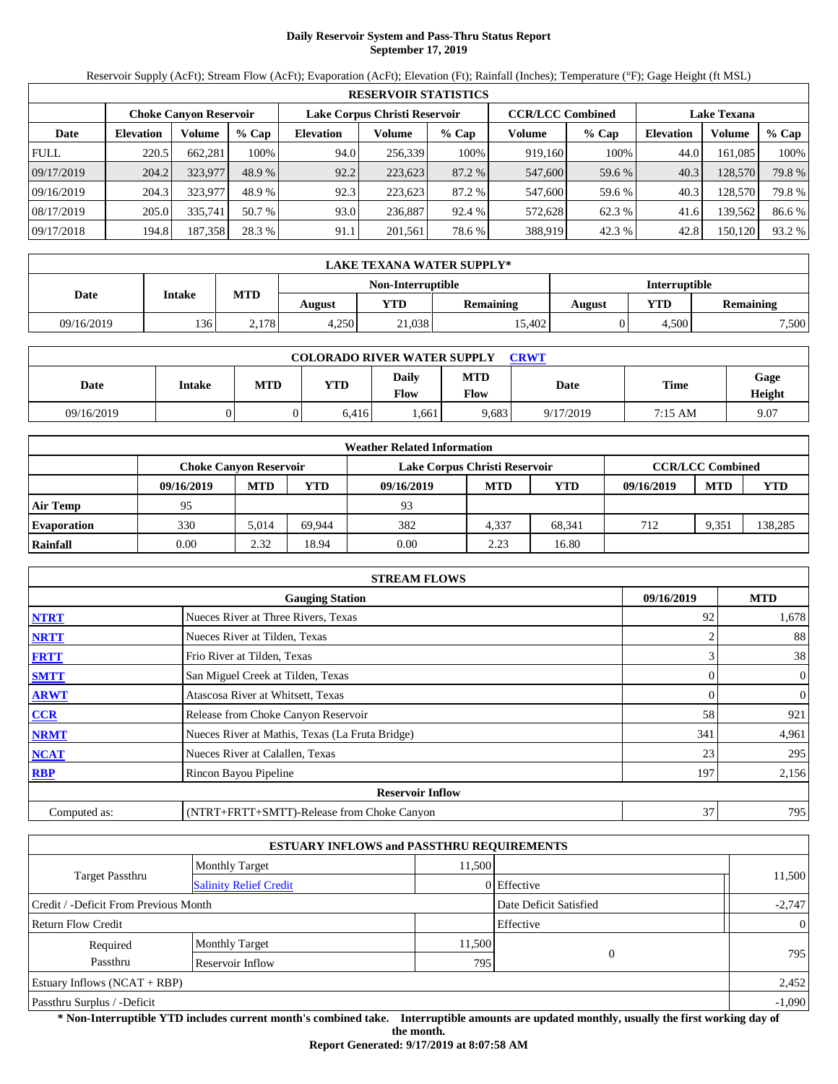# **Daily Reservoir System and Pass-Thru Status Report September 17, 2019**

Reservoir Supply (AcFt); Stream Flow (AcFt); Evaporation (AcFt); Elevation (Ft); Rainfall (Inches); Temperature (°F); Gage Height (ft MSL)

| <b>RESERVOIR STATISTICS</b> |                               |         |         |                               |         |         |                         |         |                    |         |        |
|-----------------------------|-------------------------------|---------|---------|-------------------------------|---------|---------|-------------------------|---------|--------------------|---------|--------|
|                             | <b>Choke Canyon Reservoir</b> |         |         | Lake Corpus Christi Reservoir |         |         | <b>CCR/LCC Combined</b> |         | <b>Lake Texana</b> |         |        |
| Date                        | <b>Elevation</b>              | Volume  | $%$ Cap | <b>Elevation</b>              | Volume  | $%$ Cap | Volume                  | $%$ Cap | <b>Elevation</b>   | Volume  | % Cap  |
| <b>FULL</b>                 | 220.5                         | 662,281 | 100%    | 94.0                          | 256,339 | 100%    | 919,160                 | 100%    | 44.0               | 161.085 | 100%   |
| 09/17/2019                  | 204.2                         | 323,977 | 48.9 %  | 92.2                          | 223,623 | 87.2 %  | 547,600                 | 59.6 %  | 40.3               | 128,570 | 79.8 % |
| 09/16/2019                  | 204.3                         | 323,977 | 48.9 %  | 92.3                          | 223.623 | 87.2 %  | 547,600                 | 59.6 %  | 40.3               | 128,570 | 79.8%  |
| 08/17/2019                  | 205.0                         | 335,741 | 50.7 %  | 93.0                          | 236.887 | 92.4 %  | 572,628                 | 62.3 %  | 41.6               | 139,562 | 86.6%  |
| 09/17/2018                  | 194.8                         | 187,358 | 28.3 %  | 91.1                          | 201,561 | 78.6 %  | 388,919                 | 42.3 %  | 42.8               | 150,120 | 93.2 % |

|            | LAKE TEXANA WATER SUPPLY* |            |        |                   |                  |               |       |                  |  |  |  |
|------------|---------------------------|------------|--------|-------------------|------------------|---------------|-------|------------------|--|--|--|
|            |                           |            |        | Non-Interruptible |                  | Interruptible |       |                  |  |  |  |
| Date       | <b>Intake</b>             | <b>MTD</b> | August | YTD               | <b>Remaining</b> | August        | YTD   | <b>Remaining</b> |  |  |  |
| 09/16/2019 | 136'                      | 2.178      | 4.250  | 21,038            | 15.402           |               | 4.500 | 7,500            |  |  |  |

| <b>COLORADO RIVER WATER SUPPLY</b><br><b>CRWT</b> |        |     |            |                      |                    |           |             |                |  |  |
|---------------------------------------------------|--------|-----|------------|----------------------|--------------------|-----------|-------------|----------------|--|--|
| Date                                              | Intake | MTD | <b>YTD</b> | <b>Daily</b><br>Flow | <b>MTD</b><br>Flow | Date      | <b>Time</b> | Gage<br>Height |  |  |
| 09/16/2019                                        |        |     | 6.416      | .661                 | 9.683              | 9/17/2019 | 7:15 AM     | 9.07           |  |  |

|                    | <b>Weather Related Information</b> |            |        |                               |                         |            |            |            |            |  |  |  |
|--------------------|------------------------------------|------------|--------|-------------------------------|-------------------------|------------|------------|------------|------------|--|--|--|
|                    | <b>Choke Canvon Reservoir</b>      |            |        | Lake Corpus Christi Reservoir | <b>CCR/LCC Combined</b> |            |            |            |            |  |  |  |
|                    | 09/16/2019                         | <b>MTD</b> | YTD    | 09/16/2019                    | <b>MTD</b>              | <b>YTD</b> | 09/16/2019 | <b>MTD</b> | <b>YTD</b> |  |  |  |
| <b>Air Temp</b>    | 95                                 |            |        | 93                            |                         |            |            |            |            |  |  |  |
| <b>Evaporation</b> | 330                                | 5.014      | 69.944 | 382                           | 4.337                   | 68.341     | 712        | 9.351      | 138,285    |  |  |  |
| Rainfall           | 0.00                               | 2.32       | 18.94  | 0.00                          | 2.23                    | 16.80      |            |            |            |  |  |  |

|                                      | <b>STREAM FLOWS</b>                             |     |                |  |  |  |  |  |  |
|--------------------------------------|-------------------------------------------------|-----|----------------|--|--|--|--|--|--|
| 09/16/2019<br><b>Gauging Station</b> |                                                 |     |                |  |  |  |  |  |  |
| <b>NTRT</b>                          | Nueces River at Three Rivers, Texas             | 92  | 1,678          |  |  |  |  |  |  |
| <b>NRTT</b>                          | Nueces River at Tilden, Texas                   |     | 88             |  |  |  |  |  |  |
| <b>FRTT</b>                          | Frio River at Tilden, Texas                     |     | 38             |  |  |  |  |  |  |
| <b>SMTT</b>                          | San Miguel Creek at Tilden, Texas               | 0   | $\overline{0}$ |  |  |  |  |  |  |
| <b>ARWT</b>                          | Atascosa River at Whitsett, Texas               |     | $\overline{0}$ |  |  |  |  |  |  |
| CCR                                  | Release from Choke Canyon Reservoir             | 58  | 921            |  |  |  |  |  |  |
| <b>NRMT</b>                          | Nueces River at Mathis, Texas (La Fruta Bridge) | 341 | 4,961          |  |  |  |  |  |  |
| <b>NCAT</b>                          | Nueces River at Calallen, Texas                 | 23  | 295            |  |  |  |  |  |  |
| <b>RBP</b>                           | Rincon Bayou Pipeline                           | 197 | 2,156          |  |  |  |  |  |  |
|                                      | <b>Reservoir Inflow</b>                         |     |                |  |  |  |  |  |  |
| Computed as:                         | (NTRT+FRTT+SMTT)-Release from Choke Canyon      | 37  | 795            |  |  |  |  |  |  |

| <b>ESTUARY INFLOWS and PASSTHRU REQUIREMENTS</b> |                               |                        |             |                |  |  |  |  |  |
|--------------------------------------------------|-------------------------------|------------------------|-------------|----------------|--|--|--|--|--|
|                                                  | <b>Monthly Target</b>         | 11.500                 |             |                |  |  |  |  |  |
| Target Passthru                                  | <b>Salinity Relief Credit</b> |                        | 0 Effective | 11,500         |  |  |  |  |  |
| Credit / -Deficit From Previous Month            |                               | Date Deficit Satisfied | $-2,747$    |                |  |  |  |  |  |
| <b>Return Flow Credit</b>                        |                               |                        | Effective   | $\overline{0}$ |  |  |  |  |  |
| Required                                         | <b>Monthly Target</b>         | 11,500                 |             |                |  |  |  |  |  |
| Passthru                                         | Reservoir Inflow              | 795                    |             | 795            |  |  |  |  |  |
| Estuary Inflows $(NCAT + RBP)$                   |                               |                        |             |                |  |  |  |  |  |
| Passthru Surplus / -Deficit                      |                               |                        |             |                |  |  |  |  |  |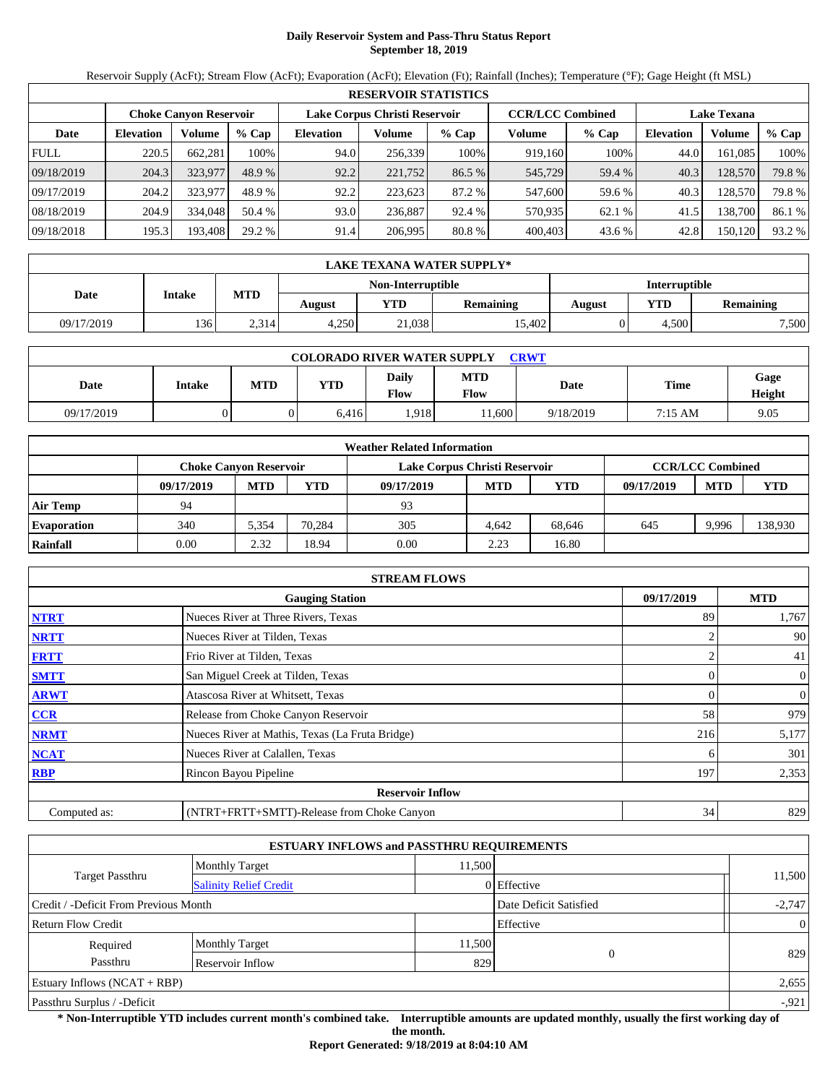# **Daily Reservoir System and Pass-Thru Status Report September 18, 2019**

Reservoir Supply (AcFt); Stream Flow (AcFt); Evaporation (AcFt); Elevation (Ft); Rainfall (Inches); Temperature (°F); Gage Height (ft MSL)

| <b>RESERVOIR STATISTICS</b> |                  |                               |         |                               |         |         |                         |         |                    |         |        |
|-----------------------------|------------------|-------------------------------|---------|-------------------------------|---------|---------|-------------------------|---------|--------------------|---------|--------|
|                             |                  | <b>Choke Canyon Reservoir</b> |         | Lake Corpus Christi Reservoir |         |         | <b>CCR/LCC Combined</b> |         | <b>Lake Texana</b> |         |        |
| Date                        | <b>Elevation</b> | Volume                        | $%$ Cap | <b>Elevation</b>              | Volume  | $%$ Cap | Volume                  | $%$ Cap | <b>Elevation</b>   | Volume  | % Cap  |
| <b>FULL</b>                 | 220.5            | 662,281                       | 100%    | 94.0                          | 256,339 | 100%    | 919,160                 | 100%    | 44.0               | 161.085 | 100%   |
| 09/18/2019                  | 204.3            | 323,977                       | 48.9 %  | 92.2                          | 221,752 | 86.5 %  | 545,729                 | 59.4 %  | 40.3               | 128,570 | 79.8 % |
| 09/17/2019                  | 204.2            | 323,977                       | 48.9 %  | 92.2                          | 223.623 | 87.2 %  | 547,600                 | 59.6 %  | 40.3               | 128,570 | 79.8%  |
| 08/18/2019                  | 204.9            | 334,048                       | 50.4 %  | 93.0                          | 236,887 | 92.4 %  | 570,935                 | 62.1 %  | 41.5               | 138,700 | 86.1 % |
| 09/18/2018                  | 195.3            | 193,408                       | 29.2 %  | 91.4                          | 206,995 | 80.8%   | 400,403                 | 43.6 %  | 42.8               | 150,120 | 93.2 % |

|            | LAKE TEXANA WATER SUPPLY* |            |        |                   |                  |               |       |                  |  |  |  |
|------------|---------------------------|------------|--------|-------------------|------------------|---------------|-------|------------------|--|--|--|
|            |                           |            |        | Non-Interruptible |                  | Interruptible |       |                  |  |  |  |
| Date       | <b>Intake</b>             | <b>MTD</b> | August | <b>YTD</b>        | <b>Remaining</b> | August        | YTD   | <b>Remaining</b> |  |  |  |
| 09/17/2019 | 136                       | 2.314      | 4.250  | 21,038            | 15.402           |               | 4.500 | 7,500            |  |  |  |

| <b>COLORADO RIVER WATER SUPPLY</b><br>CRWT |        |            |            |                      |                    |           |           |                |  |  |
|--------------------------------------------|--------|------------|------------|----------------------|--------------------|-----------|-----------|----------------|--|--|
| Date                                       | Intake | <b>MTD</b> | <b>YTD</b> | Daily<br><b>Flow</b> | <b>MTD</b><br>Flow | Date      | Time      | Gage<br>Height |  |  |
| 09/17/2019                                 |        |            | 6.416      | .918                 | $1.600 -$          | 9/18/2019 | $7:15$ AM | 9.05           |  |  |

| <b>Weather Related Information</b> |                               |            |        |                               |                         |        |            |            |         |  |  |
|------------------------------------|-------------------------------|------------|--------|-------------------------------|-------------------------|--------|------------|------------|---------|--|--|
|                                    | <b>Choke Canvon Reservoir</b> |            |        | Lake Corpus Christi Reservoir | <b>CCR/LCC Combined</b> |        |            |            |         |  |  |
|                                    | 09/17/2019                    | <b>MTD</b> | YTD    | 09/17/2019                    | <b>MTD</b>              | YTD    | 09/17/2019 | <b>MTD</b> | YTD     |  |  |
| <b>Air Temp</b>                    | 94                            |            |        | 93                            |                         |        |            |            |         |  |  |
| <b>Evaporation</b>                 | 340                           | 5,354      | 70.284 | 305                           | 4.642                   | 68.646 | 645        | 9.996      | 138,930 |  |  |
| Rainfall                           | 0.00                          | 2.32       | 18.94  | 0.00                          | 2.23                    | 16.80  |            |            |         |  |  |

| <b>STREAM FLOWS</b>                  |                                                 |     |                |  |  |  |  |  |
|--------------------------------------|-------------------------------------------------|-----|----------------|--|--|--|--|--|
| 09/17/2019<br><b>Gauging Station</b> |                                                 |     |                |  |  |  |  |  |
| <b>NTRT</b>                          | Nueces River at Three Rivers, Texas             | 89  | 1,767          |  |  |  |  |  |
| <b>NRTT</b>                          | Nueces River at Tilden, Texas                   |     | 90             |  |  |  |  |  |
| <b>FRTT</b>                          | Frio River at Tilden, Texas                     |     | 41             |  |  |  |  |  |
| <b>SMTT</b>                          | San Miguel Creek at Tilden, Texas               |     | $\overline{0}$ |  |  |  |  |  |
| <b>ARWT</b>                          | Atascosa River at Whitsett, Texas               |     | 0              |  |  |  |  |  |
| CCR                                  | Release from Choke Canyon Reservoir             | 58  | 979            |  |  |  |  |  |
| <b>NRMT</b>                          | Nueces River at Mathis, Texas (La Fruta Bridge) | 216 | 5,177          |  |  |  |  |  |
| <b>NCAT</b>                          | Nueces River at Calallen, Texas                 |     | 301            |  |  |  |  |  |
| <b>RBP</b>                           | Rincon Bayou Pipeline                           | 197 | 2,353          |  |  |  |  |  |
|                                      | <b>Reservoir Inflow</b>                         |     |                |  |  |  |  |  |
| Computed as:                         | (NTRT+FRTT+SMTT)-Release from Choke Canyon      | 34  | 829            |  |  |  |  |  |

|                                       |                               | <b>ESTUARY INFLOWS and PASSTHRU REQUIREMENTS</b> |             |                |
|---------------------------------------|-------------------------------|--------------------------------------------------|-------------|----------------|
|                                       | <b>Monthly Target</b>         | 11,500                                           |             |                |
| <b>Target Passthru</b>                | <b>Salinity Relief Credit</b> |                                                  | 0 Effective | 11,500         |
| Credit / -Deficit From Previous Month |                               | Date Deficit Satisfied                           | $-2,747$    |                |
| <b>Return Flow Credit</b>             |                               |                                                  | Effective   | $\overline{0}$ |
| Required                              | <b>Monthly Target</b>         | 11,500                                           | $\Omega$    |                |
| Passthru                              | Reservoir Inflow              | 829                                              |             | 829            |
| Estuary Inflows $(NCAT + RBP)$        |                               |                                                  |             | 2,655          |
| Passthru Surplus / -Deficit           |                               |                                                  |             | $-0.921$       |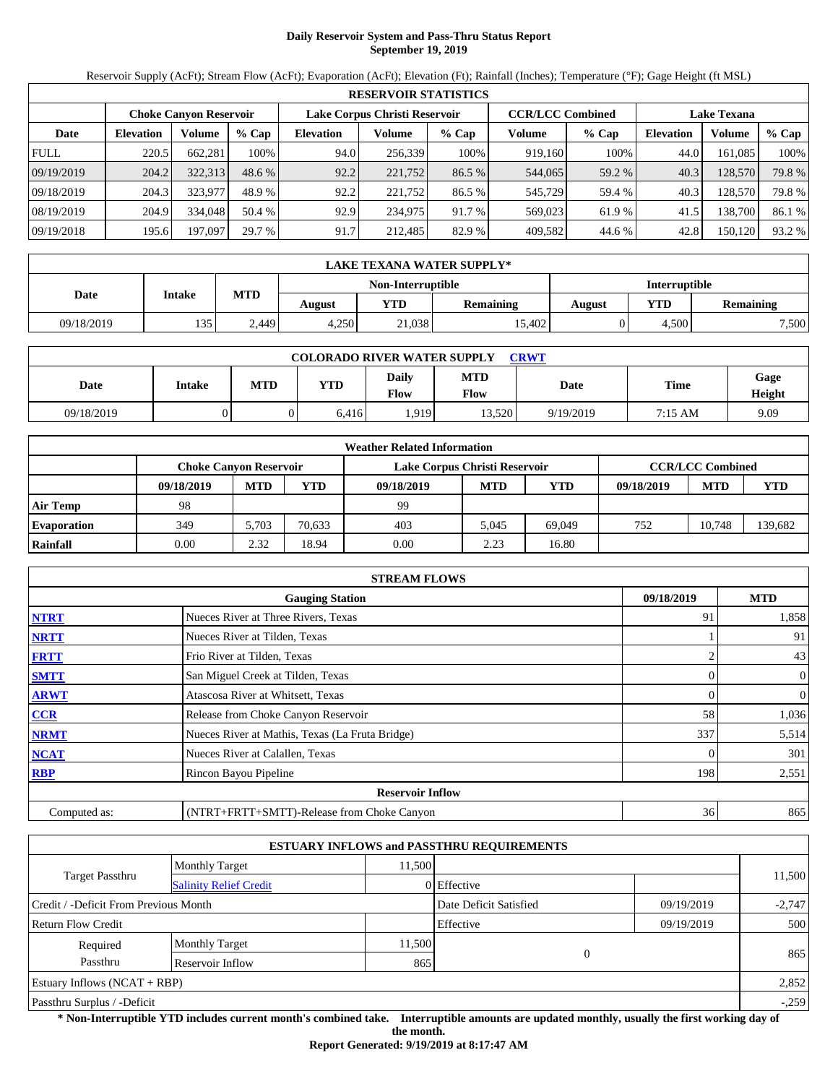# **Daily Reservoir System and Pass-Thru Status Report September 19, 2019**

Reservoir Supply (AcFt); Stream Flow (AcFt); Evaporation (AcFt); Elevation (Ft); Rainfall (Inches); Temperature (°F); Gage Height (ft MSL)

|             | <b>RESERVOIR STATISTICS</b>   |         |         |                  |                               |         |         |                         |                    |         |        |  |
|-------------|-------------------------------|---------|---------|------------------|-------------------------------|---------|---------|-------------------------|--------------------|---------|--------|--|
|             | <b>Choke Canyon Reservoir</b> |         |         |                  | Lake Corpus Christi Reservoir |         |         | <b>CCR/LCC Combined</b> | <b>Lake Texana</b> |         |        |  |
| Date        | <b>Elevation</b>              | Volume  | $%$ Cap | <b>Elevation</b> | Volume                        | $%$ Cap | Volume  | $%$ Cap                 | <b>Elevation</b>   | Volume  | % Cap  |  |
| <b>FULL</b> | 220.5                         | 662,281 | 100%    | 94.0             | 256,339                       | 100%    | 919,160 | 100%                    | 44.0               | 161.085 | 100%   |  |
| 09/19/2019  | 204.2                         | 322,313 | 48.6 %  | 92.2             | 221,752                       | 86.5 %  | 544,065 | 59.2 %                  | 40.3               | 128,570 | 79.8 % |  |
| 09/18/2019  | 204.3                         | 323,977 | 48.9 %  | 92.2             | 221.752                       | 86.5 %  | 545,729 | 59.4 %                  | 40.3               | 128,570 | 79.8%  |  |
| 08/19/2019  | 204.9                         | 334,048 | 50.4 %  | 92.9             | 234,975                       | 91.7 %  | 569,023 | 61.9%                   | 41.5               | 138,700 | 86.1 % |  |
| 09/19/2018  | 195.6                         | 197,097 | 29.7 %  | 91.7             | 212,485                       | 82.9 %  | 409,582 | 44.6 %                  | 42.8               | 150,120 | 93.2 % |  |

|            | <b>LAKE TEXANA WATER SUPPLY*</b> |            |        |                   |                  |                      |       |                  |  |  |
|------------|----------------------------------|------------|--------|-------------------|------------------|----------------------|-------|------------------|--|--|
|            | Intake                           |            |        | Non-Interruptible |                  | <b>Interruptible</b> |       |                  |  |  |
| Date       |                                  | <b>MTD</b> | August | <b>YTD</b>        | <b>Remaining</b> | August               | YTD   | <b>Remaining</b> |  |  |
| 09/18/2019 | 135                              | 2.449      | 4.250  | 21,038            | 15.402           |                      | 4.500 | 7,500            |  |  |

| <b>COLORADO RIVER WATER SUPPLY</b><br>CRWT |        |            |            |                      |                    |           |                   |                |  |  |
|--------------------------------------------|--------|------------|------------|----------------------|--------------------|-----------|-------------------|----------------|--|--|
| Date                                       | Intake | <b>MTD</b> | <b>YTD</b> | Daily<br><b>Flow</b> | <b>MTD</b><br>Flow | Date      | <b>Time</b>       | Gage<br>Height |  |  |
| 09/18/2019                                 |        |            | 6.416      | .919                 | 13.520             | 9/19/2019 | $7:15 \text{ AM}$ | 9.09           |  |  |

|                    |                               |            |        | <b>Weather Related Information</b> |            |            |            |                         |        |
|--------------------|-------------------------------|------------|--------|------------------------------------|------------|------------|------------|-------------------------|--------|
|                    | <b>Choke Canyon Reservoir</b> |            |        | Lake Corpus Christi Reservoir      |            |            |            | <b>CCR/LCC Combined</b> |        |
|                    | 09/18/2019                    | <b>MTD</b> | YTD    | 09/18/2019                         | <b>MTD</b> | <b>YTD</b> | 09/18/2019 | <b>MTD</b>              | YTD    |
| <b>Air Temp</b>    | 98                            |            |        | 99                                 |            |            |            |                         |        |
| <b>Evaporation</b> | 349                           | 5.703      | 70.633 | 403                                | 5.045      | 69.049     | 752        | 10.748                  | 39,682 |
| Rainfall           | 0.00                          | 2.32       | 18.94  | 0.00                               | 2.23       | 16.80      |            |                         |        |

|              | <b>STREAM FLOWS</b>                             |            |                |
|--------------|-------------------------------------------------|------------|----------------|
|              | <b>Gauging Station</b>                          | 09/18/2019 | <b>MTD</b>     |
| <b>NTRT</b>  | Nueces River at Three Rivers, Texas             | 91         | 1,858          |
| <b>NRTT</b>  | Nueces River at Tilden, Texas                   |            | 91             |
| <b>FRTT</b>  | Frio River at Tilden, Texas                     |            | 43             |
| <b>SMTT</b>  | San Miguel Creek at Tilden, Texas               |            | $\overline{0}$ |
| <b>ARWT</b>  | Atascosa River at Whitsett, Texas               |            | 0              |
| CCR          | Release from Choke Canyon Reservoir             | 58         | 1,036          |
| <b>NRMT</b>  | Nueces River at Mathis, Texas (La Fruta Bridge) | 337        | 5,514          |
| <b>NCAT</b>  | Nueces River at Calallen, Texas                 |            | 301            |
| <b>RBP</b>   | Rincon Bayou Pipeline                           | 198        | 2,551          |
|              | <b>Reservoir Inflow</b>                         |            |                |
| Computed as: | (NTRT+FRTT+SMTT)-Release from Choke Canyon      | 36         | 865            |

|                                       |                               |                        | <b>ESTUARY INFLOWS and PASSTHRU REQUIREMENTS</b> |            |        |
|---------------------------------------|-------------------------------|------------------------|--------------------------------------------------|------------|--------|
|                                       | <b>Monthly Target</b>         | 11,500                 |                                                  |            |        |
| Target Passthru                       | <b>Salinity Relief Credit</b> |                        | 0 Effective                                      |            | 11,500 |
| Credit / -Deficit From Previous Month |                               | Date Deficit Satisfied | 09/19/2019                                       | $-2,747$   |        |
| <b>Return Flow Credit</b>             |                               |                        | Effective                                        | 09/19/2019 | 500    |
| Required                              | <b>Monthly Target</b>         | 11,500                 |                                                  |            |        |
| Passthru<br>Reservoir Inflow<br>865   |                               |                        | $\theta$                                         |            | 865    |
| Estuary Inflows $(NCAT + RBP)$        |                               |                        |                                                  | 2,852      |        |
| Passthru Surplus / -Deficit           |                               | $-.259$                |                                                  |            |        |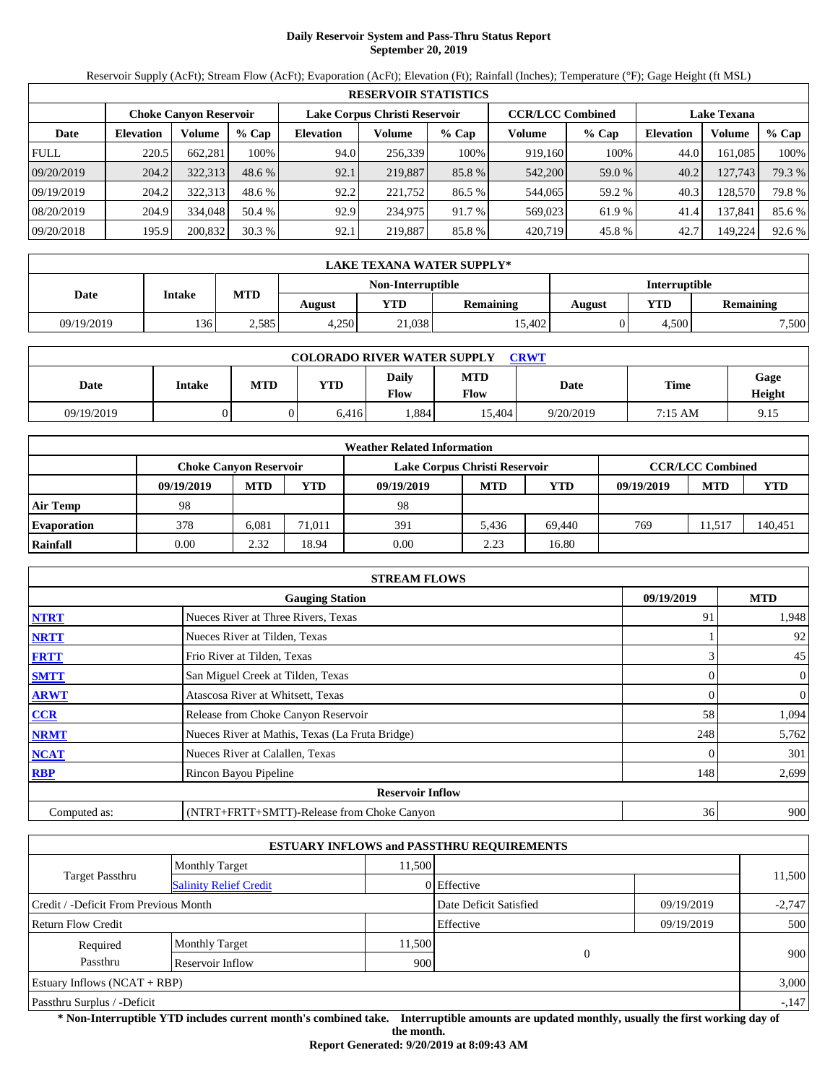# **Daily Reservoir System and Pass-Thru Status Report September 20, 2019**

Reservoir Supply (AcFt); Stream Flow (AcFt); Evaporation (AcFt); Elevation (Ft); Rainfall (Inches); Temperature (°F); Gage Height (ft MSL)

|             | <b>RESERVOIR STATISTICS</b> |                               |          |                               |         |         |                         |         |                    |         |        |  |  |
|-------------|-----------------------------|-------------------------------|----------|-------------------------------|---------|---------|-------------------------|---------|--------------------|---------|--------|--|--|
|             |                             | <b>Choke Canyon Reservoir</b> |          | Lake Corpus Christi Reservoir |         |         | <b>CCR/LCC Combined</b> |         | <b>Lake Texana</b> |         |        |  |  |
| Date        | <b>Elevation</b>            | Volume                        | $%$ Cap  | <b>Elevation</b>              | Volume  | $%$ Cap | Volume                  | $%$ Cap | <b>Elevation</b>   | Volume  | % Cap  |  |  |
| <b>FULL</b> | 220.5                       | 662.281                       | 100%     | 94.0                          | 256,339 | 100%    | 919,160                 | 100%    | 44.0               | 161.085 | 100%   |  |  |
| 09/20/2019  | 204.2                       | 322,313                       | $48.6\%$ | 92.1                          | 219,887 | 85.8 %  | 542,200                 | 59.0 %  | 40.2               | 127,743 | 79.3 % |  |  |
| 09/19/2019  | 204.2                       | 322,313                       | 48.6 %   | 92.2                          | 221.752 | 86.5 %  | 544,065                 | 59.2 %  | 40.3               | 128,570 | 79.8 % |  |  |
| 08/20/2019  | 204.9                       | 334,048                       | 50.4 %   | 92.9                          | 234,975 | 91.7 %  | 569,023                 | 61.9%   | 41.4               | 137,841 | 85.6%  |  |  |
| 09/20/2018  | 195.9                       | 200,832                       | 30.3%    | 92.1                          | 219,887 | 85.8%   | 420,719                 | 45.8%   | 42.7               | 149.224 | 92.6 % |  |  |

|            | LAKE TEXANA WATER SUPPLY* |            |        |                   |                  |               |       |                  |  |  |
|------------|---------------------------|------------|--------|-------------------|------------------|---------------|-------|------------------|--|--|
|            | <b>Intake</b>             |            |        | Non-Interruptible |                  | Interruptible |       |                  |  |  |
| Date       |                           | <b>MTD</b> | August | YTD               | <b>Remaining</b> | August        | YTD   | <b>Remaining</b> |  |  |
| 09/19/2019 | 136                       | 2.585      | 4,250  | 21,038            | 15.402           |               | 4.500 | 7,500            |  |  |

| <b>COLORADO RIVER WATER SUPPLY</b><br><b>CRWT</b> |        |            |            |                      |                    |           |         |                |  |  |
|---------------------------------------------------|--------|------------|------------|----------------------|--------------------|-----------|---------|----------------|--|--|
| Date                                              | Intake | <b>MTD</b> | <b>YTD</b> | Daily<br><b>Flow</b> | <b>MTD</b><br>Flow | Date      | Time    | Gage<br>Height |  |  |
| 09/19/2019                                        |        |            | 6.416      | .884                 | 15.404             | 9/20/2019 | 7:15 AM | 9.15           |  |  |

|                    |                               |            |        | <b>Weather Related Information</b> |            |            |            |                         |         |
|--------------------|-------------------------------|------------|--------|------------------------------------|------------|------------|------------|-------------------------|---------|
|                    | <b>Choke Canyon Reservoir</b> |            |        | Lake Corpus Christi Reservoir      |            |            |            | <b>CCR/LCC Combined</b> |         |
|                    | 09/19/2019                    | <b>MTD</b> | YTD    | 09/19/2019                         | <b>MTD</b> | <b>YTD</b> | 09/19/2019 | <b>MTD</b>              | YTD     |
| <b>Air Temp</b>    | 98                            |            |        | 98                                 |            |            |            |                         |         |
| <b>Evaporation</b> | 378                           | 6.081      | 71.011 | 391                                | 5.436      | 69.440     | 769        | 1.517                   | 140,451 |
| Rainfall           | 0.00                          | 2.32       | 18.94  | 0.00                               | 2.23       | 16.80      |            |                         |         |

|              | <b>STREAM FLOWS</b>                             |            |                |
|--------------|-------------------------------------------------|------------|----------------|
|              | <b>Gauging Station</b>                          | 09/19/2019 | <b>MTD</b>     |
| <b>NTRT</b>  | Nueces River at Three Rivers, Texas             | 91         | 1,948          |
| <b>NRTT</b>  | Nueces River at Tilden, Texas                   |            | 92             |
| <b>FRTT</b>  | Frio River at Tilden, Texas                     |            | 45             |
| <b>SMTT</b>  | San Miguel Creek at Tilden, Texas               |            | $\overline{0}$ |
| <b>ARWT</b>  | Atascosa River at Whitsett, Texas               |            | 0              |
| CCR          | Release from Choke Canyon Reservoir             | 58         | 1,094          |
| <b>NRMT</b>  | Nueces River at Mathis, Texas (La Fruta Bridge) | 248        | 5,762          |
| <b>NCAT</b>  | Nueces River at Calallen, Texas                 |            | 301            |
| <b>RBP</b>   | Rincon Bayou Pipeline                           | 148        | 2,699          |
|              | <b>Reservoir Inflow</b>                         |            |                |
| Computed as: | (NTRT+FRTT+SMTT)-Release from Choke Canyon      | 36         | 900            |

|                                       |                               |        | <b>ESTUARY INFLOWS and PASSTHRU REQUIREMENTS</b> |            |          |
|---------------------------------------|-------------------------------|--------|--------------------------------------------------|------------|----------|
|                                       | <b>Monthly Target</b>         | 11,500 |                                                  |            |          |
| Target Passthru                       | <b>Salinity Relief Credit</b> |        | 0 Effective                                      |            | 11,500   |
| Credit / -Deficit From Previous Month |                               |        | Date Deficit Satisfied                           | 09/19/2019 | $-2,747$ |
| <b>Return Flow Credit</b>             |                               |        | Effective                                        | 09/19/2019 | 500      |
| Required                              | <b>Monthly Target</b>         | 11,500 |                                                  |            | 900      |
| Passthru                              | Reservoir Inflow              | 900    | $\theta$                                         |            |          |
| Estuary Inflows $(NCAT + RBP)$        |                               |        |                                                  |            | 3,000    |
| Passthru Surplus / -Deficit           |                               |        |                                                  |            | $-147$   |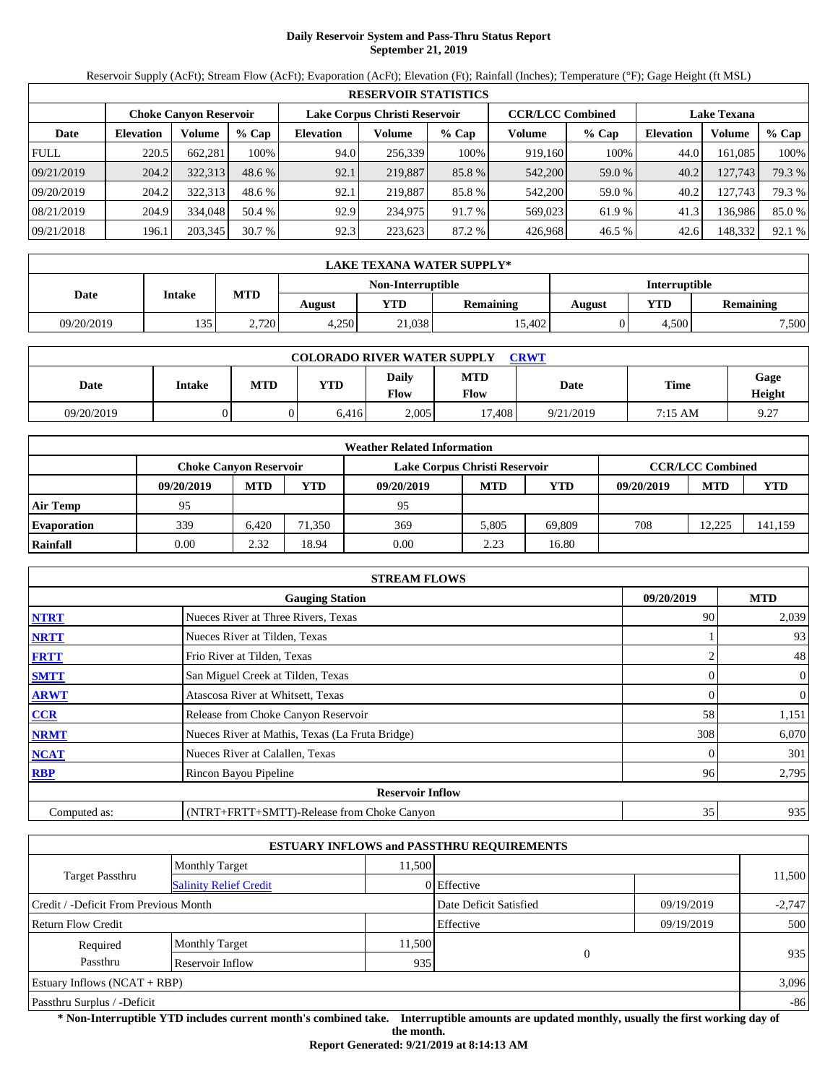# **Daily Reservoir System and Pass-Thru Status Report September 21, 2019**

Reservoir Supply (AcFt); Stream Flow (AcFt); Evaporation (AcFt); Elevation (Ft); Rainfall (Inches); Temperature (°F); Gage Height (ft MSL)

|             | <b>RESERVOIR STATISTICS</b>   |         |          |                  |                               |         |         |                         |                    |         |        |  |  |
|-------------|-------------------------------|---------|----------|------------------|-------------------------------|---------|---------|-------------------------|--------------------|---------|--------|--|--|
|             | <b>Choke Canyon Reservoir</b> |         |          |                  | Lake Corpus Christi Reservoir |         |         | <b>CCR/LCC Combined</b> | <b>Lake Texana</b> |         |        |  |  |
| Date        | <b>Elevation</b>              | Volume  | $%$ Cap  | <b>Elevation</b> | Volume                        | $%$ Cap | Volume  | $%$ Cap                 | <b>Elevation</b>   | Volume  | % Cap  |  |  |
| <b>FULL</b> | 220.5                         | 662.281 | 100%     | 94.0             | 256,339                       | 100%    | 919,160 | 100%                    | 44.0               | 161.085 | 100%   |  |  |
| 09/21/2019  | 204.2                         | 322.313 | $48.6\%$ | 92.1             | 219,887                       | 85.8 %  | 542,200 | 59.0 %                  | 40.2               | 127,743 | 79.3 % |  |  |
| 09/20/2019  | 204.2                         | 322,313 | 48.6 %   | 92.1             | 219.887                       | 85.8 %  | 542,200 | 59.0 %                  | 40.2               | 127.743 | 79.3 % |  |  |
| 08/21/2019  | 204.9                         | 334,048 | 50.4 %   | 92.9             | 234,975                       | 91.7 %  | 569,023 | 61.9%                   | 41.3               | 136.986 | 85.0%  |  |  |
| 09/21/2018  | 196.1                         | 203,345 | 30.7%    | 92.3             | 223,623                       | 87.2 %  | 426.968 | 46.5 %                  | 42.6               | 148,332 | 92.1 % |  |  |

|            | <b>LAKE TEXANA WATER SUPPLY*</b> |            |        |                   |                  |                      |       |                  |  |  |
|------------|----------------------------------|------------|--------|-------------------|------------------|----------------------|-------|------------------|--|--|
|            | Intake                           |            |        | Non-Interruptible |                  | <b>Interruptible</b> |       |                  |  |  |
| Date       |                                  | <b>MTD</b> | August | <b>YTD</b>        | <b>Remaining</b> | August               | YTD   | <b>Remaining</b> |  |  |
| 09/20/2019 | 135                              | 2,720      | 4.250  | 21,038            | 15.402           |                      | 4.500 | 7,500            |  |  |

| <b>COLORADO RIVER WATER SUPPLY</b><br>CRWT |        |            |            |                      |                    |           |                   |                                             |  |  |
|--------------------------------------------|--------|------------|------------|----------------------|--------------------|-----------|-------------------|---------------------------------------------|--|--|
| Date                                       | Intake | <b>MTD</b> | <b>YTD</b> | Daily<br><b>Flow</b> | <b>MTD</b><br>Flow | Date      | <b>Time</b>       | Gage<br>Height                              |  |  |
| 09/20/2019                                 |        |            | 6.416      | 2.005                | 17.408             | 9/21/2019 | $7:15 \text{ AM}$ | Q <sub>27</sub><br>$\, \, . \, \, \, \, \,$ |  |  |

|                    |                        |            |        | <b>Weather Related Information</b> |            |            |            |                         |         |
|--------------------|------------------------|------------|--------|------------------------------------|------------|------------|------------|-------------------------|---------|
|                    | Choke Canvon Reservoir |            |        | Lake Corpus Christi Reservoir      |            |            |            | <b>CCR/LCC Combined</b> |         |
|                    | 09/20/2019             | <b>MTD</b> | YTD    | 09/20/2019                         | <b>MTD</b> | <b>YTD</b> | 09/20/2019 | <b>MTD</b>              | YTD     |
| <b>Air Temp</b>    | 95                     |            |        | 95                                 |            |            |            |                         |         |
| <b>Evaporation</b> | 339                    | 6.420      | 71,350 | 369                                | 5.805      | 69.809     | 708        | 12.225                  | 141,159 |
| Rainfall           | 0.00                   | 2.32       | 18.94  | 0.00                               | 2.23       | 16.80      |            |                         |         |

|              | <b>STREAM FLOWS</b>                             |            |              |
|--------------|-------------------------------------------------|------------|--------------|
|              | <b>Gauging Station</b>                          | 09/20/2019 | <b>MTD</b>   |
| <b>NTRT</b>  | Nueces River at Three Rivers, Texas             | 90         | 2,039        |
| <b>NRTT</b>  | Nueces River at Tilden, Texas                   |            | 93           |
| <b>FRTT</b>  | Frio River at Tilden, Texas                     |            | 48           |
| <b>SMTT</b>  | San Miguel Creek at Tilden, Texas               |            | $\mathbf{0}$ |
| <b>ARWT</b>  | Atascosa River at Whitsett, Texas               |            | 0            |
| CCR          | Release from Choke Canyon Reservoir             | 58         | 1,151        |
| <b>NRMT</b>  | Nueces River at Mathis, Texas (La Fruta Bridge) | 308        | 6,070        |
| <b>NCAT</b>  | Nueces River at Calallen, Texas                 |            | 301          |
| <b>RBP</b>   | Rincon Bayou Pipeline                           | 96         | 2,795        |
|              | <b>Reservoir Inflow</b>                         |            |              |
| Computed as: | (NTRT+FRTT+SMTT)-Release from Choke Canyon      | 35         | 935          |

|                                                  |                       |        | <b>ESTUARY INFLOWS and PASSTHRU REQUIREMENTS</b> |            |          |
|--------------------------------------------------|-----------------------|--------|--------------------------------------------------|------------|----------|
|                                                  | <b>Monthly Target</b> | 11,500 |                                                  |            |          |
| Target Passthru<br><b>Salinity Relief Credit</b> |                       |        | 0 Effective                                      |            | 11,500   |
| Credit / -Deficit From Previous Month            |                       |        | Date Deficit Satisfied                           | 09/19/2019 | $-2,747$ |
| <b>Return Flow Credit</b>                        |                       |        | Effective                                        | 09/19/2019 | 500      |
| Required                                         | <b>Monthly Target</b> | 11,500 |                                                  |            | 935      |
| Passthru<br>Reservoir Inflow<br>935              |                       |        | $\theta$                                         |            |          |
| Estuary Inflows $(NCAT + RBP)$                   |                       |        |                                                  |            | 3,096    |
| Passthru Surplus / -Deficit                      |                       |        |                                                  | $-86$      |          |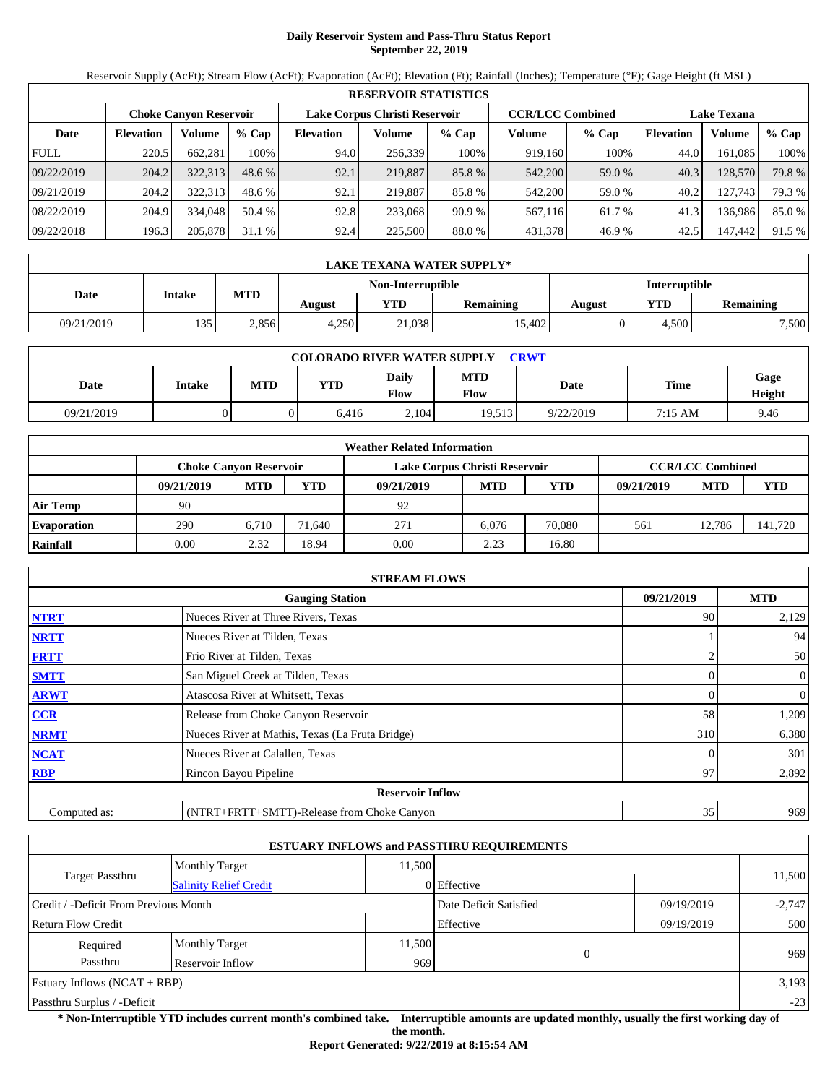# **Daily Reservoir System and Pass-Thru Status Report September 22, 2019**

Reservoir Supply (AcFt); Stream Flow (AcFt); Evaporation (AcFt); Elevation (Ft); Rainfall (Inches); Temperature (°F); Gage Height (ft MSL)

|             | <b>RESERVOIR STATISTICS</b>   |         |         |                  |                               |         |         |                         |                    |         |        |  |  |
|-------------|-------------------------------|---------|---------|------------------|-------------------------------|---------|---------|-------------------------|--------------------|---------|--------|--|--|
|             | <b>Choke Canyon Reservoir</b> |         |         |                  | Lake Corpus Christi Reservoir |         |         | <b>CCR/LCC Combined</b> | <b>Lake Texana</b> |         |        |  |  |
| Date        | <b>Elevation</b>              | Volume  | $%$ Cap | <b>Elevation</b> | Volume                        | $%$ Cap | Volume  | $%$ Cap                 | <b>Elevation</b>   | Volume  | % Cap  |  |  |
| <b>FULL</b> | 220.5                         | 662,281 | 100%    | 94.0             | 256,339                       | 100%    | 919,160 | 100%                    | 44.0               | 161.085 | 100%   |  |  |
| 09/22/2019  | 204.2                         | 322,313 | 48.6 %  | 92.1             | 219,887                       | 85.8 %  | 542,200 | 59.0 %                  | 40.3               | 128,570 | 79.8 % |  |  |
| 09/21/2019  | 204.2                         | 322,313 | 48.6 %  | 92.1             | 219.887                       | 85.8 %  | 542,200 | 59.0 %                  | 40.2               | 127.743 | 79.3 % |  |  |
| 08/22/2019  | 204.9                         | 334,048 | 50.4 %  | 92.8             | 233,068                       | 90.9%   | 567,116 | 61.7 %                  | 41.3               | 136,986 | 85.0%  |  |  |
| 09/22/2018  | 196.3                         | 205,878 | 31.1%   | 92.4             | 225,500                       | 88.0 %  | 431,378 | 46.9%                   | 42.5               | 147,442 | 91.5 % |  |  |

|            | LAKE TEXANA WATER SUPPLY* |            |        |                   |                  |                      |       |                  |  |  |  |
|------------|---------------------------|------------|--------|-------------------|------------------|----------------------|-------|------------------|--|--|--|
|            | Intake                    |            |        | Non-Interruptible |                  | <b>Interruptible</b> |       |                  |  |  |  |
| Date       |                           | <b>MTD</b> | August | <b>YTD</b>        | <b>Remaining</b> | August               | YTD   | <b>Remaining</b> |  |  |  |
| 09/21/2019 | 135                       | 2.856      | 4.250  | 21,038            | 15.402           |                      | 4.500 | 7,500            |  |  |  |

| <b>COLORADO RIVER WATER SUPPLY</b><br>CRWT |        |            |            |                      |                    |           |                   |                |  |  |
|--------------------------------------------|--------|------------|------------|----------------------|--------------------|-----------|-------------------|----------------|--|--|
| Date                                       | Intake | <b>MTD</b> | <b>YTD</b> | Daily<br><b>Flow</b> | <b>MTD</b><br>Flow | Date      | <b>Time</b>       | Gage<br>Height |  |  |
| 09/21/2019                                 |        |            | 6.416      | 2.104                | 19.513             | 9/22/2019 | $7:15 \text{ AM}$ | 9.46           |  |  |

|                    |                               |            |        | <b>Weather Related Information</b> |            |            |            |                         |         |
|--------------------|-------------------------------|------------|--------|------------------------------------|------------|------------|------------|-------------------------|---------|
|                    | <b>Choke Canvon Reservoir</b> |            |        | Lake Corpus Christi Reservoir      |            |            |            | <b>CCR/LCC Combined</b> |         |
|                    | 09/21/2019                    | <b>MTD</b> | YTD    | 09/21/2019                         | <b>MTD</b> | <b>YTD</b> | 09/21/2019 | <b>MTD</b>              | YTD     |
| <b>Air Temp</b>    | 90                            |            |        | 92                                 |            |            |            |                         |         |
| <b>Evaporation</b> | 290                           | 6.710      | 71.640 | 271                                | 6.076      | 70.080     | 561        | 12.786                  | 141,720 |
| Rainfall           | 0.00                          | 2.32       | 18.94  | 0.00                               | 2.23       | 16.80      |            |                         |         |

|              | <b>STREAM FLOWS</b>                             |            |              |
|--------------|-------------------------------------------------|------------|--------------|
|              | <b>Gauging Station</b>                          | 09/21/2019 | <b>MTD</b>   |
| <b>NTRT</b>  | Nueces River at Three Rivers, Texas             | 90         | 2,129        |
| <b>NRTT</b>  | Nueces River at Tilden, Texas                   |            | 94           |
| <b>FRTT</b>  | Frio River at Tilden, Texas                     |            | 50           |
| <b>SMTT</b>  | San Miguel Creek at Tilden, Texas               |            | $\mathbf{0}$ |
| <b>ARWT</b>  | Atascosa River at Whitsett, Texas               |            | 0            |
| CCR          | Release from Choke Canyon Reservoir             | 58         | 1,209        |
| <b>NRMT</b>  | Nueces River at Mathis, Texas (La Fruta Bridge) | 310        | 6,380        |
| <b>NCAT</b>  | Nueces River at Calallen, Texas                 |            | 301          |
| <b>RBP</b>   | Rincon Bayou Pipeline                           | 97         | 2,892        |
|              | <b>Reservoir Inflow</b>                         |            |              |
| Computed as: | (NTRT+FRTT+SMTT)-Release from Choke Canyon      | 35         | 969          |

|                                                  |                       |        | <b>ESTUARY INFLOWS and PASSTHRU REQUIREMENTS</b> |            |          |  |
|--------------------------------------------------|-----------------------|--------|--------------------------------------------------|------------|----------|--|
|                                                  | <b>Monthly Target</b> | 11,500 |                                                  |            |          |  |
| Target Passthru<br><b>Salinity Relief Credit</b> |                       |        | 0 Effective                                      |            | 11,500   |  |
| Credit / -Deficit From Previous Month            |                       |        | Date Deficit Satisfied                           | 09/19/2019 | $-2,747$ |  |
| <b>Return Flow Credit</b>                        |                       |        | Effective                                        | 09/19/2019 | 500      |  |
| Required                                         | <b>Monthly Target</b> | 11,500 |                                                  |            | 969      |  |
| Passthru                                         | Reservoir Inflow      | 969    | $\theta$                                         |            |          |  |
| Estuary Inflows $(NCAT + RBP)$                   |                       |        |                                                  |            | 3,193    |  |
| Passthru Surplus / -Deficit                      |                       |        |                                                  | $-23$      |          |  |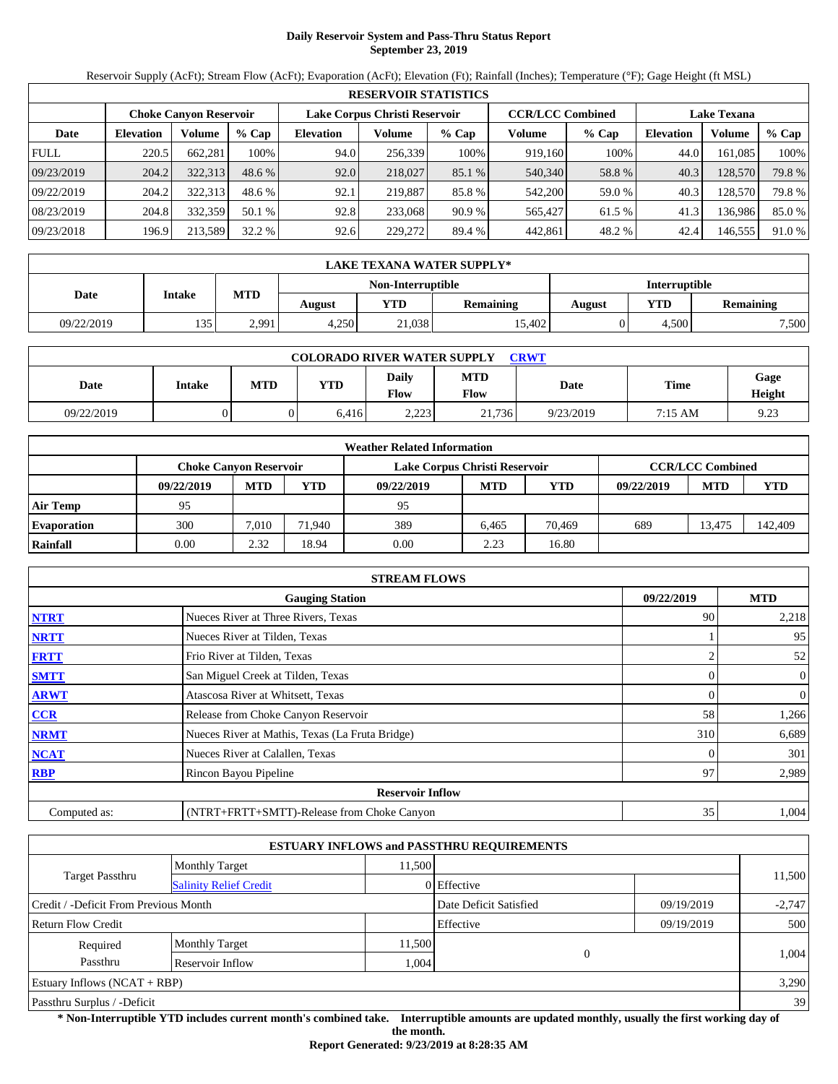# **Daily Reservoir System and Pass-Thru Status Report September 23, 2019**

Reservoir Supply (AcFt); Stream Flow (AcFt); Evaporation (AcFt); Elevation (Ft); Rainfall (Inches); Temperature (°F); Gage Height (ft MSL)

|             | <b>RESERVOIR STATISTICS</b>   |         |         |                  |                               |         |         |                         |                    |         |        |  |
|-------------|-------------------------------|---------|---------|------------------|-------------------------------|---------|---------|-------------------------|--------------------|---------|--------|--|
|             | <b>Choke Canyon Reservoir</b> |         |         |                  | Lake Corpus Christi Reservoir |         |         | <b>CCR/LCC Combined</b> | <b>Lake Texana</b> |         |        |  |
| Date        | <b>Elevation</b>              | Volume  | $%$ Cap | <b>Elevation</b> | Volume                        | $%$ Cap | Volume  | $%$ Cap                 | <b>Elevation</b>   | Volume  | % Cap  |  |
| <b>FULL</b> | 220.5                         | 662,281 | 100%    | 94.0             | 256,339                       | 100%    | 919,160 | 100%                    | 44.0               | 161.085 | 100%   |  |
| 09/23/2019  | 204.2                         | 322,313 | 48.6 %  | 92.0             | 218,027                       | 85.1 %  | 540,340 | 58.8%                   | 40.3               | 128,570 | 79.8 % |  |
| 09/22/2019  | 204.2                         | 322,313 | 48.6 %  | 92.1             | 219.887                       | 85.8 %  | 542,200 | 59.0 %                  | 40.3               | 128,570 | 79.8%  |  |
| 08/23/2019  | 204.8                         | 332,359 | 50.1 %  | 92.8             | 233,068                       | 90.9%   | 565,427 | 61.5 %                  | 41.3               | 136,986 | 85.0%  |  |
| 09/23/2018  | 196.9                         | 213,589 | 32.2 %  | 92.6             | 229,272                       | 89.4 %  | 442,861 | 48.2 %                  | 42.4               | 146,555 | 91.0 % |  |

|            | LAKE TEXANA WATER SUPPLY* |            |        |                   |                  |                      |       |                  |  |  |
|------------|---------------------------|------------|--------|-------------------|------------------|----------------------|-------|------------------|--|--|
|            |                           |            |        | Non-Interruptible |                  | <b>Interruptible</b> |       |                  |  |  |
| Date       | <b>Intake</b>             | <b>MTD</b> | August | <b>YTD</b>        | <b>Remaining</b> | August               | YTD   | <b>Remaining</b> |  |  |
| 09/22/2019 | 135                       | 2,991      | 4.250  | 21,038            | 15.402           |                      | 4.500 | 7,500            |  |  |

| <b>COLORADO RIVER WATER SUPPLY</b><br>CRWT |        |            |            |                      |                    |           |                   |                |  |  |
|--------------------------------------------|--------|------------|------------|----------------------|--------------------|-----------|-------------------|----------------|--|--|
| Date                                       | Intake | <b>MTD</b> | <b>YTD</b> | Daily<br><b>Flow</b> | <b>MTD</b><br>Flow | Date      | <b>Time</b>       | Gage<br>Height |  |  |
| 09/22/2019                                 |        |            | 6.416      | າາາາ<br>ر ے ۔        | 21.736             | 9/23/2019 | $7:15 \text{ AM}$ | 9.23           |  |  |

|                    |                               |            |        | <b>Weather Related Information</b> |            |            |            |                         |         |
|--------------------|-------------------------------|------------|--------|------------------------------------|------------|------------|------------|-------------------------|---------|
|                    | <b>Choke Canvon Reservoir</b> |            |        | Lake Corpus Christi Reservoir      |            |            |            | <b>CCR/LCC Combined</b> |         |
|                    | 09/22/2019                    | <b>MTD</b> | YTD    | 09/22/2019                         | <b>MTD</b> | <b>YTD</b> | 09/22/2019 | <b>MTD</b>              | YTD     |
| <b>Air Temp</b>    | 95                            |            |        | 95                                 |            |            |            |                         |         |
| <b>Evaporation</b> | 300                           | 7.010      | 71.940 | 389                                | 6.465      | 70.469     | 689        | 13.475                  | 142,409 |
| Rainfall           | 0.00                          | 2.32       | 18.94  | 0.00                               | 2.23       | 16.80      |            |                         |         |

|              | <b>STREAM FLOWS</b>                             |            |                |
|--------------|-------------------------------------------------|------------|----------------|
|              | <b>Gauging Station</b>                          | 09/22/2019 | <b>MTD</b>     |
| <b>NTRT</b>  | Nueces River at Three Rivers, Texas             | 90         | 2,218          |
| <b>NRTT</b>  | Nueces River at Tilden, Texas                   |            | 95             |
| <b>FRTT</b>  | Frio River at Tilden, Texas                     |            | 52             |
| <b>SMTT</b>  | San Miguel Creek at Tilden, Texas               |            | $\overline{0}$ |
| <b>ARWT</b>  | Atascosa River at Whitsett, Texas               |            | 0              |
| CCR          | Release from Choke Canyon Reservoir             | 58         | 1,266          |
| <b>NRMT</b>  | Nueces River at Mathis, Texas (La Fruta Bridge) | 310        | 6,689          |
| <b>NCAT</b>  | Nueces River at Calallen, Texas                 |            | 301            |
| <b>RBP</b>   | Rincon Bayou Pipeline                           | 97         | 2,989          |
|              | <b>Reservoir Inflow</b>                         |            |                |
| Computed as: | (NTRT+FRTT+SMTT)-Release from Choke Canyon      | 35         | 1,004          |

|                                                  |                       |        | <b>ESTUARY INFLOWS and PASSTHRU REQUIREMENTS</b> |            |          |
|--------------------------------------------------|-----------------------|--------|--------------------------------------------------|------------|----------|
|                                                  | <b>Monthly Target</b> | 11,500 |                                                  |            |          |
| Target Passthru<br><b>Salinity Relief Credit</b> |                       |        | 0 Effective                                      |            | 11,500   |
| Credit / -Deficit From Previous Month            |                       |        | Date Deficit Satisfied                           | 09/19/2019 | $-2,747$ |
| <b>Return Flow Credit</b>                        |                       |        | Effective                                        | 09/19/2019 | 500      |
| Required                                         | <b>Monthly Target</b> | 11,500 |                                                  |            |          |
| Passthru                                         | Reservoir Inflow      | 1.004  | 0                                                |            | 1.004    |
| Estuary Inflows $(NCAT + RBP)$                   |                       |        |                                                  |            | 3,290    |
| Passthru Surplus / -Deficit                      |                       |        |                                                  | 39         |          |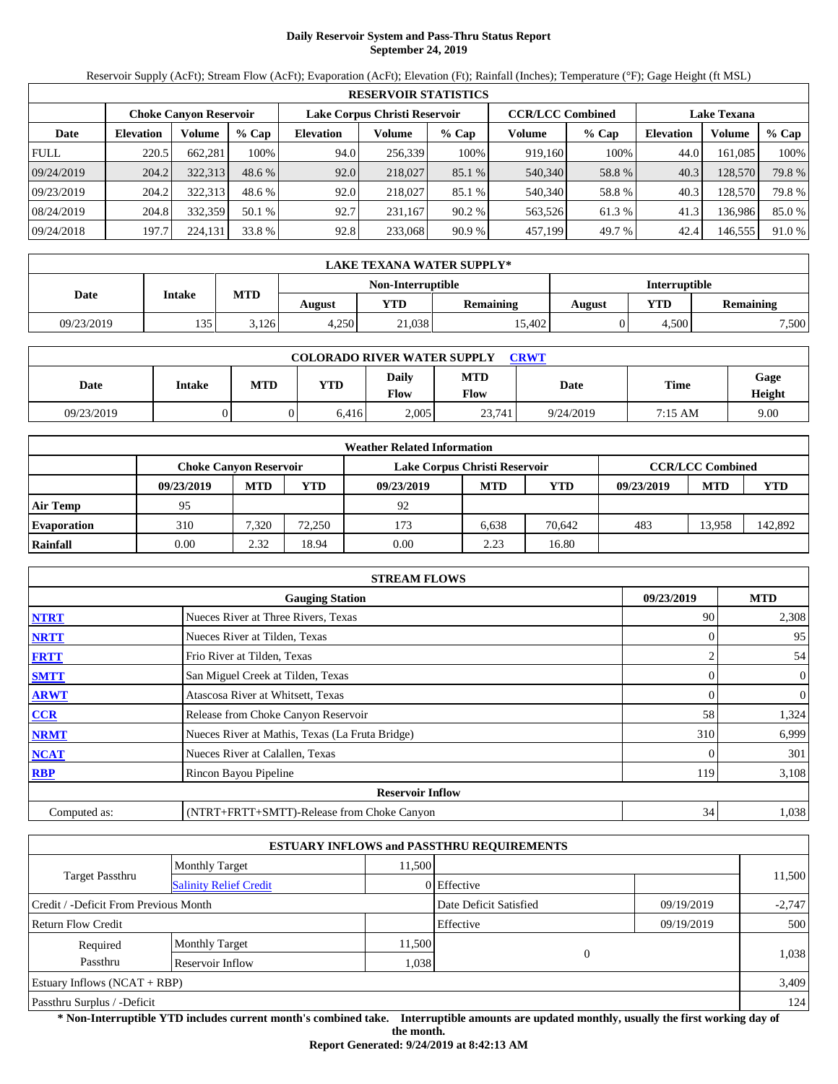# **Daily Reservoir System and Pass-Thru Status Report September 24, 2019**

Reservoir Supply (AcFt); Stream Flow (AcFt); Evaporation (AcFt); Elevation (Ft); Rainfall (Inches); Temperature (°F); Gage Height (ft MSL)

|             | <b>RESERVOIR STATISTICS</b> |                               |         |                               |         |         |                         |         |                    |         |        |  |
|-------------|-----------------------------|-------------------------------|---------|-------------------------------|---------|---------|-------------------------|---------|--------------------|---------|--------|--|
|             |                             | <b>Choke Canyon Reservoir</b> |         | Lake Corpus Christi Reservoir |         |         | <b>CCR/LCC Combined</b> |         | <b>Lake Texana</b> |         |        |  |
| Date        | <b>Elevation</b>            | Volume                        | $%$ Cap | <b>Elevation</b>              | Volume  | $%$ Cap | Volume                  | $%$ Cap | <b>Elevation</b>   | Volume  | % Cap  |  |
| <b>FULL</b> | 220.5                       | 662,281                       | 100%    | 94.0                          | 256,339 | 100%    | 919,160                 | 100%    | 44.0               | 161.085 | 100%   |  |
| 09/24/2019  | 204.2                       | 322,313                       | 48.6 %  | 92.0                          | 218,027 | 85.1 %  | 540,340                 | 58.8%   | 40.3               | 128,570 | 79.8 % |  |
| 09/23/2019  | 204.2                       | 322,313                       | 48.6 %  | 92.0                          | 218,027 | 85.1 %  | 540,340                 | 58.8%   | 40.3               | 128,570 | 79.8%  |  |
| 08/24/2019  | 204.8                       | 332,359                       | 50.1 %  | 92.7                          | 231.167 | 90.2%   | 563,526                 | 61.3%   | 41.3               | 136,986 | 85.0%  |  |
| 09/24/2018  | 197.7                       | 224,131                       | 33.8 %  | 92.8                          | 233,068 | 90.9%   | 457,199                 | 49.7 %  | 42.4               | 146,555 | 91.0 % |  |

|            | <b>LAKE TEXANA WATER SUPPLY*</b> |            |                                          |                   |        |                      |                  |       |  |  |
|------------|----------------------------------|------------|------------------------------------------|-------------------|--------|----------------------|------------------|-------|--|--|
|            |                                  |            |                                          | Non-Interruptible |        | <b>Interruptible</b> |                  |       |  |  |
| Date       | Intake                           | <b>MTD</b> | <b>YTD</b><br><b>Remaining</b><br>August |                   | August | YTD                  | <b>Remaining</b> |       |  |  |
| 09/23/2019 | 135                              | 3.126      | 4.250                                    | 21,038            | 15.402 |                      | 4.500            | 7,500 |  |  |

| <b>COLORADO RIVER WATER SUPPLY</b><br>CRWT |        |            |            |                      |                    |           |         |                |  |  |
|--------------------------------------------|--------|------------|------------|----------------------|--------------------|-----------|---------|----------------|--|--|
| Date                                       | Intake | <b>MTD</b> | <b>YTD</b> | Daily<br><b>Flow</b> | <b>MTD</b><br>Flow | Date      | Time    | Gage<br>Height |  |  |
| 09/23/2019                                 |        |            | 6.416      | 2.005                | 23.741             | 9/24/2019 | 7:15 AM | 9.00           |  |  |

|                    |                               |            |        | <b>Weather Related Information</b> |            |            |            |                         |         |
|--------------------|-------------------------------|------------|--------|------------------------------------|------------|------------|------------|-------------------------|---------|
|                    | <b>Choke Canyon Reservoir</b> |            |        | Lake Corpus Christi Reservoir      |            |            |            | <b>CCR/LCC Combined</b> |         |
|                    | 09/23/2019                    | <b>MTD</b> | YTD    | 09/23/2019                         | <b>MTD</b> | <b>YTD</b> | 09/23/2019 | <b>MTD</b>              | YTD     |
| <b>Air Temp</b>    | 95                            |            |        | 92                                 |            |            |            |                         |         |
| <b>Evaporation</b> | 310                           | 7.320      | 72,250 | 173                                | 6.638      | 70.642     | 483        | 13.958                  | 142.892 |
| Rainfall           | 0.00                          | 2.32       | 18.94  | 0.00                               | 2.23       | 16.80      |            |                         |         |

|              | <b>STREAM FLOWS</b>                             |            |                |
|--------------|-------------------------------------------------|------------|----------------|
|              | <b>Gauging Station</b>                          | 09/23/2019 | <b>MTD</b>     |
| <b>NTRT</b>  | Nueces River at Three Rivers, Texas             | 90         | 2,308          |
| <b>NRTT</b>  | Nueces River at Tilden, Texas                   |            | 95             |
| <b>FRTT</b>  | Frio River at Tilden, Texas                     |            | 54             |
| <b>SMTT</b>  | San Miguel Creek at Tilden, Texas               |            | $\overline{0}$ |
| <b>ARWT</b>  | Atascosa River at Whitsett, Texas               |            | 0              |
| CCR          | Release from Choke Canyon Reservoir             | 58         | 1,324          |
| <b>NRMT</b>  | Nueces River at Mathis, Texas (La Fruta Bridge) | 310        | 6,999          |
| <b>NCAT</b>  | Nueces River at Calallen, Texas                 |            | 301            |
| <b>RBP</b>   | Rincon Bayou Pipeline                           | 119        | 3,108          |
|              | <b>Reservoir Inflow</b>                         |            |                |
| Computed as: | (NTRT+FRTT+SMTT)-Release from Choke Canyon      | 34         | 1,038          |

|                                                  |                       |        | <b>ESTUARY INFLOWS and PASSTHRU REQUIREMENTS</b> |            |          |
|--------------------------------------------------|-----------------------|--------|--------------------------------------------------|------------|----------|
|                                                  | <b>Monthly Target</b> | 11,500 |                                                  |            |          |
| Target Passthru<br><b>Salinity Relief Credit</b> |                       |        | 0 Effective                                      |            | 11,500   |
| Credit / -Deficit From Previous Month            |                       |        | Date Deficit Satisfied                           | 09/19/2019 | $-2,747$ |
| <b>Return Flow Credit</b>                        |                       |        | Effective                                        | 09/19/2019 | 500      |
| Required                                         | <b>Monthly Target</b> | 11,500 |                                                  |            |          |
| Passthru<br>Reservoir Inflow                     |                       |        | $\theta$<br>1,038                                |            | 1,038    |
| Estuary Inflows $(NCAT + RBP)$                   |                       |        |                                                  | 3,409      |          |
| Passthru Surplus / -Deficit                      |                       |        |                                                  | 124        |          |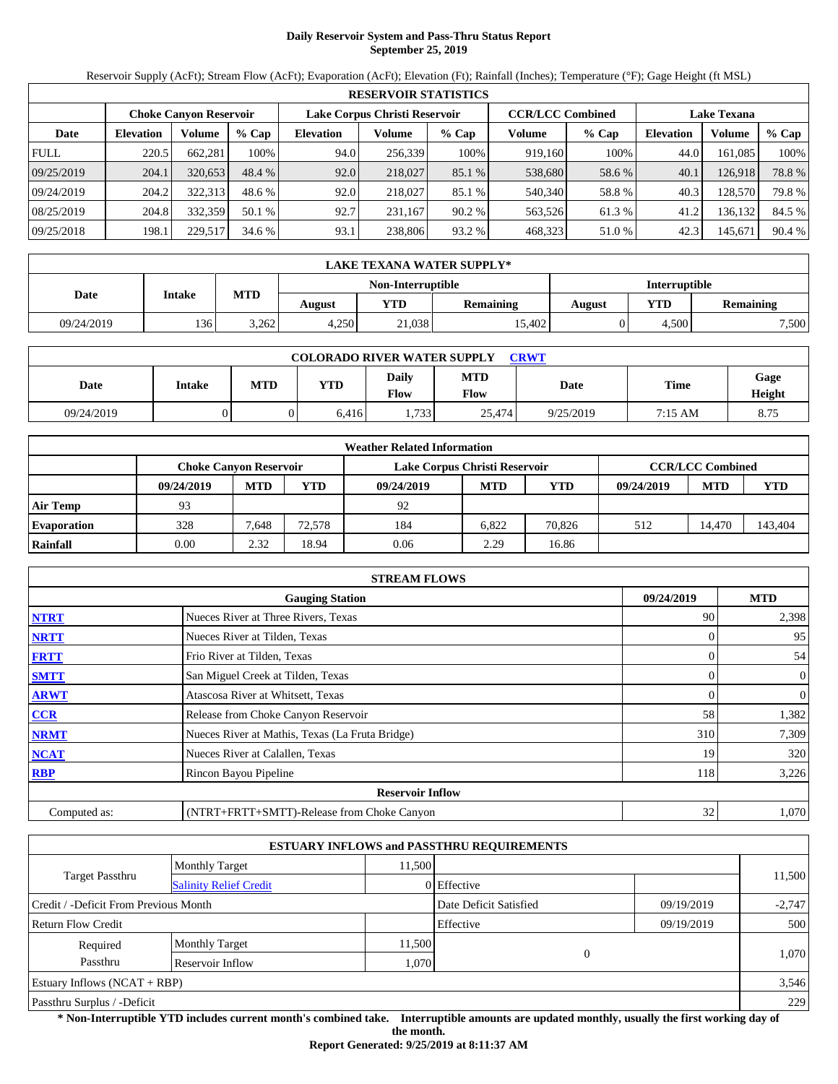# **Daily Reservoir System and Pass-Thru Status Report September 25, 2019**

Reservoir Supply (AcFt); Stream Flow (AcFt); Evaporation (AcFt); Elevation (Ft); Rainfall (Inches); Temperature (°F); Gage Height (ft MSL)

|             | <b>RESERVOIR STATISTICS</b> |                               |         |                               |         |         |                         |         |                    |         |        |  |
|-------------|-----------------------------|-------------------------------|---------|-------------------------------|---------|---------|-------------------------|---------|--------------------|---------|--------|--|
|             |                             | <b>Choke Canyon Reservoir</b> |         | Lake Corpus Christi Reservoir |         |         | <b>CCR/LCC Combined</b> |         | <b>Lake Texana</b> |         |        |  |
| Date        | <b>Elevation</b>            | Volume                        | $%$ Cap | <b>Elevation</b>              | Volume  | $%$ Cap | Volume                  | $%$ Cap | <b>Elevation</b>   | Volume  | % Cap  |  |
| <b>FULL</b> | 220.5                       | 662,281                       | 100%    | 94.0                          | 256,339 | 100%    | 919,160                 | 100%    | 44.0               | 161.085 | 100%   |  |
| 09/25/2019  | 204.1                       | 320.653                       | 48.4 %  | 92.0                          | 218,027 | 85.1 %  | 538,680                 | 58.6 %  | 40.1               | 126.918 | 78.8%  |  |
| 09/24/2019  | 204.2                       | 322,313                       | 48.6 %  | 92.0                          | 218,027 | 85.1 %  | 540,340                 | 58.8%   | 40.3               | 128,570 | 79.8%  |  |
| 08/25/2019  | 204.8                       | 332,359                       | 50.1 %  | 92.7                          | 231.167 | 90.2%   | 563,526                 | 61.3%   | 41.2               | 136,132 | 84.5 % |  |
| 09/25/2018  | 198.1                       | 229,517                       | 34.6 %  | 93.1                          | 238,806 | 93.2 %  | 468,323                 | 51.0 %  | 42.3               | 145,671 | 90.4 % |  |

|            | <b>LAKE TEXANA WATER SUPPLY*</b> |            |        |                   |                  |                      |       |                  |  |  |
|------------|----------------------------------|------------|--------|-------------------|------------------|----------------------|-------|------------------|--|--|
|            | Intake                           |            |        | Non-Interruptible |                  | <b>Interruptible</b> |       |                  |  |  |
| Date       |                                  | <b>MTD</b> | August | <b>YTD</b>        | <b>Remaining</b> | August               | YTD   | <b>Remaining</b> |  |  |
| 09/24/2019 | 136                              | 3,262      | 4.250  | 21,038            | 15.402           |                      | 4.500 | 7,500            |  |  |

| <b>COLORADO RIVER WATER SUPPLY</b><br>CRWT |        |            |            |                      |                    |           |         |                |  |  |
|--------------------------------------------|--------|------------|------------|----------------------|--------------------|-----------|---------|----------------|--|--|
| Date                                       | Intake | <b>MTD</b> | <b>YTD</b> | Daily<br><b>Flow</b> | <b>MTD</b><br>Flow | Date      | Time    | Gage<br>Height |  |  |
| 09/24/2019                                 |        |            | 6.416      | .733                 | 25,474             | 9/25/2019 | 7:15 AM | 8.75           |  |  |

|                    |                               |            |        | <b>Weather Related Information</b> |            |            |            |                         |         |
|--------------------|-------------------------------|------------|--------|------------------------------------|------------|------------|------------|-------------------------|---------|
|                    | <b>Choke Canvon Reservoir</b> |            |        | Lake Corpus Christi Reservoir      |            |            |            | <b>CCR/LCC Combined</b> |         |
|                    | 09/24/2019                    | <b>MTD</b> | YTD    | 09/24/2019                         | <b>MTD</b> | <b>YTD</b> | 09/24/2019 | <b>MTD</b>              | YTD     |
| <b>Air Temp</b>    | 93                            |            |        | 92                                 |            |            |            |                         |         |
| <b>Evaporation</b> | 328                           | 7.648      | 72,578 | 184                                | 6.822      | 70,826     | 512        | 14.470                  | 143,404 |
| Rainfall           | 0.00                          | 2.32       | 18.94  | 0.06                               | 2.29       | 16.86      |            |                         |         |

|              | <b>STREAM FLOWS</b>                             |            |                |
|--------------|-------------------------------------------------|------------|----------------|
|              | <b>Gauging Station</b>                          | 09/24/2019 | <b>MTD</b>     |
| <b>NTRT</b>  | Nueces River at Three Rivers, Texas             | 90         | 2,398          |
| <b>NRTT</b>  | Nueces River at Tilden, Texas                   |            | 95             |
| <b>FRTT</b>  | Frio River at Tilden, Texas                     |            | 54             |
| <b>SMTT</b>  | San Miguel Creek at Tilden, Texas               | 0          | $\overline{0}$ |
| <b>ARWT</b>  | Atascosa River at Whitsett, Texas               |            | 0              |
| CCR          | Release from Choke Canyon Reservoir             | 58         | 1,382          |
| <b>NRMT</b>  | Nueces River at Mathis, Texas (La Fruta Bridge) | 310        | 7,309          |
| <b>NCAT</b>  | Nueces River at Calallen, Texas                 | 19         | 320            |
| <b>RBP</b>   | Rincon Bayou Pipeline                           | 118        | 3,226          |
|              | <b>Reservoir Inflow</b>                         |            |                |
| Computed as: | (NTRT+FRTT+SMTT)-Release from Choke Canyon      | 32         | 1,070          |

|                                       |                               |        | <b>ESTUARY INFLOWS and PASSTHRU REQUIREMENTS</b> |            |          |  |
|---------------------------------------|-------------------------------|--------|--------------------------------------------------|------------|----------|--|
|                                       | <b>Monthly Target</b>         | 11,500 |                                                  |            |          |  |
| Target Passthru                       | <b>Salinity Relief Credit</b> |        | 0 Effective                                      |            | 11,500   |  |
| Credit / -Deficit From Previous Month |                               |        | Date Deficit Satisfied<br>09/19/2019             |            | $-2,747$ |  |
| <b>Return Flow Credit</b>             |                               |        | Effective                                        | 09/19/2019 | 500      |  |
| Required                              | <b>Monthly Target</b>         | 11,500 |                                                  |            |          |  |
| Passthru                              | Reservoir Inflow              | 1,070  | $\Omega$                                         |            | 1.070    |  |
| Estuary Inflows $(NCAT + RBP)$        |                               |        |                                                  |            | 3,546    |  |
| Passthru Surplus / -Deficit           |                               |        |                                                  |            |          |  |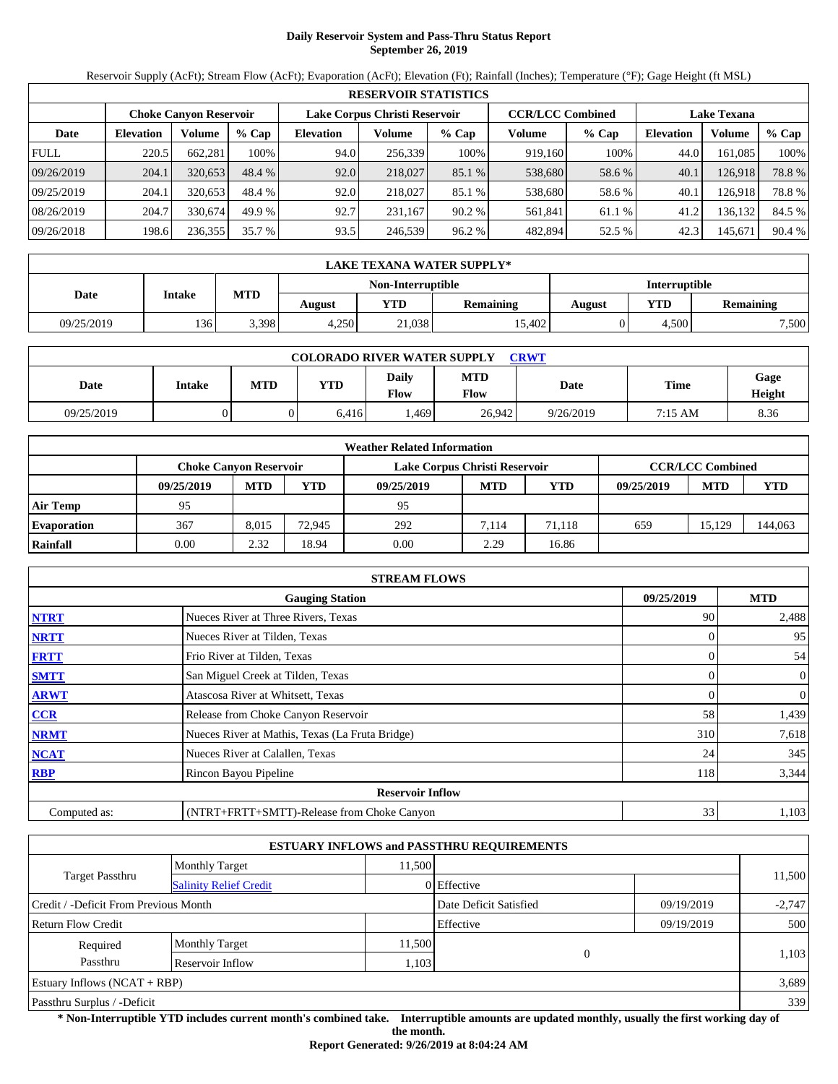# **Daily Reservoir System and Pass-Thru Status Report September 26, 2019**

Reservoir Supply (AcFt); Stream Flow (AcFt); Evaporation (AcFt); Elevation (Ft); Rainfall (Inches); Temperature (°F); Gage Height (ft MSL)

|             | <b>RESERVOIR STATISTICS</b> |                               |         |                               |         |         |                         |         |                    |         |        |  |
|-------------|-----------------------------|-------------------------------|---------|-------------------------------|---------|---------|-------------------------|---------|--------------------|---------|--------|--|
|             |                             | <b>Choke Canyon Reservoir</b> |         | Lake Corpus Christi Reservoir |         |         | <b>CCR/LCC Combined</b> |         | <b>Lake Texana</b> |         |        |  |
| Date        | <b>Elevation</b>            | Volume                        | $%$ Cap | <b>Elevation</b>              | Volume  | $%$ Cap | Volume                  | $%$ Cap | <b>Elevation</b>   | Volume  | % Cap  |  |
| <b>FULL</b> | 220.5                       | 662,281                       | 100%    | 94.0                          | 256,339 | 100%    | 919,160                 | 100%    | 44.0               | 161.085 | 100%   |  |
| 09/26/2019  | 204.1                       | 320.653                       | 48.4 %  | 92.0                          | 218,027 | 85.1 %  | 538,680                 | 58.6 %  | 40.1               | 126.918 | 78.8%  |  |
| 09/25/2019  | 204.1                       | 320.653                       | 48.4 %  | 92.0                          | 218,027 | 85.1 %  | 538,680                 | 58.6 %  | 40.1               | 126.918 | 78.8%  |  |
| 08/26/2019  | 204.7                       | 330,674                       | 49.9 %  | 92.7                          | 231.167 | 90.2%   | 561,841                 | 61.1 %  | 41.2               | 136,132 | 84.5 % |  |
| 09/26/2018  | 198.6                       | 236,355                       | 35.7 %  | 93.5                          | 246,539 | 96.2%   | 482,894                 | 52.5 %  | 42.3               | 145,671 | 90.4 % |  |

|            | <b>LAKE TEXANA WATER SUPPLY*</b> |            |        |                   |                  |                      |       |                  |  |  |
|------------|----------------------------------|------------|--------|-------------------|------------------|----------------------|-------|------------------|--|--|
|            | Intake                           |            |        | Non-Interruptible |                  | <b>Interruptible</b> |       |                  |  |  |
| Date       |                                  | <b>MTD</b> | August | <b>YTD</b>        | <b>Remaining</b> | August               | YTD   | <b>Remaining</b> |  |  |
| 09/25/2019 | 136                              | 3.398      | 4.250  | 21,038            | 15.402           |                      | 4.500 | 7,500            |  |  |

| <b>COLORADO RIVER WATER SUPPLY</b><br>CRWT |        |            |            |                      |                    |           |                   |                |  |  |
|--------------------------------------------|--------|------------|------------|----------------------|--------------------|-----------|-------------------|----------------|--|--|
| Date                                       | Intake | <b>MTD</b> | <b>YTD</b> | Daily<br><b>Flow</b> | <b>MTD</b><br>Flow | Date      | Time              | Gage<br>Height |  |  |
| 09/25/2019                                 |        |            | 6.416      | .469                 | 26.942             | 9/26/2019 | $7:15 \text{ AM}$ | 8.36           |  |  |

|                    |                               |            |        | <b>Weather Related Information</b> |            |            |            |                         |         |
|--------------------|-------------------------------|------------|--------|------------------------------------|------------|------------|------------|-------------------------|---------|
|                    | <b>Choke Canyon Reservoir</b> |            |        | Lake Corpus Christi Reservoir      |            |            |            | <b>CCR/LCC Combined</b> |         |
|                    | 09/25/2019                    | <b>MTD</b> | YTD    | 09/25/2019                         | <b>MTD</b> | <b>YTD</b> | 09/25/2019 | <b>MTD</b>              | YTD     |
| <b>Air Temp</b>    | 95                            |            |        | 95                                 |            |            |            |                         |         |
| <b>Evaporation</b> | 367                           | 8.015      | 72.945 | 292                                | 7.114      | 71.118     | 659        | 15.129                  | 144,063 |
| Rainfall           | 0.00                          | 2.32       | 18.94  | 0.00                               | 2.29       | 16.86      |            |                         |         |

|              | <b>STREAM FLOWS</b>                             |            |                |
|--------------|-------------------------------------------------|------------|----------------|
|              | <b>Gauging Station</b>                          | 09/25/2019 | <b>MTD</b>     |
| <b>NTRT</b>  | Nueces River at Three Rivers, Texas             | 90         | 2,488          |
| <b>NRTT</b>  | Nueces River at Tilden, Texas                   |            | 95             |
| <b>FRTT</b>  | Frio River at Tilden, Texas                     |            | 54             |
| <b>SMTT</b>  | San Miguel Creek at Tilden, Texas               | 0          | $\overline{0}$ |
| <b>ARWT</b>  | Atascosa River at Whitsett, Texas               |            | 0              |
| CCR          | Release from Choke Canyon Reservoir             | 58         | 1,439          |
| <b>NRMT</b>  | Nueces River at Mathis, Texas (La Fruta Bridge) | 310        | 7,618          |
| <b>NCAT</b>  | Nueces River at Calallen, Texas                 | 24         | 345            |
| <b>RBP</b>   | Rincon Bayou Pipeline                           | 118        | 3,344          |
|              | <b>Reservoir Inflow</b>                         |            |                |
| Computed as: | (NTRT+FRTT+SMTT)-Release from Choke Canyon      | 33         | 1,103          |

|                                       |                               |        | <b>ESTUARY INFLOWS and PASSTHRU REQUIREMENTS</b> |            |          |  |
|---------------------------------------|-------------------------------|--------|--------------------------------------------------|------------|----------|--|
|                                       | <b>Monthly Target</b>         | 11,500 |                                                  |            |          |  |
| Target Passthru                       | <b>Salinity Relief Credit</b> |        | 0 Effective                                      |            | 11,500   |  |
| Credit / -Deficit From Previous Month |                               |        | Date Deficit Satisfied<br>09/19/2019             |            | $-2,747$ |  |
| <b>Return Flow Credit</b>             |                               |        | Effective                                        | 09/19/2019 | 500      |  |
| Required                              | <b>Monthly Target</b>         | 11,500 |                                                  |            |          |  |
| Passthru                              | Reservoir Inflow              | 1,103  | $\Omega$                                         |            | 1,103    |  |
| Estuary Inflows $(NCAT + RBP)$        |                               |        |                                                  |            | 3,689    |  |
| Passthru Surplus / -Deficit           |                               |        |                                                  |            |          |  |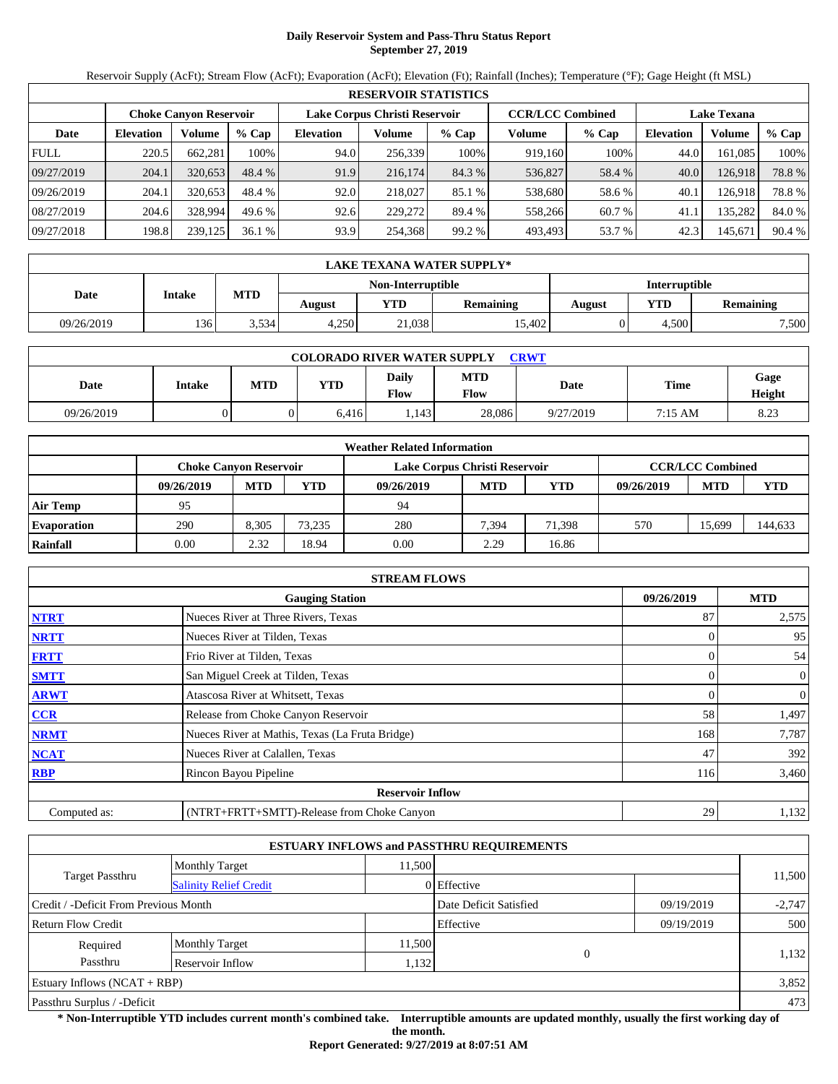# **Daily Reservoir System and Pass-Thru Status Report September 27, 2019**

Reservoir Supply (AcFt); Stream Flow (AcFt); Evaporation (AcFt); Elevation (Ft); Rainfall (Inches); Temperature (°F); Gage Height (ft MSL)

|             | <b>RESERVOIR STATISTICS</b> |                        |         |                               |         |         |                         |         |                    |         |        |  |  |
|-------------|-----------------------------|------------------------|---------|-------------------------------|---------|---------|-------------------------|---------|--------------------|---------|--------|--|--|
|             |                             | Choke Canvon Reservoir |         | Lake Corpus Christi Reservoir |         |         | <b>CCR/LCC Combined</b> |         | <b>Lake Texana</b> |         |        |  |  |
| Date        | <b>Elevation</b>            | Volume                 | $%$ Cap | <b>Elevation</b>              | Volume  | $%$ Cap | Volume                  | $%$ Cap | <b>Elevation</b>   | Volume  | % Cap  |  |  |
| <b>FULL</b> | 220.5                       | 662,281                | 100%    | 94.0                          | 256,339 | 100%    | 919.160                 | 100%    | 44.0               | 161,085 | 100%   |  |  |
| 09/27/2019  | 204.1                       | 320.653                | 48.4 %  | 91.9                          | 216,174 | 84.3 %  | 536,827                 | 58.4 %  | 40.0               | 126,918 | 78.8%  |  |  |
| 09/26/2019  | 204.1                       | 320.653                | 48.4 %  | 92.0                          | 218,027 | 85.1 %  | 538,680                 | 58.6 %  | 40.1               | 126,918 | 78.8%  |  |  |
| 08/27/2019  | 204.6                       | 328,994                | 49.6%   | 92.6                          | 229,272 | 89.4 %  | 558,266                 | 60.7 %  | 41.1               | 135,282 | 84.0 % |  |  |
| 09/27/2018  | 198.8                       | 239,125                | 36.1%   | 93.9                          | 254,368 | 99.2 %  | 493,493                 | 53.7 %  | 42.3               | 145,671 | 90.4 % |  |  |

|            | <b>LAKE TEXANA WATER SUPPLY*</b> |            |                   |                                          |        |                      |       |                  |  |  |  |
|------------|----------------------------------|------------|-------------------|------------------------------------------|--------|----------------------|-------|------------------|--|--|--|
|            |                                  |            | Non-Interruptible |                                          |        | <b>Interruptible</b> |       |                  |  |  |  |
| Date       | Intake                           | <b>MTD</b> | August            | <b>YTD</b><br><b>Remaining</b><br>August |        |                      |       | <b>Remaining</b> |  |  |  |
| 09/26/2019 | 136                              | 3.534      | 4.250             | 21,038                                   | 15.402 |                      | 4.500 | 7,500            |  |  |  |

| <b>COLORADO RIVER WATER SUPPLY</b><br>CRWT |        |            |            |                      |                    |           |             |                |  |  |  |
|--------------------------------------------|--------|------------|------------|----------------------|--------------------|-----------|-------------|----------------|--|--|--|
| Date                                       | Intake | <b>MTD</b> | <b>YTD</b> | Daily<br><b>Flow</b> | <b>MTD</b><br>Flow | Date      | <b>Time</b> | Gage<br>Height |  |  |  |
| 09/26/2019                                 |        |            | 6.416      | .143                 | 28,086             | 9/27/2019 | 7:15 AM     | 8.23           |  |  |  |

|                    | <b>Weather Related Information</b> |            |        |                               |            |            |            |                         |         |  |  |  |
|--------------------|------------------------------------|------------|--------|-------------------------------|------------|------------|------------|-------------------------|---------|--|--|--|
|                    | <b>Choke Canyon Reservoir</b>      |            |        | Lake Corpus Christi Reservoir |            |            |            | <b>CCR/LCC Combined</b> |         |  |  |  |
|                    | 09/26/2019                         | <b>MTD</b> | YTD    | 09/26/2019                    | <b>MTD</b> | <b>YTD</b> | 09/26/2019 | <b>MTD</b>              | YTD     |  |  |  |
| <b>Air Temp</b>    | 95                                 |            |        | 94                            |            |            |            |                         |         |  |  |  |
| <b>Evaporation</b> | 290                                | 8.305      | 73.235 | 280                           | 7,394      | 71.398     | 570        | 15.699                  | 144,633 |  |  |  |
| Rainfall           | 0.00                               | 2.32       | 18.94  | 0.00                          | 2.29       | 16.86      |            |                         |         |  |  |  |

|                                      | <b>STREAM FLOWS</b>                             |     |                |  |  |  |  |  |  |
|--------------------------------------|-------------------------------------------------|-----|----------------|--|--|--|--|--|--|
| 09/26/2019<br><b>Gauging Station</b> |                                                 |     |                |  |  |  |  |  |  |
| <b>NTRT</b>                          | Nueces River at Three Rivers, Texas             | 87  | 2,575          |  |  |  |  |  |  |
| <b>NRTT</b>                          | Nueces River at Tilden, Texas                   |     | 95             |  |  |  |  |  |  |
| <b>FRTT</b>                          | Frio River at Tilden, Texas                     |     | 54             |  |  |  |  |  |  |
| <b>SMTT</b>                          | San Miguel Creek at Tilden, Texas               | 0   | $\overline{0}$ |  |  |  |  |  |  |
| <b>ARWT</b>                          | Atascosa River at Whitsett, Texas               |     | 0              |  |  |  |  |  |  |
| CCR                                  | Release from Choke Canyon Reservoir             | 58  | 1,497          |  |  |  |  |  |  |
| <b>NRMT</b>                          | Nueces River at Mathis, Texas (La Fruta Bridge) | 168 | 7,787          |  |  |  |  |  |  |
| <b>NCAT</b>                          | Nueces River at Calallen, Texas                 | 47  | 392            |  |  |  |  |  |  |
| <b>RBP</b>                           | Rincon Bayou Pipeline                           | 116 | 3,460          |  |  |  |  |  |  |
|                                      | <b>Reservoir Inflow</b>                         |     |                |  |  |  |  |  |  |
| Computed as:                         | (NTRT+FRTT+SMTT)-Release from Choke Canyon      | 29  | 1,132          |  |  |  |  |  |  |

|                                                  |                       |           | <b>ESTUARY INFLOWS and PASSTHRU REQUIREMENTS</b> |            |          |  |
|--------------------------------------------------|-----------------------|-----------|--------------------------------------------------|------------|----------|--|
|                                                  | <b>Monthly Target</b> | 11,500    |                                                  |            |          |  |
| Target Passthru<br><b>Salinity Relief Credit</b> |                       |           | 0 Effective                                      |            | 11,500   |  |
| Credit / -Deficit From Previous Month            |                       |           | Date Deficit Satisfied                           | 09/19/2019 | $-2,747$ |  |
| <b>Return Flow Credit</b>                        |                       | Effective | 09/19/2019                                       | 500        |          |  |
| Required                                         | <b>Monthly Target</b> | 11,500    |                                                  |            |          |  |
| Passthru<br>Reservoir Inflow<br>1,132            |                       |           | $\Omega$                                         |            | 1,132    |  |
| Estuary Inflows $(NCAT + RBP)$                   |                       |           |                                                  | 3,852      |          |  |
| Passthru Surplus / -Deficit                      |                       |           |                                                  | 473        |          |  |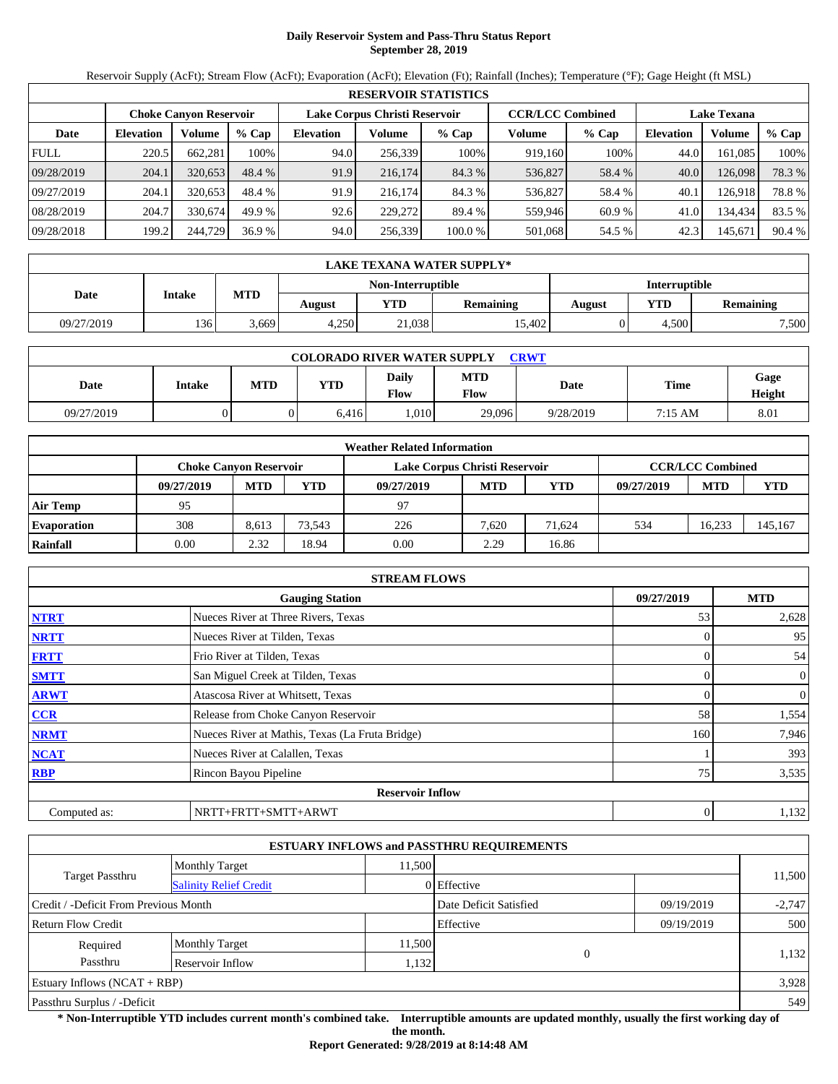## **Daily Reservoir System and Pass-Thru Status Report September 28, 2019**

Reservoir Supply (AcFt); Stream Flow (AcFt); Evaporation (AcFt); Elevation (Ft); Rainfall (Inches); Temperature (°F); Gage Height (ft MSL)

|             | <b>RESERVOIR STATISTICS</b> |                               |         |                  |                               |         |                         |         |                    |         |        |  |  |
|-------------|-----------------------------|-------------------------------|---------|------------------|-------------------------------|---------|-------------------------|---------|--------------------|---------|--------|--|--|
|             |                             | <b>Choke Canyon Reservoir</b> |         |                  | Lake Corpus Christi Reservoir |         | <b>CCR/LCC Combined</b> |         | <b>Lake Texana</b> |         |        |  |  |
| Date        | <b>Elevation</b>            | Volume                        | $%$ Cap | <b>Elevation</b> | Volume                        | $%$ Cap | Volume                  | $%$ Cap | <b>Elevation</b>   | Volume  | % Cap  |  |  |
| <b>FULL</b> | 220.5                       | 662,281                       | 100%    | 94.0             | 256,339                       | 100%    | 919,160                 | 100%    | 44.0               | 161.085 | 100%   |  |  |
| 09/28/2019  | 204.1                       | 320.653                       | 48.4 %  | 91.9             | 216,174                       | 84.3 %  | 536,827                 | 58.4 %  | 40.0               | 126,098 | 78.3 % |  |  |
| 09/27/2019  | 204.1                       | 320.653                       | 48.4 %  | 91.9             | 216,174                       | 84.3 %  | 536,827                 | 58.4 %  | 40.1               | 126.918 | 78.8%  |  |  |
| 08/28/2019  | 204.7                       | 330.674                       | 49.9 %  | 92.6             | 229,272                       | 89.4 %  | 559.946                 | 60.9 %  | 41.0               | 134,434 | 83.5 % |  |  |
| 09/28/2018  | 199.2                       | 244,729                       | 36.9%   | 94.0             | 256,339                       | 100.0 % | 501,068                 | 54.5 %  | 42.3               | 145,671 | 90.4 % |  |  |

|            | <b>LAKE TEXANA WATER SUPPLY*</b>                                 |       |       |                   |        |                      |       |                  |  |  |  |
|------------|------------------------------------------------------------------|-------|-------|-------------------|--------|----------------------|-------|------------------|--|--|--|
|            |                                                                  |       |       | Non-Interruptible |        | <b>Interruptible</b> |       |                  |  |  |  |
| Date       | <b>MTD</b><br>Intake<br><b>YTD</b><br><b>Remaining</b><br>August |       |       |                   |        | August               | YTD   | <b>Remaining</b> |  |  |  |
| 09/27/2019 | 136                                                              | 5,669 | 4.250 | 21,038            | 15.402 |                      | 4.500 | 7,500            |  |  |  |

| <b>COLORADO RIVER WATER SUPPLY</b><br>CRWT |        |            |            |                      |                    |           |                   |                |  |  |
|--------------------------------------------|--------|------------|------------|----------------------|--------------------|-----------|-------------------|----------------|--|--|
| Date                                       | Intake | <b>MTD</b> | <b>YTD</b> | Daily<br><b>Flow</b> | <b>MTD</b><br>Flow | Date      | <b>Time</b>       | Gage<br>Height |  |  |
| 09/27/2019                                 |        |            | 6.416      | .010                 | 29,096             | 9/28/2019 | $7:15 \text{ AM}$ | 8.01           |  |  |

|                    | <b>Weather Related Information</b> |            |        |                               |            |            |            |                         |         |  |  |  |
|--------------------|------------------------------------|------------|--------|-------------------------------|------------|------------|------------|-------------------------|---------|--|--|--|
|                    | <b>Choke Canyon Reservoir</b>      |            |        | Lake Corpus Christi Reservoir |            |            |            | <b>CCR/LCC Combined</b> |         |  |  |  |
|                    | 09/27/2019                         | <b>MTD</b> | YTD    | 09/27/2019                    | <b>MTD</b> | <b>YTD</b> | 09/27/2019 | <b>MTD</b>              | YTD     |  |  |  |
| <b>Air Temp</b>    | 95                                 |            |        | 97                            |            |            |            |                         |         |  |  |  |
| <b>Evaporation</b> | 308                                | 8.613      | 73.543 | 226                           | 7.620      | 71.624     | 534        | 16.233                  | 145,167 |  |  |  |
| Rainfall           | 0.00                               | 2.32       | 18.94  | 0.00                          | 2.29       | 16.86      |            |                         |         |  |  |  |

|              | <b>STREAM FLOWS</b>                             |     |                |  |  |  |  |  |  |
|--------------|-------------------------------------------------|-----|----------------|--|--|--|--|--|--|
|              | 09/27/2019<br><b>Gauging Station</b>            |     |                |  |  |  |  |  |  |
| <b>NTRT</b>  | Nueces River at Three Rivers, Texas             | 53  | 2,628          |  |  |  |  |  |  |
| <b>NRTT</b>  | Nueces River at Tilden, Texas                   |     | 95             |  |  |  |  |  |  |
| <b>FRTT</b>  | Frio River at Tilden, Texas                     |     | 54             |  |  |  |  |  |  |
| <b>SMTT</b>  | San Miguel Creek at Tilden, Texas               |     | $\mathbf{0}$   |  |  |  |  |  |  |
| <b>ARWT</b>  | Atascosa River at Whitsett, Texas               |     | $\overline{0}$ |  |  |  |  |  |  |
| <b>CCR</b>   | Release from Choke Canyon Reservoir             | 58  | 1,554          |  |  |  |  |  |  |
| <b>NRMT</b>  | Nueces River at Mathis, Texas (La Fruta Bridge) | 160 | 7,946          |  |  |  |  |  |  |
| <b>NCAT</b>  | Nueces River at Calallen, Texas                 |     | 393            |  |  |  |  |  |  |
| <b>RBP</b>   | Rincon Bayou Pipeline                           | 75  | 3,535          |  |  |  |  |  |  |
|              | <b>Reservoir Inflow</b>                         |     |                |  |  |  |  |  |  |
| Computed as: | NRTT+FRTT+SMTT+ARWT                             |     | 1,132          |  |  |  |  |  |  |

|                                                  |                       |        | <b>ESTUARY INFLOWS and PASSTHRU REQUIREMENTS</b> |            |          |  |
|--------------------------------------------------|-----------------------|--------|--------------------------------------------------|------------|----------|--|
|                                                  | <b>Monthly Target</b> | 11,500 |                                                  |            |          |  |
| Target Passthru<br><b>Salinity Relief Credit</b> |                       |        | 0 Effective                                      |            | 11,500   |  |
| Credit / -Deficit From Previous Month            |                       |        | Date Deficit Satisfied                           | 09/19/2019 | $-2,747$ |  |
| Return Flow Credit                               |                       |        | Effective                                        | 09/19/2019 | 500      |  |
| Required                                         | <b>Monthly Target</b> | 11,500 |                                                  |            |          |  |
| Passthru<br>Reservoir Inflow<br>1,132            |                       |        | $\overline{0}$                                   |            | 1,132    |  |
| Estuary Inflows $(NCAT + RBP)$                   |                       |        |                                                  |            | 3,928    |  |
| Passthru Surplus / -Deficit                      |                       |        |                                                  |            | 549      |  |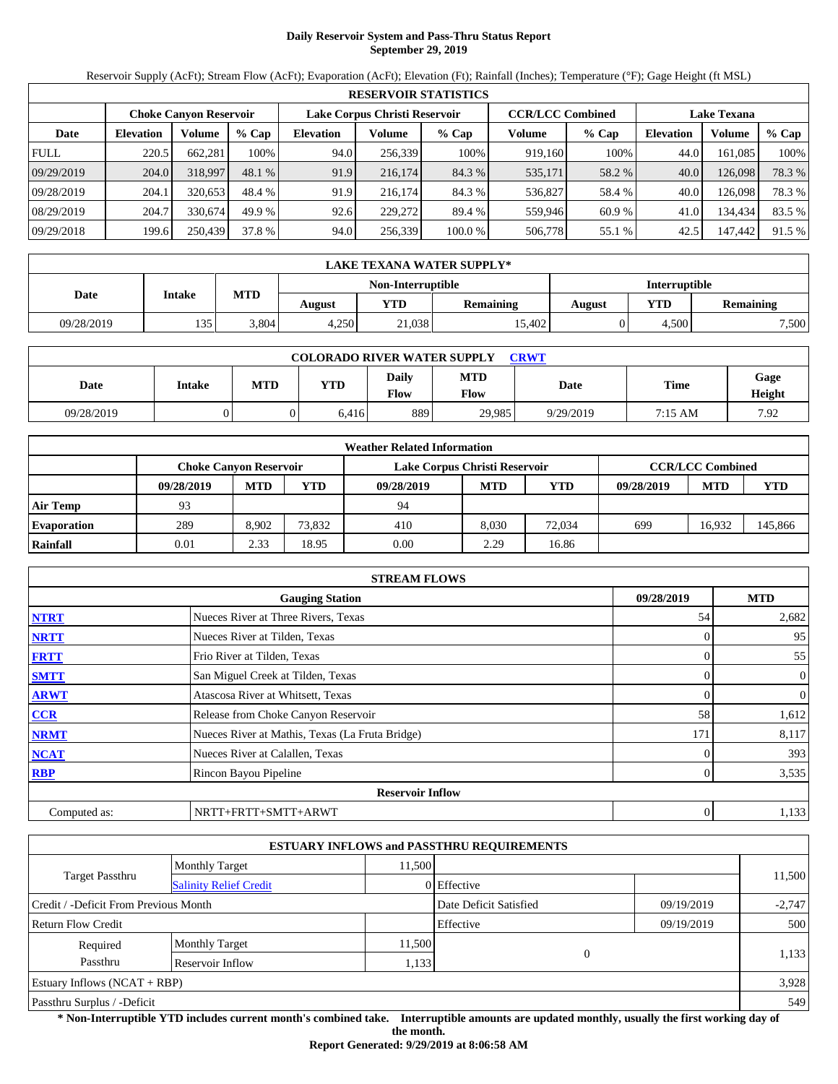# **Daily Reservoir System and Pass-Thru Status Report September 29, 2019**

Reservoir Supply (AcFt); Stream Flow (AcFt); Evaporation (AcFt); Elevation (Ft); Rainfall (Inches); Temperature (°F); Gage Height (ft MSL)

|             | <b>RESERVOIR STATISTICS</b> |                               |         |                               |         |         |                         |         |                    |         |        |  |  |
|-------------|-----------------------------|-------------------------------|---------|-------------------------------|---------|---------|-------------------------|---------|--------------------|---------|--------|--|--|
|             |                             | <b>Choke Canyon Reservoir</b> |         | Lake Corpus Christi Reservoir |         |         | <b>CCR/LCC Combined</b> |         | <b>Lake Texana</b> |         |        |  |  |
| Date        | <b>Elevation</b>            | Volume                        | $%$ Cap | <b>Elevation</b>              | Volume  | $%$ Cap | Volume                  | $%$ Cap | <b>Elevation</b>   | Volume  | % Cap  |  |  |
| <b>FULL</b> | 220.5                       | 662.281                       | 100%    | 94.0                          | 256,339 | 100%    | 919,160                 | 100%    | 44.0               | 161.085 | 100%   |  |  |
| 09/29/2019  | 204.0                       | 318,997                       | 48.1 %  | 91.9                          | 216,174 | 84.3 %  | 535,171                 | 58.2 %  | 40.0               | 126,098 | 78.3 % |  |  |
| 09/28/2019  | 204.1                       | 320.653                       | 48.4 %  | 91.9                          | 216,174 | 84.3 %  | 536,827                 | 58.4 %  | 40.0               | 126.098 | 78.3 % |  |  |
| 08/29/2019  | 204.7                       | 330.674                       | 49.9 %  | 92.6                          | 229,272 | 89.4 %  | 559.946                 | 60.9%   | 41.0               | 134,434 | 83.5 % |  |  |
| 09/29/2018  | 199.6                       | 250,439                       | 37.8 %  | 94.0                          | 256,339 | 100.0 % | 506,778                 | 55.1 %  | 42.5               | 147,442 | 91.5 % |  |  |

|            | LAKE TEXANA WATER SUPPLY* |            |        |                   |                  |               |       |                  |  |  |
|------------|---------------------------|------------|--------|-------------------|------------------|---------------|-------|------------------|--|--|
|            |                           |            |        | Non-Interruptible |                  | Interruptible |       |                  |  |  |
| Date       | <b>Intake</b>             | <b>MTD</b> | August | <b>YTD</b>        | <b>Remaining</b> | August        | YTD   | <b>Remaining</b> |  |  |
| 09/28/2019 | 135                       | 3.804      | 4.250  | 21,038            | 15.402           |               | 4.500 | 7,500            |  |  |

| <b>COLORADO RIVER WATER SUPPLY</b><br><b>CRWT</b> |               |            |            |                      |                           |           |             |                |  |  |
|---------------------------------------------------|---------------|------------|------------|----------------------|---------------------------|-----------|-------------|----------------|--|--|
| Date                                              | <b>Intake</b> | <b>MTD</b> | <b>YTD</b> | Daily<br><b>Flow</b> | <b>MTD</b><br><b>Flow</b> | Date      | <b>Time</b> | Gage<br>Height |  |  |
| 09/28/2019                                        |               |            | 6.416      | 889                  | 29.985                    | 9/29/2019 | 7:15 AM     | 7.92           |  |  |

|                    | <b>Weather Related Information</b> |            |        |                               |            |            |            |                         |         |  |  |  |
|--------------------|------------------------------------|------------|--------|-------------------------------|------------|------------|------------|-------------------------|---------|--|--|--|
|                    | Choke Canvon Reservoir             |            |        | Lake Corpus Christi Reservoir |            |            |            | <b>CCR/LCC Combined</b> |         |  |  |  |
|                    | 09/28/2019                         | <b>MTD</b> | YTD    | 09/28/2019                    | <b>MTD</b> | <b>YTD</b> | 09/28/2019 | <b>MTD</b>              | YTD     |  |  |  |
| <b>Air Temp</b>    | 93                                 |            |        | 94                            |            |            |            |                         |         |  |  |  |
| <b>Evaporation</b> | 289                                | 8.902      | 73,832 | 410                           | 8.030      | 72.034     | 699        | 16.932                  | 145,866 |  |  |  |
| Rainfall           | 0.01                               | 2.33       | 18.95  | 0.00                          | 2.29       | 16.86      |            |                         |         |  |  |  |

|              | <b>STREAM FLOWS</b>                             |     |                |  |  |  |  |
|--------------|-------------------------------------------------|-----|----------------|--|--|--|--|
|              | <b>Gauging Station</b>                          |     |                |  |  |  |  |
| <b>NTRT</b>  | Nueces River at Three Rivers, Texas             | 54  | 2,682          |  |  |  |  |
| <b>NRTT</b>  | Nueces River at Tilden, Texas                   |     | 95             |  |  |  |  |
| <b>FRTT</b>  | Frio River at Tilden, Texas                     |     | 55             |  |  |  |  |
| <b>SMTT</b>  | San Miguel Creek at Tilden, Texas               |     | $\mathbf{0}$   |  |  |  |  |
| <b>ARWT</b>  | Atascosa River at Whitsett, Texas               |     | $\overline{0}$ |  |  |  |  |
| <b>CCR</b>   | Release from Choke Canyon Reservoir             | 58  | 1,612          |  |  |  |  |
| <b>NRMT</b>  | Nueces River at Mathis, Texas (La Fruta Bridge) | 171 | 8,117          |  |  |  |  |
| <b>NCAT</b>  | Nueces River at Calallen, Texas                 |     | 393            |  |  |  |  |
| <b>RBP</b>   | Rincon Bayou Pipeline                           |     | 3,535          |  |  |  |  |
|              | <b>Reservoir Inflow</b>                         |     |                |  |  |  |  |
| Computed as: | NRTT+FRTT+SMTT+ARWT                             |     | 1,133          |  |  |  |  |

|                                                  |                       |                                      | <b>ESTUARY INFLOWS and PASSTHRU REQUIREMENTS</b> |            |        |  |  |
|--------------------------------------------------|-----------------------|--------------------------------------|--------------------------------------------------|------------|--------|--|--|
|                                                  | <b>Monthly Target</b> | 11,500                               |                                                  |            |        |  |  |
| Target Passthru<br><b>Salinity Relief Credit</b> |                       |                                      | 0 Effective                                      |            | 11,500 |  |  |
| Credit / -Deficit From Previous Month            |                       | Date Deficit Satisfied<br>09/19/2019 |                                                  | $-2,747$   |        |  |  |
| Return Flow Credit                               |                       |                                      | Effective                                        | 09/19/2019 | 500    |  |  |
| Required                                         | <b>Monthly Target</b> | 11,500                               |                                                  |            |        |  |  |
| Passthru                                         | Reservoir Inflow      | 1,133                                | $\overline{0}$                                   |            | 1,133  |  |  |
| Estuary Inflows $(NCAT + RBP)$                   |                       |                                      |                                                  |            | 3,928  |  |  |
| Passthru Surplus / -Deficit                      |                       |                                      |                                                  |            |        |  |  |